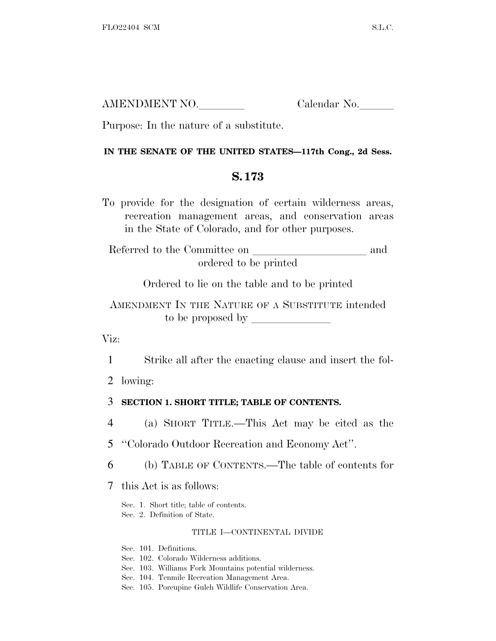| AMENDMENT NO. | Calendar No. |
|---------------|--------------|
|               |              |

Purpose: In the nature of a substitute.

### **IN THE SENATE OF THE UNITED STATES—117th Cong., 2d Sess.**

## **S. 173**

To provide for the designation of certain wilderness areas, recreation management areas, and conservation areas in the State of Colorado, and for other purposes.

Referred to the Committee on  $\hfill\blacksquare$ ordered to be printed

Ordered to lie on the table and to be printed

AMENDMENT IN THE NATURE OF A SUBSTITUTE intended to be proposed by  $\qquad \qquad$ 

Viz:

1 Strike all after the enacting clause and insert the fol-

2 lowing:

## 3 **SECTION 1. SHORT TITLE; TABLE OF CONTENTS.**

4 (a) SHORT TITLE.—This Act may be cited as the

5 ''Colorado Outdoor Recreation and Economy Act''.

6 (b) TABLE OF CONTENTS.—The table of contents for

7 this Act is as follows:

Sec. 1. Short title; table of contents. Sec. 2. Definition of State.

#### TITLE I—CONTINENTAL DIVIDE

Sec. 101. Definitions.

- Sec. 102. Colorado Wilderness additions.
- Sec. 103. Williams Fork Mountains potential wilderness.
- Sec. 104. Tenmile Recreation Management Area.
- Sec. 105. Porcupine Gulch Wildlife Conservation Area.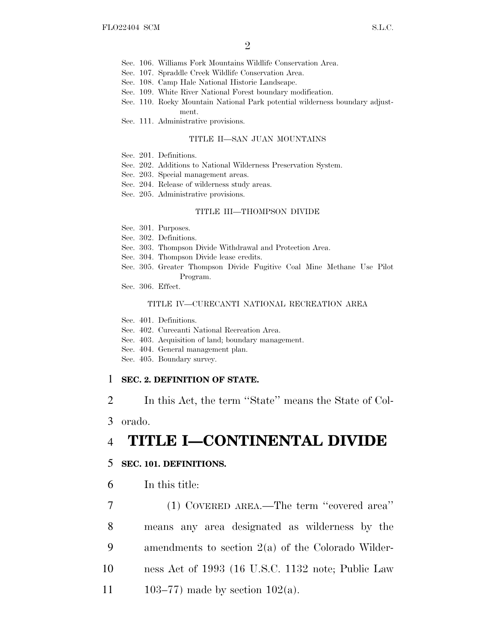- Sec. 106. Williams Fork Mountains Wildlife Conservation Area.
- Sec. 107. Spraddle Creek Wildlife Conservation Area.
- Sec. 108. Camp Hale National Historic Landscape.
- Sec. 109. White River National Forest boundary modification.
- Sec. 110. Rocky Mountain National Park potential wilderness boundary adjustment.
- Sec. 111. Administrative provisions.

#### TITLE II—SAN JUAN MOUNTAINS

- Sec. 201. Definitions.
- Sec. 202. Additions to National Wilderness Preservation System.
- Sec. 203. Special management areas.
- Sec. 204. Release of wilderness study areas.
- Sec. 205. Administrative provisions.

#### TITLE III—THOMPSON DIVIDE

- Sec. 301. Purposes.
- Sec. 302. Definitions.
- Sec. 303. Thompson Divide Withdrawal and Protection Area.
- Sec. 304. Thompson Divide lease credits.
- Sec. 305. Greater Thompson Divide Fugitive Coal Mine Methane Use Pilot Program.
- Sec. 306. Effect.

#### TITLE IV—CURECANTI NATIONAL RECREATION AREA

Sec. 401. Definitions.

- Sec. 402. Curecanti National Recreation Area.
- Sec. 403. Acquisition of land; boundary management.
- Sec. 404. General management plan.
- Sec. 405. Boundary survey.

### 1 **SEC. 2. DEFINITION OF STATE.**

2 In this Act, the term ''State'' means the State of Col-

3 orado.

# 4 **TITLE I—CONTINENTAL DIVIDE**

### 5 **SEC. 101. DEFINITIONS.**

6 In this title:

 (1) COVERED AREA.—The term ''covered area'' means any area designated as wilderness by the amendments to section 2(a) of the Colorado Wilder- ness Act of 1993 (16 U.S.C. 1132 note; Public Law 11 103–77) made by section  $102(a)$ .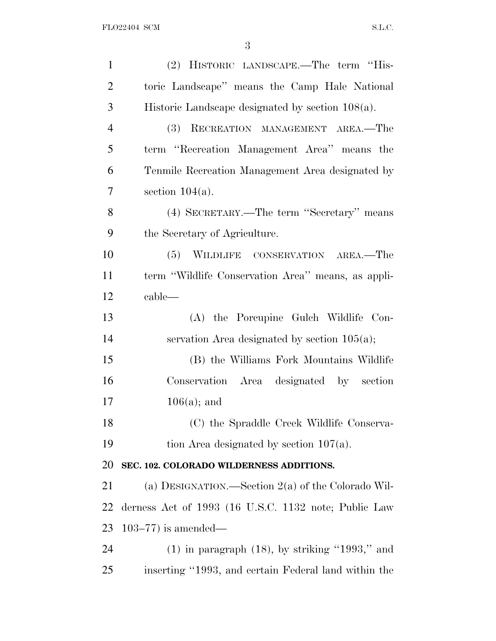| $\mathbf{1}$   | (2) HISTORIC LANDSCAPE.—The term "His-               |
|----------------|------------------------------------------------------|
| $\overline{2}$ | toric Landscape" means the Camp Hale National        |
| 3              | Historic Landscape designated by section $108(a)$ .  |
| $\overline{4}$ | (3) RECREATION MANAGEMENT AREA.-The                  |
| 5              | term "Recreation Management Area" means the          |
| 6              | Tenmile Recreation Management Area designated by     |
| 7              | section $104(a)$ .                                   |
| 8              | (4) SECRETARY.—The term "Secretary" means            |
| 9              | the Secretary of Agriculture.                        |
| 10             | (5) WILDLIFE CONSERVATION AREA.—The                  |
| 11             | term "Wildlife Conservation Area" means, as appli-   |
| 12             | cable—                                               |
| 13             | (A) the Porcupine Gulch Wildlife Con-                |
| 14             | servation Area designated by section $105(a)$ ;      |
| 15             | (B) the Williams Fork Mountains Wildlife             |
| 16             | Conservation Area designated by section              |
| 17             | $106(a)$ ; and                                       |
| 18             | (C) the Spraddle Creek Wildlife Conserva-            |
| 19             | tion Area designated by section $107(a)$ .           |
| 20             | SEC. 102. COLORADO WILDERNESS ADDITIONS.             |
| 21             | (a) DESIGNATION.—Section $2(a)$ of the Colorado Wil- |
| 22             | derness Act of 1993 (16 U.S.C. 1132 note; Public Law |
| 23             | $103-77$ ) is amended—                               |
| 24             | $(1)$ in paragraph $(18)$ , by striking "1993," and  |
| 25             | inserting "1993, and certain Federal land within the |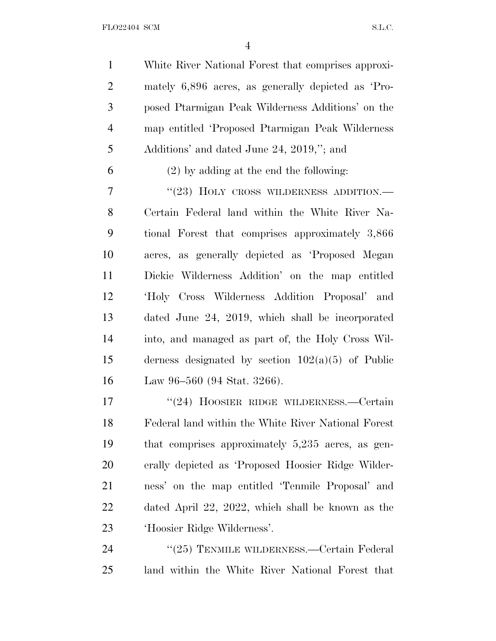FLO22404 SCM S.L.C.

 White River National Forest that comprises approxi- mately 6,896 acres, as generally depicted as 'Pro- posed Ptarmigan Peak Wilderness Additions' on the map entitled 'Proposed Ptarmigan Peak Wilderness Additions' and dated June 24, 2019,''; and

(2) by adding at the end the following:

7 "(23) HOLY CROSS WILDERNESS ADDITION.— Certain Federal land within the White River Na- tional Forest that comprises approximately 3,866 acres, as generally depicted as 'Proposed Megan Dickie Wilderness Addition' on the map entitled 'Holy Cross Wilderness Addition Proposal' and dated June 24, 2019, which shall be incorporated into, and managed as part of, the Holy Cross Wil- derness designated by section 102(a)(5) of Public Law 96–560 (94 Stat. 3266).

17 "(24) HOOSIER RIDGE WILDERNESS.—Certain Federal land within the White River National Forest that comprises approximately 5,235 acres, as gen- erally depicted as 'Proposed Hoosier Ridge Wilder- ness' on the map entitled 'Tenmile Proposal' and dated April 22, 2022, which shall be known as the 'Hoosier Ridge Wilderness'.

24 "(25) TENMILE WILDERNESS.—Certain Federal land within the White River National Forest that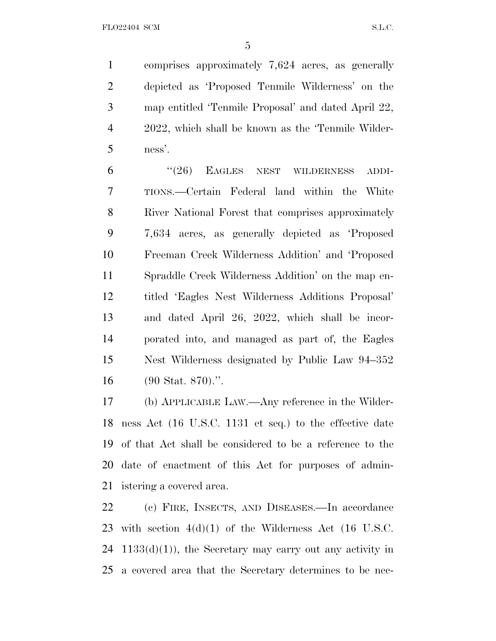comprises approximately 7,624 acres, as generally depicted as 'Proposed Tenmile Wilderness' on the map entitled 'Tenmile Proposal' and dated April 22, 2022, which shall be known as the 'Tenmile Wilder-ness'.

6 "(26) EAGLES NEST WILDERNESS ADDI- TIONS.—Certain Federal land within the White River National Forest that comprises approximately 7,634 acres, as generally depicted as 'Proposed Freeman Creek Wilderness Addition' and 'Proposed Spraddle Creek Wilderness Addition' on the map en- titled 'Eagles Nest Wilderness Additions Proposal' and dated April 26, 2022, which shall be incor- porated into, and managed as part of, the Eagles Nest Wilderness designated by Public Law 94–352 (90 Stat. 870).''.

 (b) APPLICABLE LAW.—Any reference in the Wilder- ness Act (16 U.S.C. 1131 et seq.) to the effective date of that Act shall be considered to be a reference to the date of enactment of this Act for purposes of admin-istering a covered area.

 (c) FIRE, INSECTS, AND DISEASES.—In accordance with section 4(d)(1) of the Wilderness Act (16 U.S.C.  $1133(d)(1)$ , the Secretary may carry out any activity in a covered area that the Secretary determines to be nec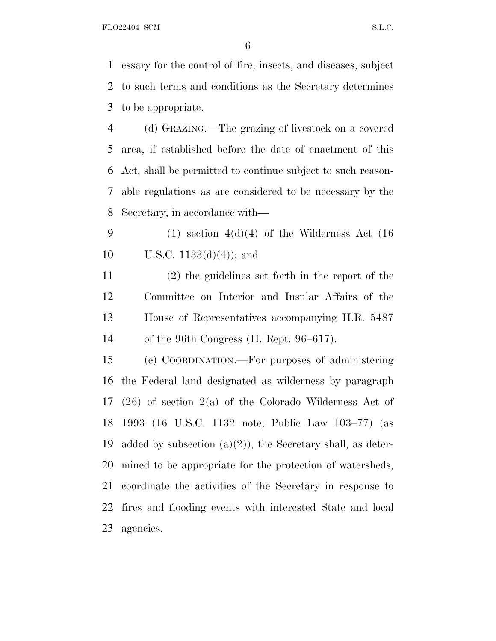FLO22404 SCM S.L.C.

 essary for the control of fire, insects, and diseases, subject to such terms and conditions as the Secretary determines to be appropriate.

 (d) GRAZING.—The grazing of livestock on a covered area, if established before the date of enactment of this Act, shall be permitted to continue subject to such reason- able regulations as are considered to be necessary by the Secretary, in accordance with—

9 (1) section  $4(d)(4)$  of the Wilderness Act (16) 10 U.S.C.  $1133(d)(4)$ ; and

 (2) the guidelines set forth in the report of the Committee on Interior and Insular Affairs of the House of Representatives accompanying H.R. 5487 of the 96th Congress (H. Rept. 96–617).

 (e) COORDINATION.—For purposes of administering the Federal land designated as wilderness by paragraph (26) of section 2(a) of the Colorado Wilderness Act of 1993 (16 U.S.C. 1132 note; Public Law 103–77) (as 19 added by subsection  $(a)(2)$ , the Secretary shall, as deter- mined to be appropriate for the protection of watersheds, coordinate the activities of the Secretary in response to fires and flooding events with interested State and local agencies.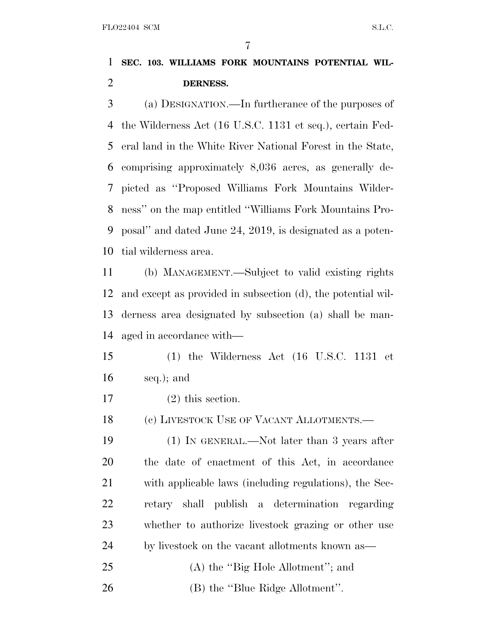# **SEC. 103. WILLIAMS FORK MOUNTAINS POTENTIAL WIL-DERNESS.**

 (a) DESIGNATION.—In furtherance of the purposes of the Wilderness Act (16 U.S.C. 1131 et seq.), certain Fed- eral land in the White River National Forest in the State, comprising approximately 8,036 acres, as generally de- picted as ''Proposed Williams Fork Mountains Wilder- ness'' on the map entitled ''Williams Fork Mountains Pro- posal'' and dated June 24, 2019, is designated as a poten-tial wilderness area.

 (b) MANAGEMENT.—Subject to valid existing rights and except as provided in subsection (d), the potential wil- derness area designated by subsection (a) shall be man-aged in accordance with—

 (1) the Wilderness Act (16 U.S.C. 1131 et seq.); and

(2) this section.

18 (c) LIVESTOCK USE OF VACANT ALLOTMENTS.—

 (1) IN GENERAL.—Not later than 3 years after the date of enactment of this Act, in accordance with applicable laws (including regulations), the Sec- retary shall publish a determination regarding whether to authorize livestock grazing or other use by livestock on the vacant allotments known as—

- 25 (A) the "Big Hole Allotment"; and
- 26 (B) the "Blue Ridge Allotment".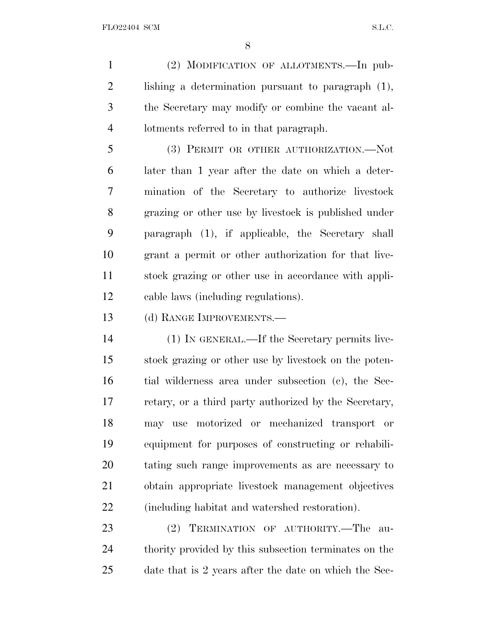(2) MODIFICATION OF ALLOTMENTS.—In pub- lishing a determination pursuant to paragraph (1), the Secretary may modify or combine the vacant al-lotments referred to in that paragraph.

 (3) PERMIT OR OTHER AUTHORIZATION.—Not later than 1 year after the date on which a deter- mination of the Secretary to authorize livestock grazing or other use by livestock is published under paragraph (1), if applicable, the Secretary shall grant a permit or other authorization for that live- stock grazing or other use in accordance with appli-cable laws (including regulations).

(d) RANGE IMPROVEMENTS.—

 (1) IN GENERAL.—If the Secretary permits live- stock grazing or other use by livestock on the poten- tial wilderness area under subsection (c), the Sec- retary, or a third party authorized by the Secretary, may use motorized or mechanized transport or equipment for purposes of constructing or rehabili- tating such range improvements as are necessary to obtain appropriate livestock management objectives (including habitat and watershed restoration).

 (2) TERMINATION OF AUTHORITY.—The au- thority provided by this subsection terminates on the date that is 2 years after the date on which the Sec-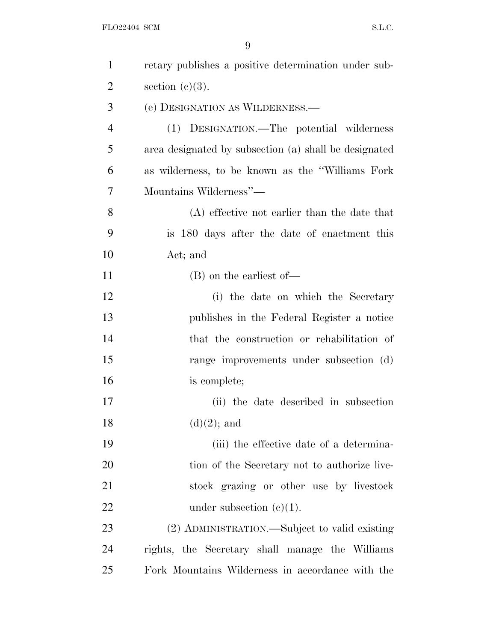| $\mathbf{1}$   | retary publishes a positive determination under sub-  |
|----------------|-------------------------------------------------------|
| $\overline{2}$ | section $(c)(3)$ .                                    |
| 3              | (e) DESIGNATION AS WILDERNESS.—                       |
| $\overline{4}$ | (1) DESIGNATION.—The potential wilderness             |
| 5              | area designated by subsection (a) shall be designated |
| 6              | as wilderness, to be known as the "Williams Fork"     |
| 7              | Mountains Wilderness"-                                |
| 8              | $(A)$ effective not earlier than the date that        |
| 9              | is 180 days after the date of enactment this          |
| 10             | Act; and                                              |
| 11             | (B) on the earliest of-                               |
| 12             | (i) the date on which the Secretary                   |
| 13             | publishes in the Federal Register a notice            |
| 14             | that the construction or rehabilitation of            |
| 15             | range improvements under subsection (d)               |
| 16             | is complete;                                          |
| 17             | (ii) the date described in subsection                 |
| 18             | $(d)(2)$ ; and                                        |
| 19             | (iii) the effective date of a determina-              |
| <b>20</b>      | tion of the Secretary not to authorize live-          |
| 21             | stock grazing or other use by livestock               |
| 22             | under subsection $(c)(1)$ .                           |
| 23             | (2) ADMINISTRATION.—Subject to valid existing         |
| 24             | rights, the Secretary shall manage the Williams       |
| 25             | Fork Mountains Wilderness in accordance with the      |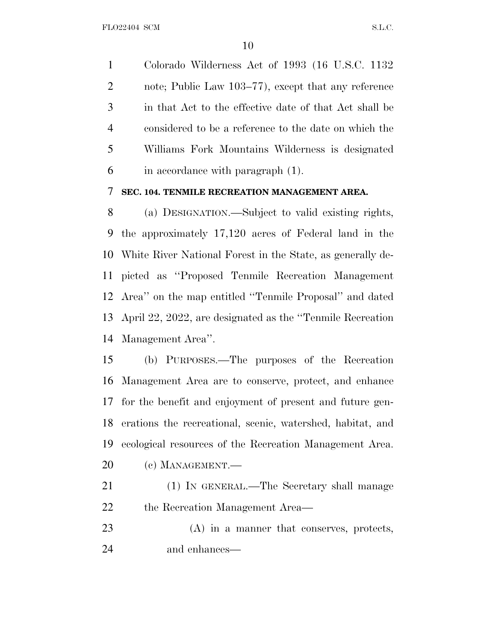Colorado Wilderness Act of 1993 (16 U.S.C. 1132 note; Public Law 103–77), except that any reference in that Act to the effective date of that Act shall be considered to be a reference to the date on which the Williams Fork Mountains Wilderness is designated in accordance with paragraph (1).

## **SEC. 104. TENMILE RECREATION MANAGEMENT AREA.**

 (a) DESIGNATION.—Subject to valid existing rights, the approximately 17,120 acres of Federal land in the White River National Forest in the State, as generally de- picted as ''Proposed Tenmile Recreation Management Area'' on the map entitled ''Tenmile Proposal'' and dated April 22, 2022, are designated as the ''Tenmile Recreation Management Area''.

 (b) PURPOSES.—The purposes of the Recreation Management Area are to conserve, protect, and enhance for the benefit and enjoyment of present and future gen- erations the recreational, scenic, watershed, habitat, and ecological resources of the Recreation Management Area. (c) MANAGEMENT.—

- (1) IN GENERAL.—The Secretary shall manage the Recreation Management Area—
- (A) in a manner that conserves, protects, and enhances—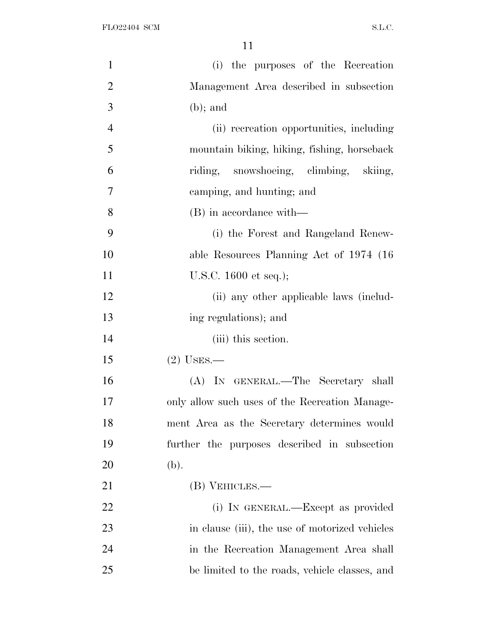| $\mathbf{1}$   | (i) the purposes of the Recreation             |
|----------------|------------------------------------------------|
| $\overline{2}$ | Management Area described in subsection        |
| 3              | $(b)$ ; and                                    |
| $\overline{4}$ | (ii) recreation opportunities, including       |
| 5              | mountain biking, hiking, fishing, horseback    |
| 6              | riding, snowshoeing, climbing, skiing,         |
| 7              | camping, and hunting; and                      |
| 8              | (B) in accordance with—                        |
| 9              | (i) the Forest and Rangeland Renew-            |
| 10             | able Resources Planning Act of 1974 (16)       |
| 11             | U.S.C. $1600$ et seq.);                        |
| 12             | (ii) any other applicable laws (includ-        |
| 13             | ing regulations); and                          |
| 14             | (iii) this section.                            |
| 15             | $(2)$ USES.—                                   |
| 16             | (A) IN GENERAL.—The Secretary shall            |
| 17             | only allow such uses of the Recreation Manage- |
| 18             | ment Area as the Secretary determines would    |
| 19             | further the purposes described in subsection   |
| 20             | (b).                                           |
| 21             | (B) VEHICLES.—                                 |
| 22             | (i) IN GENERAL.—Except as provided             |
| 23             | in clause (iii), the use of motorized vehicles |
| 24             | in the Recreation Management Area shall        |
| 25             | be limited to the roads, vehicle classes, and  |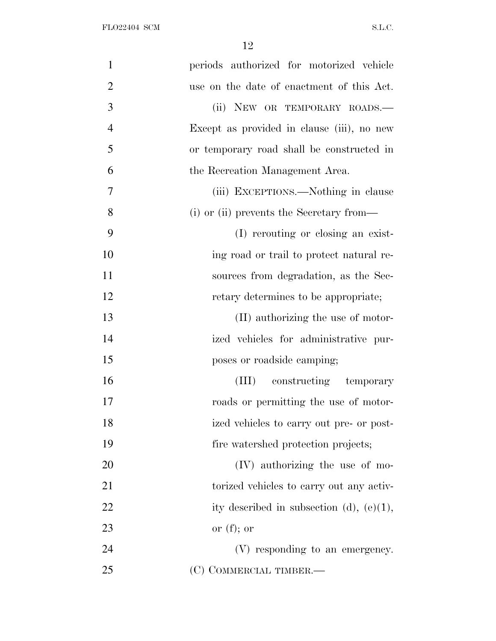| $\mathbf{1}$   | periods authorized for motorized vehicle    |
|----------------|---------------------------------------------|
| $\overline{2}$ | use on the date of enactment of this Act.   |
| 3              | (ii) NEW OR TEMPORARY ROADS.-               |
| $\overline{4}$ | Except as provided in clause (iii), no new  |
| 5              | or temporary road shall be constructed in   |
| 6              | the Recreation Management Area.             |
| 7              | (iii) EXCEPTIONS.—Nothing in clause         |
| 8              | (i) or (ii) prevents the Secretary from—    |
| 9              | (I) rerouting or closing an exist-          |
| 10             | ing road or trail to protect natural re-    |
| 11             | sources from degradation, as the Sec-       |
| 12             | retary determines to be appropriate;        |
| 13             | (II) authorizing the use of motor-          |
| 14             | ized vehicles for administrative pur-       |
| 15             | poses or roadside camping;                  |
| 16             | (III) constructing temporary                |
| 17             | roads or permitting the use of motor-       |
| 18             | ized vehicles to carry out pre- or post-    |
| 19             | fire watershed protection projects;         |
| 20             | (IV) authorizing the use of mo-             |
| 21             | torized vehicles to carry out any activ-    |
| 22             | ity described in subsection (d), $(e)(1)$ , |
| 23             | or $(f)$ ; or                               |
| 24             | (V) responding to an emergency.             |
| 25             | (C) COMMERCIAL TIMBER.—                     |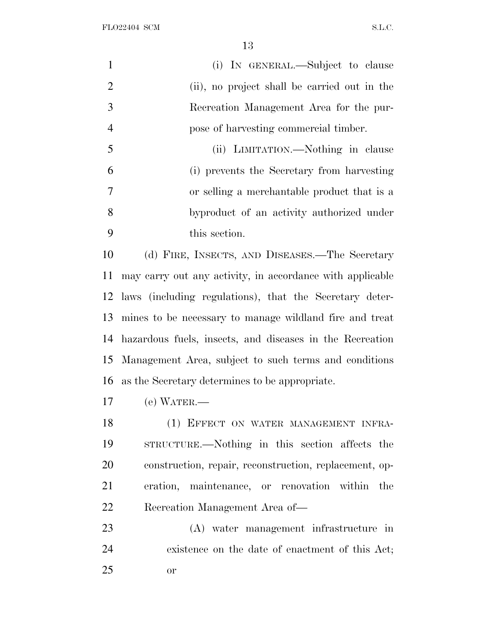FLO22404 SCM S.L.C.

|                | (i) IN GENERAL.—Subject to clause            |
|----------------|----------------------------------------------|
| 2              | (ii), no project shall be carried out in the |
| 3              | Recreation Management Area for the pur-      |
| $\overline{4}$ | pose of harvesting commercial timber.        |
| 5              | (ii) LIMITATION.—Nothing in clause           |
| 6              | (i) prevents the Secretary from harvesting   |
| 7              | or selling a merchantable product that is a  |
| 8              | byproduct of an activity authorized under    |
| 9              | this section.                                |
|                |                                              |

 (d) FIRE, INSECTS, AND DISEASES.—The Secretary may carry out any activity, in accordance with applicable laws (including regulations), that the Secretary deter- mines to be necessary to manage wildland fire and treat hazardous fuels, insects, and diseases in the Recreation Management Area, subject to such terms and conditions as the Secretary determines to be appropriate.

(e) WATER.—

18 (1) EFFECT ON WATER MANAGEMENT INFRA- STRUCTURE.—Nothing in this section affects the construction, repair, reconstruction, replacement, op- eration, maintenance, or renovation within the Recreation Management Area of—

 (A) water management infrastructure in existence on the date of enactment of this Act; or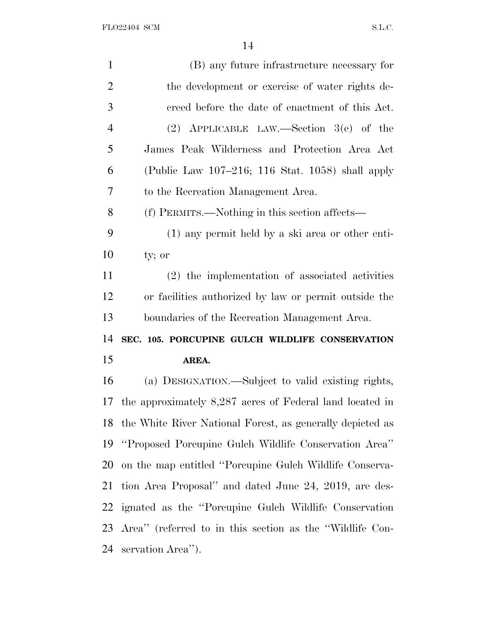| $\mathbf{1}$   | (B) any future infrastructure necessary for                  |
|----------------|--------------------------------------------------------------|
| $\overline{2}$ | the development or exercise of water rights de-              |
| 3              | creed before the date of enactment of this Act.              |
| $\overline{4}$ | (2) APPLICABLE LAW.—Section $3(e)$ of the                    |
| 5              | James Peak Wilderness and Protection Area Act                |
| 6              | (Public Law 107–216; 116 Stat. 1058) shall apply             |
| 7              | to the Recreation Management Area.                           |
| 8              | (f) PERMITS.—Nothing in this section affects—                |
| 9              | (1) any permit held by a ski area or other enti-             |
| 10             | ty; or                                                       |
| 11             | (2) the implementation of associated activities              |
| 12             | or facilities authorized by law or permit outside the        |
|                |                                                              |
|                | boundaries of the Recreation Management Area.                |
| 13<br>14       | SEC. 105. PORCUPINE GULCH WILDLIFE CONSERVATION              |
| 15             | AREA.                                                        |
|                | (a) DESIGNATION.—Subject to valid existing rights,           |
|                | the approximately $8,287$ acres of Federal land located in   |
| 16<br>17       | 18 the White River National Forest, as generally depicted as |
|                | "Proposed Porcupine Gulch Wildlife Conservation Area"        |
| 19<br>20       | on the map entitled "Porcupine Gulch Wildlife Conserva-      |
| 21             | tion Area Proposal" and dated June 24, 2019, are des-        |
| 22             | ignated as the "Porcupine Gulch Wildlife Conservation        |
| 23             | Area" (referred to in this section as the "Wildlife Con-     |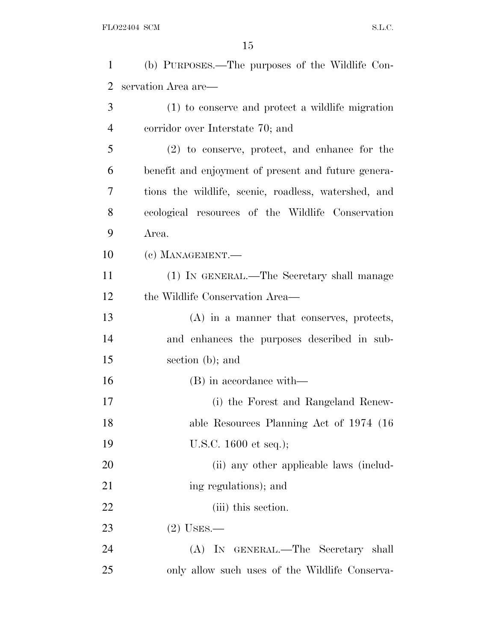| $\mathbf{1}$   | (b) PURPOSES.—The purposes of the Wildlife Con-      |
|----------------|------------------------------------------------------|
| 2              | servation Area are—                                  |
| 3              | (1) to conserve and protect a wildlife migration     |
| $\overline{4}$ | corridor over Interstate 70; and                     |
| 5              | $(2)$ to conserve, protect, and enhance for the      |
| 6              | benefit and enjoyment of present and future genera-  |
| 7              | tions the wildlife, scenic, roadless, watershed, and |
| 8              | ecological resources of the Wildlife Conservation    |
| 9              | Area.                                                |
| 10             | (c) MANAGEMENT.—                                     |
| 11             | (1) IN GENERAL.—The Secretary shall manage           |
| 12             | the Wildlife Conservation Area—                      |
| 13             | $(A)$ in a manner that conserves, protects,          |
| 14             | and enhances the purposes described in sub-          |
| 15             | section (b); and                                     |
| 16             | (B) in accordance with—                              |
| 17             | (i) the Forest and Rangeland Renew-                  |
| 18             | able Resources Planning Act of 1974 (16              |
| 19             | U.S.C. $1600$ et seq.);                              |
| 20             | (ii) any other applicable laws (includ-              |
| 21             | ing regulations); and                                |
| 22             | (iii) this section.                                  |
| 23             | $(2)$ USES.—                                         |
| 24             | (A) IN GENERAL.—The Secretary shall                  |
| 25             | only allow such uses of the Wildlife Conserva-       |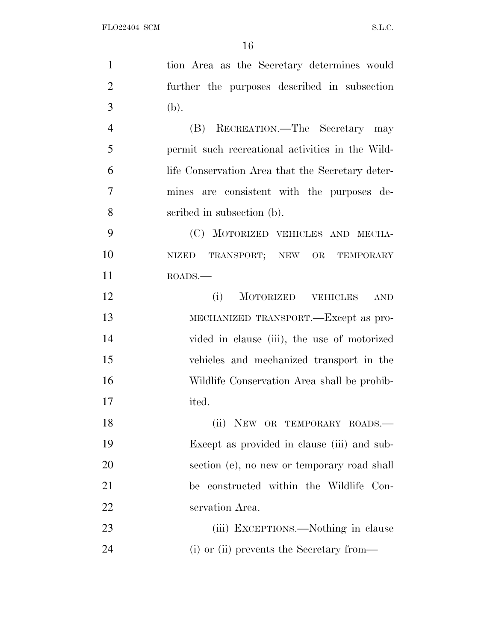| $\mathbf{1}$   | tion Area as the Secretary determines would       |
|----------------|---------------------------------------------------|
| $\overline{2}$ | further the purposes described in subsection      |
| 3              | (b).                                              |
| $\overline{4}$ | (B) RECREATION.—The Secretary may                 |
| 5              | permit such recreational activities in the Wild-  |
| 6              | life Conservation Area that the Secretary deter-  |
| $\overline{7}$ | mines are consistent with the purposes de-        |
| 8              | scribed in subsection (b).                        |
| 9              | (C) MOTORIZED VEHICLES AND MECHA-                 |
| 10             | NIZED TRANSPORT; NEW OR TEMPORARY                 |
| 11             | ROADS.                                            |
| 12             | MOTORIZED VEHICLES<br>(i)<br>$\operatorname{AND}$ |
| 13             | MECHANIZED TRANSPORT.—Except as pro-              |
| 14             | vided in clause (iii), the use of motorized       |
| 15             | vehicles and mechanized transport in the          |
| 16             | Wildlife Conservation Area shall be prohib-       |
| 17             | ited.                                             |
| 18             | (ii) NEW OR TEMPORARY ROADS.-                     |
| 19             | Except as provided in clause (iii) and sub-       |
| <b>20</b>      | section (e), no new or temporary road shall       |
| 21             | be constructed within the Wildlife Con-           |
| 22             | servation Area.                                   |
| 23             | (iii) EXCEPTIONS.—Nothing in clause               |
| 24             | (i) or (ii) prevents the Secretary from—          |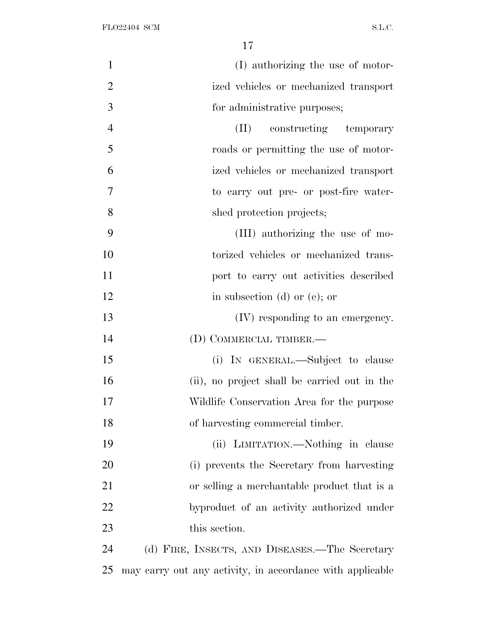| $\mathbf{1}$   | (I) authorizing the use of motor-                         |
|----------------|-----------------------------------------------------------|
| $\overline{2}$ | ized vehicles or mechanized transport                     |
| 3              | for administrative purposes;                              |
| $\overline{4}$ | constructing temporary<br>(II)                            |
| 5              | roads or permitting the use of motor-                     |
| 6              | ized vehicles or mechanized transport                     |
| 7              | to carry out pre- or post-fire water-                     |
| 8              | shed protection projects;                                 |
| 9              | (III) authorizing the use of mo-                          |
| 10             | torized vehicles or mechanized trans-                     |
| 11             | port to carry out activities described                    |
| 12             | in subsection $(d)$ or $(e)$ ; or                         |
| 13             | (IV) responding to an emergency.                          |
| 14             | (D) COMMERCIAL TIMBER.—                                   |
| 15             | (i) IN GENERAL.—Subject to clause                         |
| 16             | (ii), no project shall be carried out in the              |
| 17             | Wildlife Conservation Area for the purpose                |
| 18             | of harvesting commercial timber.                          |
| 19             | (ii) LIMITATION.—Nothing in clause                        |
| 20             | (i) prevents the Secretary from harvesting                |
| 21             | or selling a merchantable product that is a               |
| 22             | byproduct of an activity authorized under                 |
| 23             | this section.                                             |
| 24             | (d) FIRE, INSECTS, AND DISEASES.—The Secretary            |
| 25             | may carry out any activity, in accordance with applicable |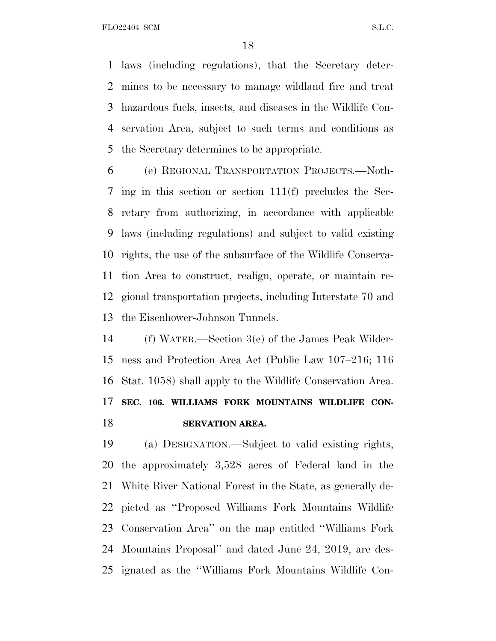FLO22404 SCM S.L.C.

 laws (including regulations), that the Secretary deter- mines to be necessary to manage wildland fire and treat hazardous fuels, insects, and diseases in the Wildlife Con- servation Area, subject to such terms and conditions as the Secretary determines to be appropriate.

 (e) REGIONAL TRANSPORTATION PROJECTS.—Noth- ing in this section or section 111(f) precludes the Sec- retary from authorizing, in accordance with applicable laws (including regulations) and subject to valid existing rights, the use of the subsurface of the Wildlife Conserva- tion Area to construct, realign, operate, or maintain re- gional transportation projects, including Interstate 70 and the Eisenhower-Johnson Tunnels.

 (f) WATER.—Section 3(e) of the James Peak Wilder- ness and Protection Area Act (Public Law 107–216; 116 Stat. 1058) shall apply to the Wildlife Conservation Area. **SEC. 106. WILLIAMS FORK MOUNTAINS WILDLIFE CON-SERVATION AREA.**

 (a) DESIGNATION.—Subject to valid existing rights, the approximately 3,528 acres of Federal land in the White River National Forest in the State, as generally de- picted as ''Proposed Williams Fork Mountains Wildlife Conservation Area'' on the map entitled ''Williams Fork Mountains Proposal'' and dated June 24, 2019, are des-ignated as the ''Williams Fork Mountains Wildlife Con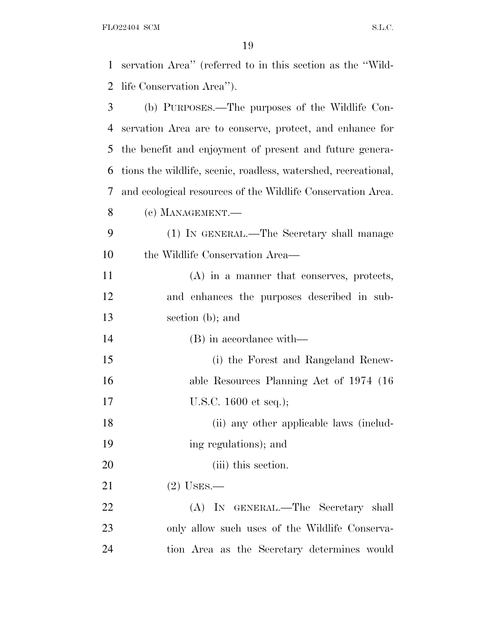FLO22404 SCM S.L.C.

| 1  | servation Area" (referred to in this section as the "Wild-     |
|----|----------------------------------------------------------------|
| 2  | life Conservation Area").                                      |
| 3  | (b) PURPOSES.—The purposes of the Wildlife Con-                |
| 4  | servation Area are to conserve, protect, and enhance for       |
| 5  | the benefit and enjoyment of present and future genera-        |
| 6  | tions the wildlife, scenic, roadless, watershed, recreational, |
| 7  | and ecological resources of the Wildlife Conservation Area.    |
| 8  | (c) MANAGEMENT.—                                               |
| 9  | (1) IN GENERAL.—The Secretary shall manage                     |
| 10 | the Wildlife Conservation Area—                                |
| 11 | (A) in a manner that conserves, protects,                      |
| 12 | and enhances the purposes described in sub-                    |
| 13 | section (b); and                                               |
| 14 | (B) in accordance with—                                        |
| 15 | (i) the Forest and Rangeland Renew-                            |
| 16 | able Resources Planning Act of 1974 (16)                       |
| 17 | U.S.C. 1600 et seq.);                                          |
| 18 | (ii) any other applicable laws (includ-                        |
| 19 | ing regulations); and                                          |
| 20 | (iii) this section.                                            |
| 21 | $(2)$ USES.—                                                   |
| 22 | (A) IN GENERAL.—The Secretary shall                            |
| 23 | only allow such uses of the Wildlife Conserva-                 |
| 24 | tion Area as the Secretary determines would                    |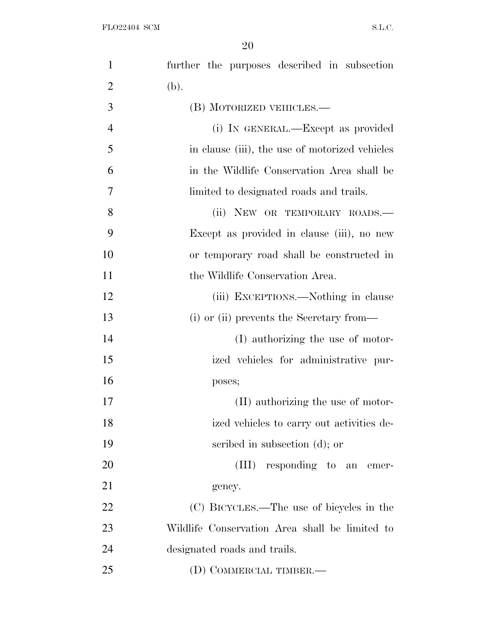| $\mathbf{1}$   | further the purposes described in subsection   |
|----------------|------------------------------------------------|
| $\overline{2}$ | (b).                                           |
| 3              | (B) MOTORIZED VEHICLES.-                       |
| $\overline{4}$ | (i) IN GENERAL.—Except as provided             |
| 5              | in clause (iii), the use of motorized vehicles |
| 6              | in the Wildlife Conservation Area shall be     |
| $\overline{7}$ | limited to designated roads and trails.        |
| 8              | (ii) NEW OR TEMPORARY ROADS.                   |
| 9              | Except as provided in clause (iii), no new     |
| 10             | or temporary road shall be constructed in      |
| 11             | the Wildlife Conservation Area.                |
| 12             | (iii) EXCEPTIONS.—Nothing in clause            |
| 13             | (i) or (ii) prevents the Secretary from—       |
| 14             | (I) authorizing the use of motor-              |
| 15             | ized vehicles for administrative pur-          |
| 16             | poses;                                         |
| 17             | (II) authorizing the use of motor-             |
| 18             | ized vehicles to carry out activities de-      |
| 19             | scribed in subsection (d); or                  |
| 20             | (III) responding to an emer-                   |
| 21             | gency.                                         |
| 22             | (C) BICYCLES.—The use of bicycles in the       |
| 23             | Wildlife Conservation Area shall be limited to |
| 24             | designated roads and trails.                   |
| 25             | (D) COMMERCIAL TIMBER.—                        |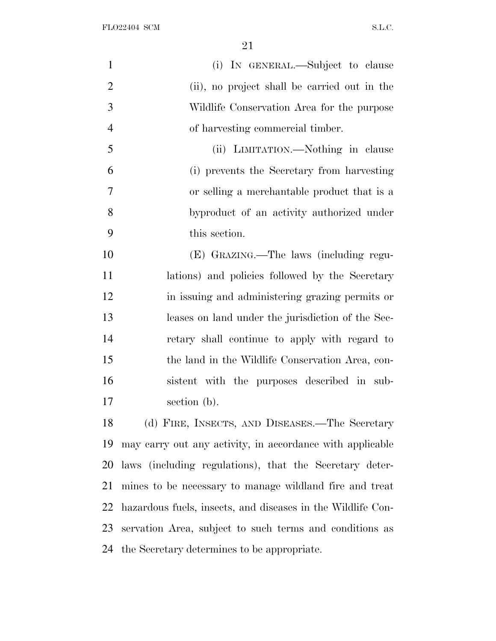| $\mathbf{1}$   | (i) IN GENERAL.—Subject to clause                           |
|----------------|-------------------------------------------------------------|
| $\overline{2}$ | (ii), no project shall be carried out in the                |
| 3              | Wildlife Conservation Area for the purpose                  |
| $\overline{4}$ | of harvesting commercial timber.                            |
| 5              | (ii) LIMITATION.—Nothing in clause                          |
| 6              | (i) prevents the Secretary from harvesting                  |
| 7              | or selling a merchantable product that is a                 |
| 8              | byproduct of an activity authorized under                   |
| 9              | this section.                                               |
| 10             | (E) GRAZING.—The laws (including regu-                      |
| 11             | lations) and policies followed by the Secretary             |
| 12             | in issuing and administering grazing permits or             |
| 13             | leases on land under the jurisdiction of the Sec-           |
| 14             | retary shall continue to apply with regard to               |
| 15             | the land in the Wildlife Conservation Area, con-            |
| 16             | sistent with the purposes described in sub-                 |
| 17             | section (b).                                                |
| 18             | (d) FIRE, INSECTS, AND DISEASES.—The Secretary              |
| 19             | may carry out any activity, in accordance with applicable   |
| 20             | laws (including regulations), that the Secretary deter-     |
| 21             | mines to be necessary to manage wildland fire and treat     |
| 22             | hazardous fuels, insects, and diseases in the Wildlife Con- |
| 23             | servation Area, subject to such terms and conditions as     |
| 24             | the Secretary determines to be appropriate.                 |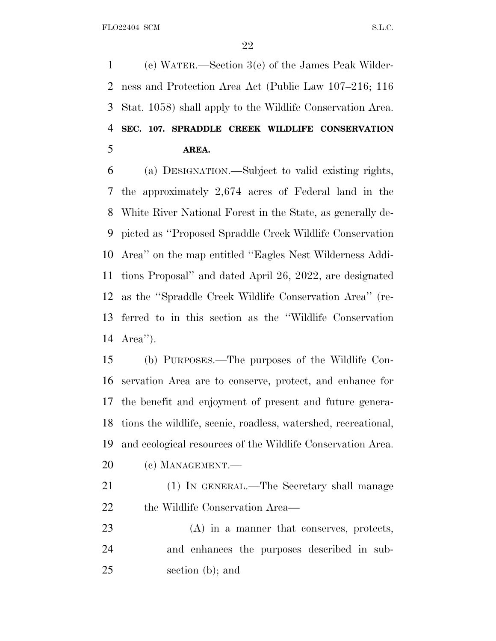(e) WATER.—Section 3(e) of the James Peak Wilder- ness and Protection Area Act (Public Law 107–216; 116 Stat. 1058) shall apply to the Wildlife Conservation Area. **SEC. 107. SPRADDLE CREEK WILDLIFE CONSERVATION AREA.**

 (a) DESIGNATION.—Subject to valid existing rights, the approximately 2,674 acres of Federal land in the White River National Forest in the State, as generally de- picted as ''Proposed Spraddle Creek Wildlife Conservation Area'' on the map entitled ''Eagles Nest Wilderness Addi- tions Proposal'' and dated April 26, 2022, are designated as the ''Spraddle Creek Wildlife Conservation Area'' (re- ferred to in this section as the ''Wildlife Conservation Area'').

 (b) PURPOSES.—The purposes of the Wildlife Con- servation Area are to conserve, protect, and enhance for the benefit and enjoyment of present and future genera- tions the wildlife, scenic, roadless, watershed, recreational, and ecological resources of the Wildlife Conservation Area.

- (c) MANAGEMENT.—
- (1) IN GENERAL.—The Secretary shall manage the Wildlife Conservation Area—
- (A) in a manner that conserves, protects, and enhances the purposes described in sub-section (b); and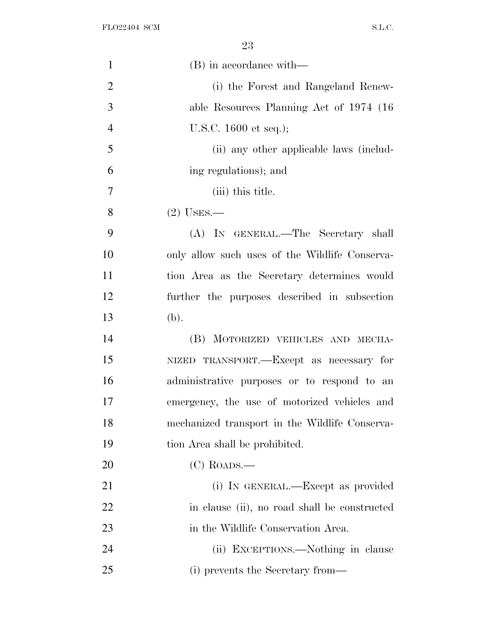| $\mathbf{1}$   | (B) in accordance with—                        |
|----------------|------------------------------------------------|
| $\overline{2}$ | (i) the Forest and Rangeland Renew-            |
| 3              | able Resources Planning Act of 1974 (16)       |
| $\overline{4}$ | U.S.C. $1600$ et seq.);                        |
| 5              | (ii) any other applicable laws (includ-        |
| 6              | ing regulations); and                          |
| 7              | (iii) this title.                              |
| 8              | $(2)$ USES.—                                   |
| 9              | (A) IN GENERAL.—The Secretary shall            |
| 10             | only allow such uses of the Wildlife Conserva- |
| 11             | tion Area as the Secretary determines would    |
| 12             | further the purposes described in subsection   |
| 13             | (b).                                           |
| 14             | (B) MOTORIZED VEHICLES AND MECHA-              |
| 15             | NIZED TRANSPORT.—Except as necessary for       |
| 16             | administrative purposes or to respond to an    |
| 17             | emergency, the use of motorized vehicles and   |
| 18             | mechanized transport in the Wildlife Conserva- |
| 19             | tion Area shall be prohibited.                 |
| 20             | $(C)$ ROADS.—                                  |
| 21             | (i) IN GENERAL.—Except as provided             |
| 22             | in clause (ii), no road shall be constructed   |
| 23             | in the Wildlife Conservation Area.             |
| 24             | (ii) EXCEPTIONS.—Nothing in clause             |
| 25             | (i) prevents the Secretary from—               |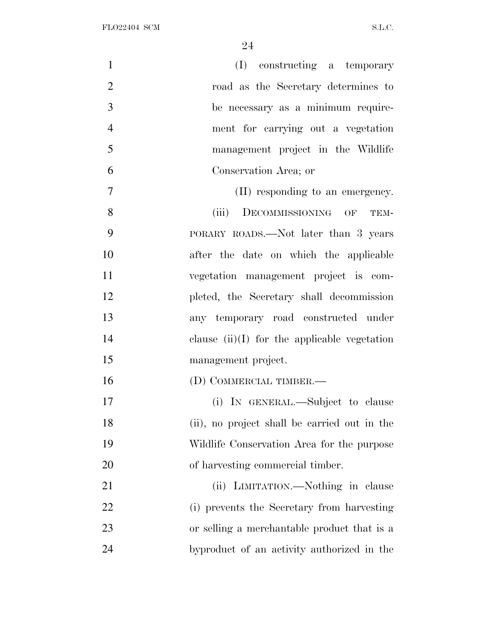| $\mathbf{1}$   | (I) constructing a temporary                   |
|----------------|------------------------------------------------|
| $\overline{2}$ | road as the Secretary determines to            |
| 3              | be necessary as a minimum require-             |
| $\overline{4}$ | ment for carrying out a vegetation             |
| 5              | management project in the Wildlife             |
| 6              | Conservation Area; or                          |
| $\overline{7}$ | (II) responding to an emergency.               |
| 8              | DECOMMISSIONING OF<br>(iii)<br>TEM-            |
| 9              | PORARY ROADS.—Not later than 3 years           |
| 10             | after the date on which the applicable         |
| 11             | vegetation management project is com-          |
| 12             | pleted, the Secretary shall decommission       |
| 13             | any temporary road constructed under           |
| 14             | clause $(ii)(I)$ for the applicable vegetation |
| 15             | management project.                            |
| 16             | (D) COMMERCIAL TIMBER.—                        |
| 17             | (i) IN GENERAL.—Subject to clause              |
| 18             | (ii), no project shall be carried out in the   |
| 19             | Wildlife Conservation Area for the purpose     |
| 20             | of harvesting commercial timber.               |
| 21             | (ii) LIMITATION.—Nothing in clause             |
| 22             | (i) prevents the Secretary from harvesting     |
| 23             | or selling a merchantable product that is a    |
| 24             | byproduct of an activity authorized in the     |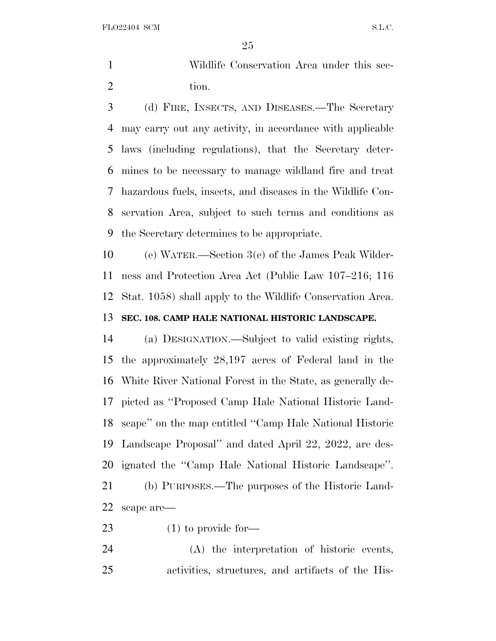FLO22404 SCM S.L.C.

 Wildlife Conservation Area under this sec-2 tion.

 (d) FIRE, INSECTS, AND DISEASES.—The Secretary may carry out any activity, in accordance with applicable laws (including regulations), that the Secretary deter- mines to be necessary to manage wildland fire and treat hazardous fuels, insects, and diseases in the Wildlife Con- servation Area, subject to such terms and conditions as the Secretary determines to be appropriate.

 (e) WATER.—Section 3(e) of the James Peak Wilder- ness and Protection Area Act (Public Law 107–216; 116 Stat. 1058) shall apply to the Wildlife Conservation Area. **SEC. 108. CAMP HALE NATIONAL HISTORIC LANDSCAPE.**

 (a) DESIGNATION.—Subject to valid existing rights, the approximately 28,197 acres of Federal land in the White River National Forest in the State, as generally de- picted as ''Proposed Camp Hale National Historic Land- scape'' on the map entitled ''Camp Hale National Historic Landscape Proposal'' and dated April 22, 2022, are des- ignated the ''Camp Hale National Historic Landscape''. (b) PURPOSES.—The purposes of the Historic Land-scape are—

(1) to provide for—

 (A) the interpretation of historic events, activities, structures, and artifacts of the His-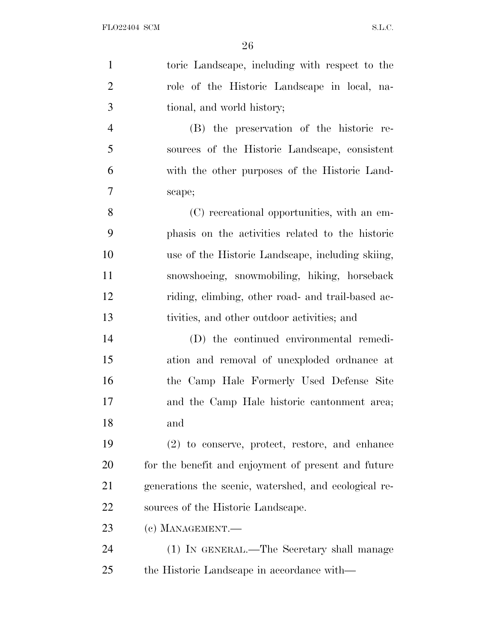| $\mathbf{1}$   | toric Landscape, including with respect to the        |
|----------------|-------------------------------------------------------|
| $\overline{2}$ | role of the Historic Landscape in local, na-          |
| 3              | tional, and world history;                            |
| $\overline{4}$ | (B) the preservation of the historic re-              |
| 5              | sources of the Historic Landscape, consistent         |
| 6              | with the other purposes of the Historic Land-         |
| 7              | scape;                                                |
| 8              | (C) recreational opportunities, with an em-           |
| 9              | phasis on the activities related to the historic      |
| 10             | use of the Historic Landscape, including skiing,      |
| 11             | snowshoeing, snowmobiling, hiking, horseback          |
| 12             | riding, elimbing, other road- and trail-based ac-     |
| 13             | tivities, and other outdoor activities; and           |
| 14             | (D) the continued environmental remedi-               |
| 15             | ation and removal of unexploded ordinance at          |
| 16             | the Camp Hale Formerly Used Defense Site              |
| 17             | and the Camp Hale historic cantonment area;           |
| 18             | and                                                   |
| 19             | (2) to conserve, protect, restore, and enhance        |
| 20             | for the benefit and enjoyment of present and future   |
| 21             | generations the scenic, watershed, and ecological re- |
| 22             | sources of the Historic Landscape.                    |
| 23             | (c) MANAGEMENT.-                                      |
| 24             | (1) IN GENERAL.—The Secretary shall manage            |
| 25             | the Historic Landscape in accordance with—            |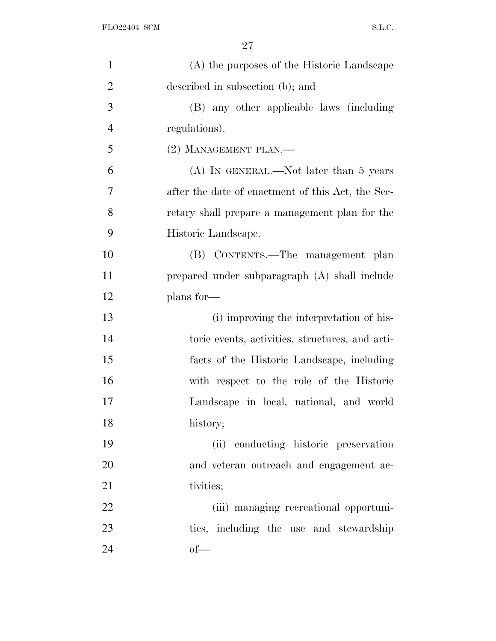| $\mathbf{1}$   | (A) the purposes of the Historic Landscape        |
|----------------|---------------------------------------------------|
| $\overline{2}$ | described in subsection (b); and                  |
| 3              | (B) any other applicable laws (including          |
| $\overline{4}$ | regulations).                                     |
| 5              | (2) MANAGEMENT PLAN.-                             |
| 6              | $(A)$ In GENERAL.—Not later than 5 years          |
| 7              | after the date of enactment of this Act, the Sec- |
| 8              | retary shall prepare a management plan for the    |
| 9              | Historic Landscape.                               |
| 10             | (B) CONTENTS.—The management plan                 |
| 11             | prepared under subparagraph (A) shall include     |
| 12             | plans for-                                        |
| 13             | (i) improving the interpretation of his-          |
| 14             | toric events, activities, structures, and arti-   |
| 15             | facts of the Historic Landscape, including        |
| 16             | with respect to the role of the Historic          |
| 17             | Landscape in local, national, and world           |
| 18             | history;                                          |
| 19             | (ii) conducting historic preservation             |
| 20             | and veteran outreach and engagement ac-           |
| 21             | tivities;                                         |
| 22             | (iii) managing recreational opportuni-            |
| 23             | ties, including the use and stewardship           |
| 24             | $of$ —                                            |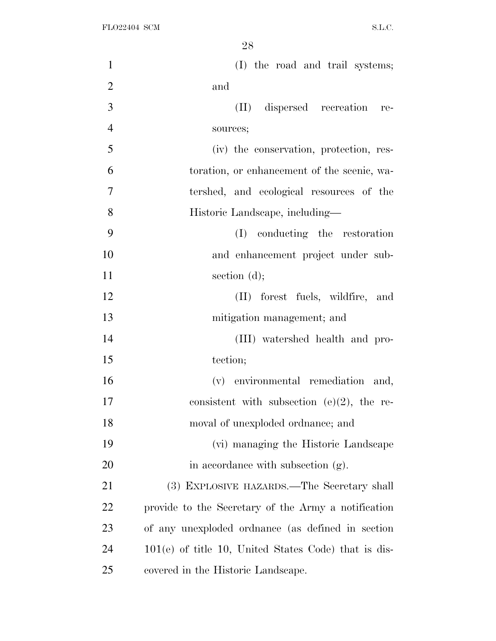| $\mathbf{1}$   | (I) the road and trail systems;                        |
|----------------|--------------------------------------------------------|
| $\overline{2}$ | and                                                    |
| 3              | (II) dispersed recreation re-                          |
| $\overline{4}$ | sources;                                               |
| 5              | (iv) the conservation, protection, res-                |
| 6              | toration, or enhancement of the scenic, wa-            |
| $\overline{7}$ | tershed, and ecological resources of the               |
| 8              | Historic Landscape, including—                         |
| 9              | (I) conducting the restoration                         |
| 10             | and enhancement project under sub-                     |
| 11             | section $(d)$ ;                                        |
| 12             | (II) forest fuels, wildfire, and                       |
| 13             | mitigation management; and                             |
| 14             | (III) watershed health and pro-                        |
| 15             | tection;                                               |
| 16             | (v) environmental remediation and,                     |
| 17             | consistent with subsection $(e)(2)$ , the re-          |
| 18             | moval of unexploded ordnance; and                      |
| 19             | (vi) managing the Historic Landscape                   |
| 20             | in accordance with subsection (g).                     |
| 21             | (3) EXPLOSIVE HAZARDS.—The Secretary shall             |
| 22             | provide to the Secretary of the Army a notification    |
| 23             | of any unexploded ordinance (as defined in section     |
| 24             | $101(e)$ of title 10, United States Code) that is dis- |
| 25             | covered in the Historic Landscape.                     |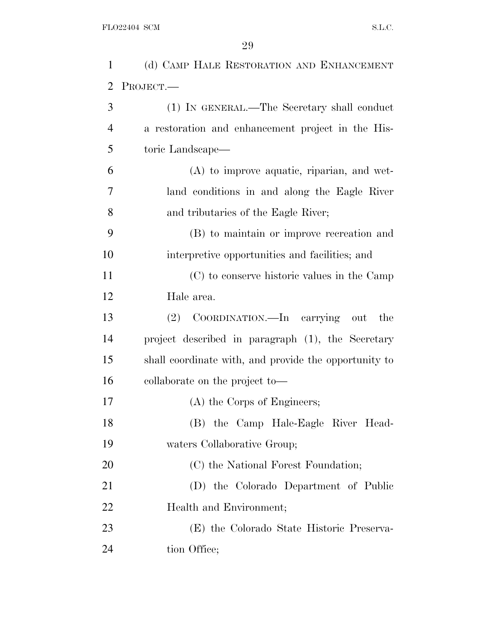| $\mathbf{1}$   | (d) CAMP HALE RESTORATION AND ENHANCEMENT             |
|----------------|-------------------------------------------------------|
| $\overline{2}$ | PROJECT.                                              |
| 3              | (1) IN GENERAL.—The Secretary shall conduct           |
| $\overline{4}$ | a restoration and enhancement project in the His-     |
| 5              | toric Landscape—                                      |
| 6              | $(A)$ to improve aquatic, riparian, and wet-          |
| 7              | land conditions in and along the Eagle River          |
| 8              | and tributaries of the Eagle River;                   |
| 9              | (B) to maintain or improve recreation and             |
| 10             | interpretive opportunities and facilities; and        |
| 11             | (C) to conserve historic values in the Camp           |
| 12             | Hale area.                                            |
| 13             | (2) COORDINATION.—In carrying out<br>the              |
| 14             | project described in paragraph (1), the Secretary     |
| 15             | shall coordinate with, and provide the opportunity to |
| 16             | collaborate on the project to-                        |
| 17             | (A) the Corps of Engineers;                           |
| 18             | (B) the Camp Hale-Eagle River Head-                   |
| 19             | waters Collaborative Group;                           |
| 20             | (C) the National Forest Foundation;                   |
| 21             | (D) the Colorado Department of Public                 |
| 22             | Health and Environment;                               |
| 23             | (E) the Colorado State Historic Preserva-             |
| 24             | tion Office;                                          |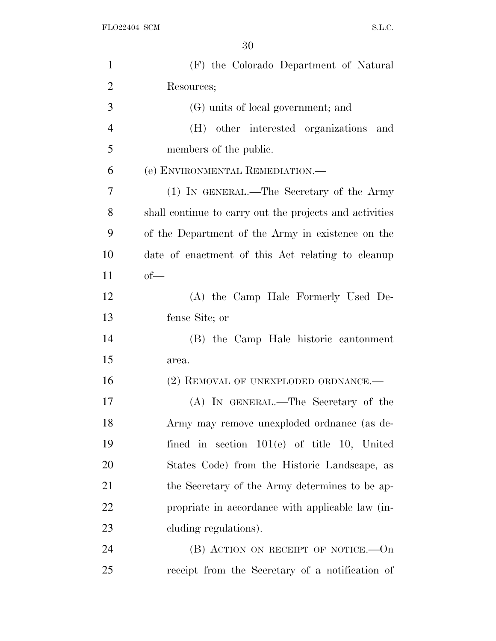| $\mathbf{1}$   | (F) the Colorado Department of Natural                  |
|----------------|---------------------------------------------------------|
| $\overline{2}$ | Resources;                                              |
| 3              | (G) units of local government; and                      |
| $\overline{4}$ | (H) other interested organizations and                  |
| 5              | members of the public.                                  |
| 6              | (e) ENVIRONMENTAL REMEDIATION.—                         |
| 7              | (1) IN GENERAL.—The Secretary of the Army               |
| 8              | shall continue to carry out the projects and activities |
| 9              | of the Department of the Army in existence on the       |
| 10             | date of enactment of this Act relating to cleanup       |
| 11             | $of$ —                                                  |
| 12             | (A) the Camp Hale Formerly Used De-                     |
| 13             | fense Site; or                                          |
| 14             | (B) the Camp Hale historic cantonment                   |
| 15             | area.                                                   |
| 16             | (2) REMOVAL OF UNEXPLODED ORDNANCE.—                    |
| 17             | (A) IN GENERAL.—The Secretary of the                    |
| 18             | Army may remove unexploded ordnance (as de-             |
| 19             | fined in section $101(e)$ of title 10, United           |
| 20             | States Code) from the Historic Landscape, as            |
| 21             | the Secretary of the Army determines to be ap-          |
| 22             | propriate in accordance with applicable law (in-        |
| 23             | eluding regulations).                                   |
| 24             | $(B)$ ACTION ON RECEIPT OF NOTICE.—On                   |
| 25             | receipt from the Secretary of a notification of         |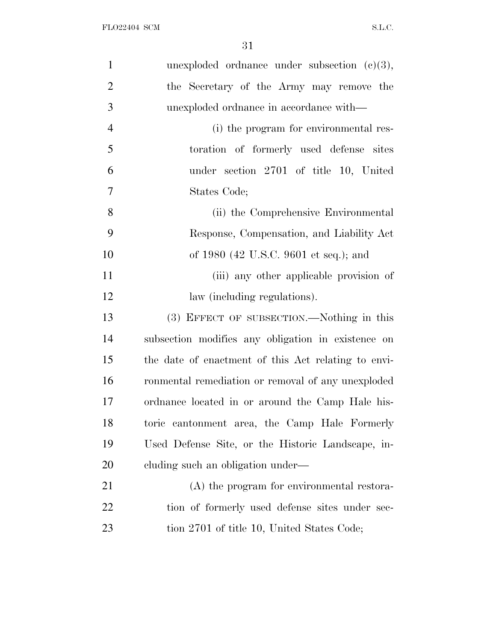| $\mathbf{1}$   | unexploded ordinance under subsection $(c)(3)$ ,    |
|----------------|-----------------------------------------------------|
| $\overline{2}$ | the Secretary of the Army may remove the            |
| 3              | unexploded ordinance in accordance with—            |
| $\overline{4}$ | (i) the program for environmental res-              |
| 5              | toration of formerly used defense sites             |
| 6              | under section 2701 of title 10, United              |
| 7              | States Code;                                        |
| 8              | (ii) the Comprehensive Environmental                |
| 9              | Response, Compensation, and Liability Act           |
| 10             | of 1980 (42 U.S.C. 9601 et seq.); and               |
| 11             | (iii) any other applicable provision of             |
| 12             | law (including regulations).                        |
| 13             | (3) EFFECT OF SUBSECTION.—Nothing in this           |
| 14             | subsection modifies any obligation in existence on  |
| 15             | the date of enactment of this Act relating to envi- |
| 16             | ronmental remediation or removal of any unexploded  |
| 17             | ordnance located in or around the Camp Hale his-    |
| 18             | toric cantonment area, the Camp Hale Formerly       |
| 19             | Used Defense Site, or the Historic Landscape, in-   |
| 20             | eluding such an obligation under—                   |
| 21             | (A) the program for environmental restora-          |
| 22             | tion of formerly used defense sites under sec-      |
| 23             | tion 2701 of title 10, United States Code;          |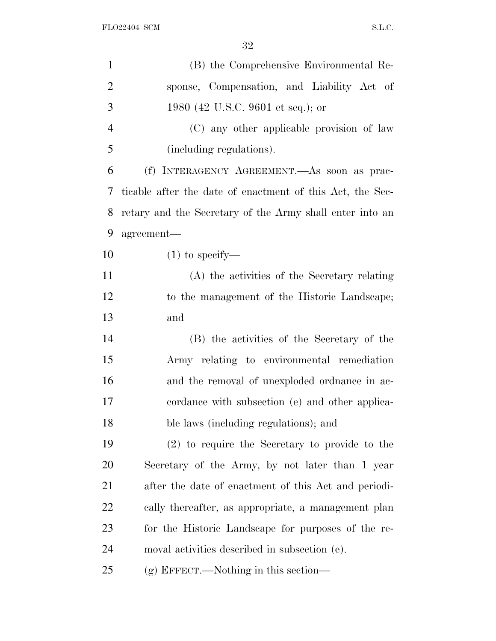| $\mathbf{1}$   | (B) the Comprehensive Environmental Re-                   |
|----------------|-----------------------------------------------------------|
| $\overline{2}$ | sponse, Compensation, and Liability Act of                |
| 3              | 1980 (42 U.S.C. 9601 et seq.); or                         |
| $\overline{4}$ | (C) any other applicable provision of law                 |
| 5              | (including regulations).                                  |
| 6              | (f) INTERAGENCY AGREEMENT.—As soon as prac-               |
| 7              | ticable after the date of enactment of this Act, the Sec- |
| 8              | retary and the Secretary of the Army shall enter into an  |
| 9              | agreement-                                                |
| 10             | $(1)$ to specify—                                         |
| 11             | (A) the activities of the Secretary relating              |
| 12             | to the management of the Historic Landscape;              |
| 13             | and                                                       |
| 14             | (B) the activities of the Secretary of the                |
| 15             | Army relating to environmental remediation                |
| 16             | and the removal of unexploded ordinance in ac-            |
| 17             | cordance with subsection (e) and other applica-           |
| 18             | ble laws (including regulations); and                     |
| 19             | (2) to require the Secretary to provide to the            |
| 20             | Secretary of the Army, by not later than 1 year           |
| 21             | after the date of enactment of this Act and periodi-      |
| 22             | cally thereafter, as appropriate, a management plan       |
| 23             | for the Historic Landscape for purposes of the re-        |
| 24             | moval activities described in subsection (e).             |
| 25             | $(g)$ EFFECT.—Nothing in this section—                    |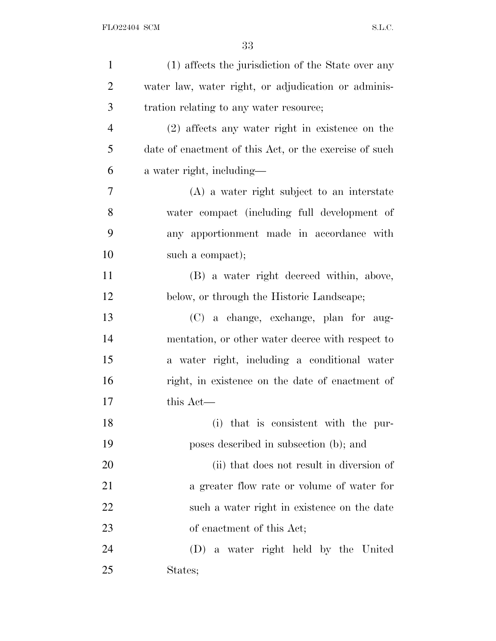| $\mathbf{1}$   | (1) affects the jurisdiction of the State over any     |
|----------------|--------------------------------------------------------|
| $\overline{2}$ | water law, water right, or adjudication or adminis-    |
| 3              | tration relating to any water resource;                |
| $\overline{4}$ | (2) affects any water right in existence on the        |
| 5              | date of enactment of this Act, or the exercise of such |
| 6              | a water right, including—                              |
| 7              | $(A)$ a water right subject to an interstate           |
| 8              | water compact (including full development of           |
| 9              | any apportionment made in accordance with              |
| 10             | such a compact);                                       |
| 11             | (B) a water right decreed within, above,               |
| 12             | below, or through the Historic Landscape;              |
| 13             | (C) a change, exchange, plan for aug-                  |
| 14             | mentation, or other water decree with respect to       |
| 15             | a water right, including a conditional water           |
| 16             | right, in existence on the date of enactment of        |
| 17             | this Act—                                              |
| 18             | (i) that is consistent with the pur-                   |
| 19             | poses described in subsection (b); and                 |
| 20             | (ii) that does not result in diversion of              |
| 21             | a greater flow rate or volume of water for             |
| <u>22</u>      | such a water right in existence on the date            |
| 23             | of enactment of this Act;                              |
| 24             | (D) a water right held by the United                   |
| 25             | States;                                                |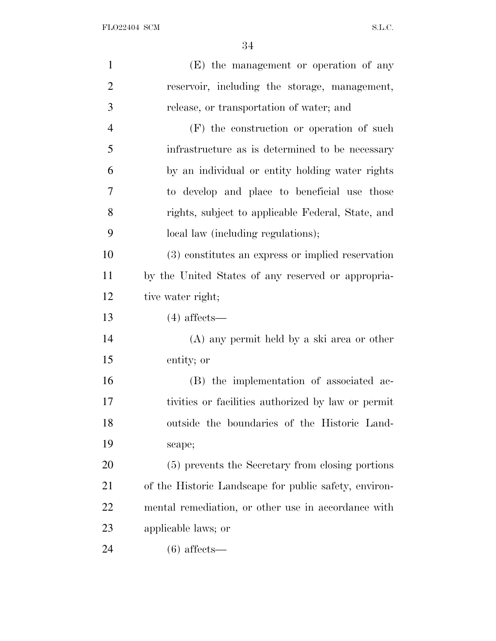| $\mathbf{1}$   | (E) the management or operation of any                |
|----------------|-------------------------------------------------------|
| $\overline{2}$ | reservoir, including the storage, management,         |
| 3              | release, or transportation of water; and              |
| $\overline{4}$ | $(F)$ the construction or operation of such           |
| 5              | infrastructure as is determined to be necessary       |
| 6              | by an individual or entity holding water rights       |
| 7              | to develop and place to beneficial use those          |
| 8              | rights, subject to applicable Federal, State, and     |
| 9              | local law (including regulations);                    |
| 10             | (3) constitutes an express or implied reservation     |
| 11             | by the United States of any reserved or appropria-    |
| 12             | tive water right;                                     |
| 13             | $(4)$ affects—                                        |
| 14             | $(A)$ any permit held by a ski area or other          |
| 15             | entity; or                                            |
| 16             | (B) the implementation of associated ac-              |
| 17             | tivities or facilities authorized by law or permit    |
| 18             | outside the boundaries of the Historic Land-          |
| 19             | scape;                                                |
| 20             | (5) prevents the Secretary from closing portions      |
| 21             | of the Historic Landscape for public safety, environ- |
| 22             | mental remediation, or other use in accordance with   |
| 23             | applicable laws; or                                   |
| 24             | $(6)$ affects—                                        |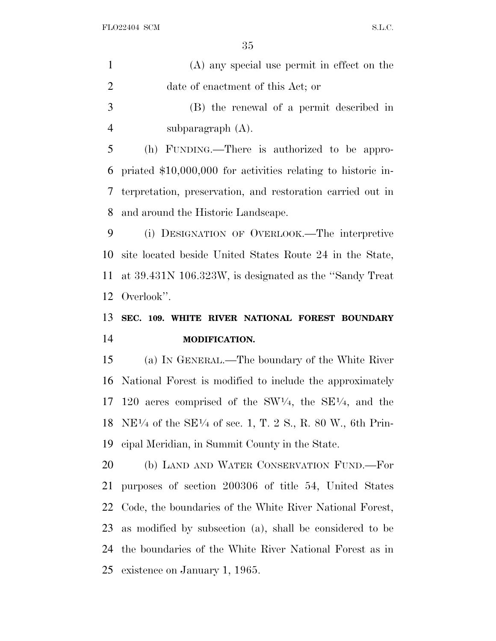| $\mathbf{1}$   | (A) any special use permit in effect on the                                                                     |
|----------------|-----------------------------------------------------------------------------------------------------------------|
| $\overline{2}$ | date of enactment of this Act; or                                                                               |
| 3              | (B) the renewal of a permit described in                                                                        |
| $\overline{4}$ | subparagraph $(A)$ .                                                                                            |
| 5              | (h) FUNDING.—There is authorized to be appro-                                                                   |
| 6              | priated \$10,000,000 for activities relating to historic in-                                                    |
| 7              | terpretation, preservation, and restoration carried out in                                                      |
| 8              | and around the Historic Landscape.                                                                              |
| 9              | (i) DESIGNATION OF OVERLOOK.—The interpretive                                                                   |
| 10             | site located beside United States Route 24 in the State,                                                        |
| 11             | at 39.431N 106.323W, is designated as the "Sandy Treat"                                                         |
| 12             | Overlook".                                                                                                      |
|                |                                                                                                                 |
| 13             | SEC. 109. WHITE RIVER NATIONAL FOREST BOUNDARY                                                                  |
| 14             | MODIFICATION.                                                                                                   |
| 15             | (a) IN GENERAL.—The boundary of the White River                                                                 |
| 16             | National Forest is modified to include the approximately                                                        |
| 17             | 120 acres comprised of the $SW1/4$ , the $SE1/4$ , and the                                                      |
|                | 18 NE <sup><math>1/4</math></sup> of the SE <sup><math>1/4</math></sup> of sec. 1, T. 2 S., R. 80 W., 6th Prin- |
| 19             | eipal Meridian, in Summit County in the State.                                                                  |
| 20             | (b) LAND AND WATER CONSERVATION FUND.—For                                                                       |
| 21             | purposes of section 200306 of title 54, United States                                                           |
| 22             | Code, the boundaries of the White River National Forest,                                                        |
| 23             | as modified by subsection (a), shall be considered to be                                                        |
| 24             | the boundaries of the White River National Forest as in                                                         |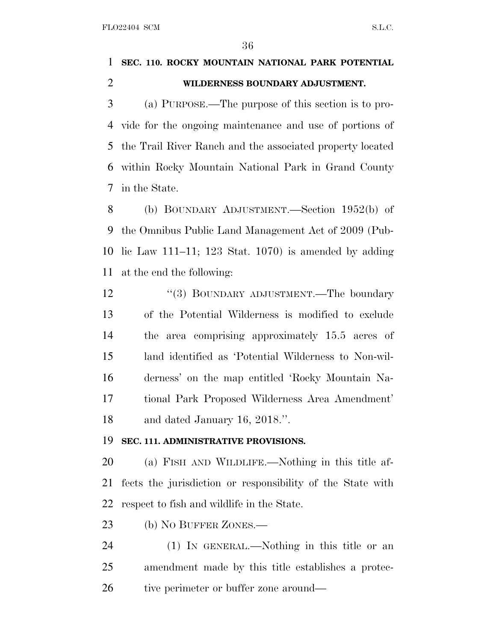# **SEC. 110. ROCKY MOUNTAIN NATIONAL PARK POTENTIAL WILDERNESS BOUNDARY ADJUSTMENT.**

 (a) PURPOSE.—The purpose of this section is to pro- vide for the ongoing maintenance and use of portions of the Trail River Ranch and the associated property located within Rocky Mountain National Park in Grand County in the State.

 (b) BOUNDARY ADJUSTMENT.—Section 1952(b) of the Omnibus Public Land Management Act of 2009 (Pub- lic Law 111–11; 123 Stat. 1070) is amended by adding at the end the following:

12 "(3) BOUNDARY ADJUSTMENT.—The boundary of the Potential Wilderness is modified to exclude the area comprising approximately 15.5 acres of land identified as 'Potential Wilderness to Non-wil- derness' on the map entitled 'Rocky Mountain Na- tional Park Proposed Wilderness Area Amendment' and dated January 16, 2018.''.

## **SEC. 111. ADMINISTRATIVE PROVISIONS.**

 (a) FISH AND WILDLIFE.—Nothing in this title af- fects the jurisdiction or responsibility of the State with respect to fish and wildlife in the State.

23 (b) NO BUFFER ZONES.—

 (1) IN GENERAL.—Nothing in this title or an amendment made by this title establishes a protec-26 tive perimeter or buffer zone around—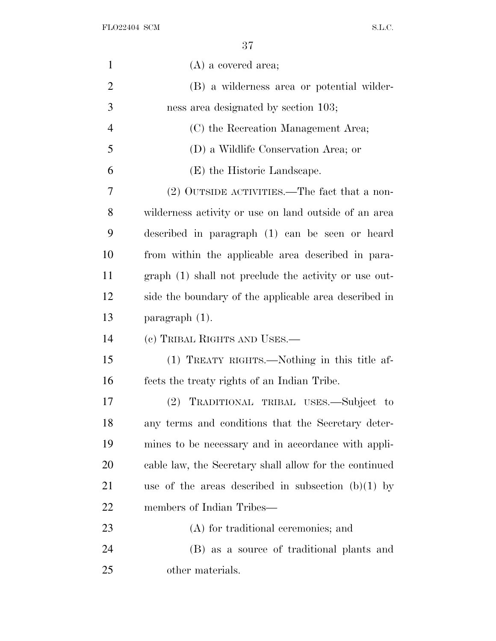FLO22404 SCM  $SL.C.$ 

| $\mathbf{1}$   | $(A)$ a covered area;                                  |
|----------------|--------------------------------------------------------|
| $\overline{2}$ | (B) a wilderness area or potential wilder-             |
| 3              | ness area designated by section 103;                   |
| $\overline{4}$ | (C) the Recreation Management Area;                    |
| 5              | (D) a Wildlife Conservation Area; or                   |
| 6              | (E) the Historic Landscape.                            |
| 7              | (2) OUTSIDE ACTIVITIES.—The fact that a non-           |
| 8              | wilderness activity or use on land outside of an area  |
| 9              | described in paragraph (1) can be seen or heard        |
| 10             | from within the applicable area described in para-     |
| 11             | graph (1) shall not preclude the activity or use out-  |
| 12             | side the boundary of the applicable area described in  |
| 13             | paragraph $(1)$ .                                      |
| 14             | (c) TRIBAL RIGHTS AND USES.—                           |
| 15             | (1) TREATY RIGHTS.—Nothing in this title af-           |
| 16             | fects the treaty rights of an Indian Tribe.            |
| 17             | TRADITIONAL TRIBAL USES.-Subject to<br>(2)             |
| 18             | any terms and conditions that the Secretary deter-     |
| 19             | mines to be necessary and in accordance with appli-    |
| 20             | cable law, the Secretary shall allow for the continued |
| 21             | use of the areas described in subsection $(b)(1)$ by   |
| 22             | members of Indian Tribes—                              |
| 23             | (A) for traditional ceremonies; and                    |
|                |                                                        |
| 24             | (B) as a source of traditional plants and              |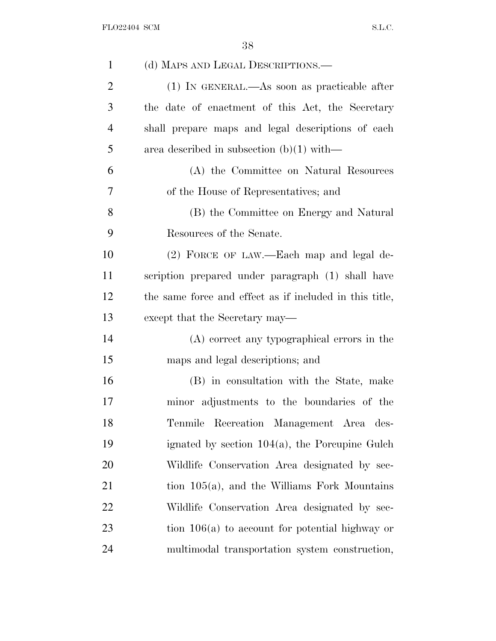| $\mathbf{1}$   | (d) MAPS AND LEGAL DESCRIPTIONS.—                       |
|----------------|---------------------------------------------------------|
| $\overline{2}$ | $(1)$ In GENERAL.—As soon as practicable after          |
| 3              | the date of enactment of this Act, the Secretary        |
| $\overline{4}$ | shall prepare maps and legal descriptions of each       |
| 5              | area described in subsection $(b)(1)$ with—             |
| 6              | (A) the Committee on Natural Resources                  |
| 7              | of the House of Representatives; and                    |
| 8              | (B) the Committee on Energy and Natural                 |
| 9              | Resources of the Senate.                                |
| 10             | (2) FORCE OF LAW.—Each map and legal de-                |
| 11             | scription prepared under paragraph (1) shall have       |
| 12             | the same force and effect as if included in this title, |
| 13             | except that the Secretary may—                          |
| 14             | (A) correct any typographical errors in the             |
| 15             | maps and legal descriptions; and                        |
| 16             | (B) in consultation with the State, make                |
| 17             | minor adjustments to the boundaries of the              |
| 18             | Tenmile Recreation Management Area des-                 |
| 19             | ignated by section $104(a)$ , the Porcupine Gulch       |
| 20             | Wildlife Conservation Area designated by sec-           |
| 21             | tion $105(a)$ , and the Williams Fork Mountains         |
| 22             | Wildlife Conservation Area designated by sec-           |
| 23             | tion $106(a)$ to account for potential highway or       |
| 24             | multimodal transportation system construction,          |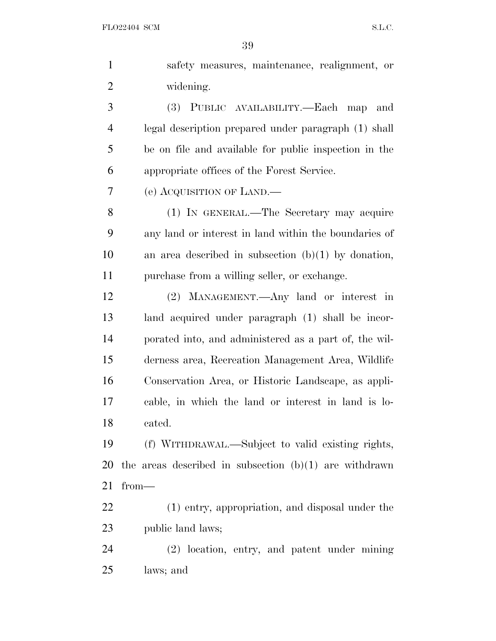| $\mathbf{1}$   | safety measures, maintenance, realignment, or            |
|----------------|----------------------------------------------------------|
| $\overline{2}$ | widening.                                                |
| 3              | (3) PUBLIC AVAILABILITY.—Each map<br>and                 |
| 4              | legal description prepared under paragraph (1) shall     |
| 5              | be on file and available for public inspection in the    |
| 6              | appropriate offices of the Forest Service.               |
| 7              | (e) ACQUISITION OF LAND.                                 |
| 8              | (1) IN GENERAL.—The Secretary may acquire                |
| 9              | any land or interest in land within the boundaries of    |
| 10             | an area described in subsection $(b)(1)$ by donation,    |
| 11             | purchase from a willing seller, or exchange.             |
| 12             | (2) MANAGEMENT.—Any land or interest in                  |
| 13             | land acquired under paragraph (1) shall be incor-        |
| 14             | porated into, and administered as a part of, the wil-    |
| 15             | derness area, Recreation Management Area, Wildlife       |
| 16             | Conservation Area, or Historic Landscape, as appli-      |
| 17             | cable, in which the land or interest in land is lo-      |
| 18             | cated.                                                   |
| 19             | (f) WITHDRAWAL.—Subject to valid existing rights,        |
| 20             | the areas described in subsection $(b)(1)$ are withdrawn |
| 21             | $from-$                                                  |
| 22             | (1) entry, appropriation, and disposal under the         |
| 23             | public land laws;                                        |
| 24             | (2) location, entry, and patent under mining             |
| 25             | laws; and                                                |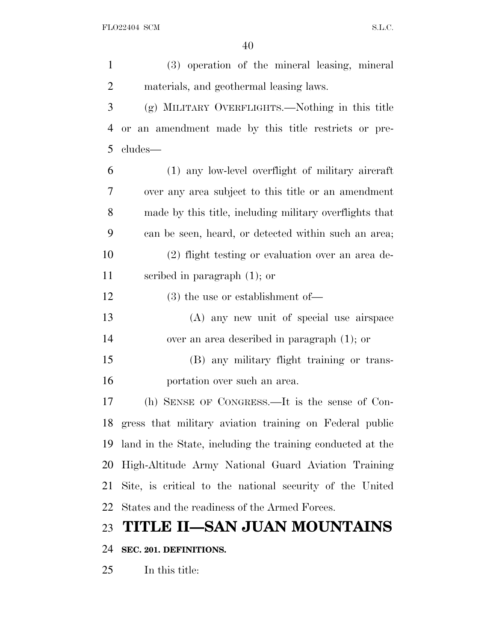(3) operation of the mineral leasing, mineral materials, and geothermal leasing laws. (g) MILITARY OVERFLIGHTS.—Nothing in this title or an amendment made by this title restricts or pre- cludes— (1) any low-level overflight of military aircraft over any area subject to this title or an amendment made by this title, including military overflights that can be seen, heard, or detected within such an area; (2) flight testing or evaluation over an area de- scribed in paragraph (1); or (3) the use or establishment of— (A) any new unit of special use airspace over an area described in paragraph (1); or (B) any military flight training or trans- portation over such an area. (h) SENSE OF CONGRESS.—It is the sense of Con- gress that military aviation training on Federal public land in the State, including the training conducted at the High-Altitude Army National Guard Aviation Training Site, is critical to the national security of the United States and the readiness of the Armed Forces. **TITLE II—SAN JUAN MOUNTAINS SEC. 201. DEFINITIONS.**

In this title: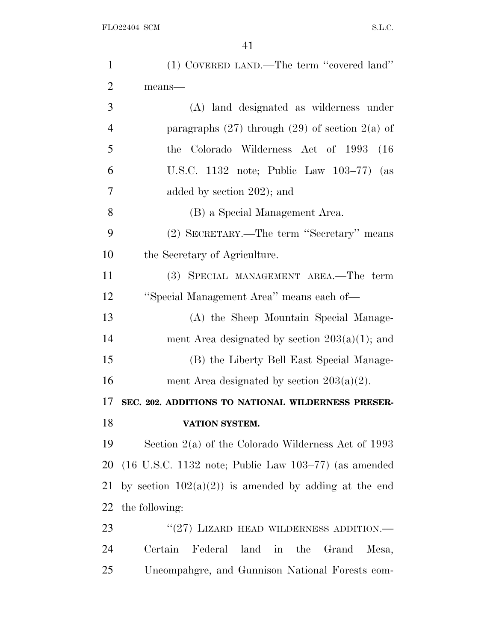| $\mathbf{1}$   | (1) COVERED LAND.—The term "covered land"                                        |
|----------------|----------------------------------------------------------------------------------|
| $\overline{2}$ | means-                                                                           |
| 3              | (A) land designated as wilderness under                                          |
| $\overline{4}$ | paragraphs $(27)$ through $(29)$ of section $2(a)$ of                            |
| 5              | the Colorado Wilderness Act of 1993<br>(16)                                      |
| 6              | U.S.C. 1132 note; Public Law $103-77$ (as                                        |
| 7              | added by section 202); and                                                       |
| 8              | (B) a Special Management Area.                                                   |
| 9              | (2) SECRETARY.—The term "Secretary" means                                        |
| 10             | the Secretary of Agriculture.                                                    |
| 11             | (3) SPECIAL MANAGEMENT AREA.—The term                                            |
| 12             | "Special Management Area" means each of—                                         |
| 13             | (A) the Sheep Mountain Special Manage-                                           |
| 14             | ment Area designated by section $203(a)(1)$ ; and                                |
| 15             | (B) the Liberty Bell East Special Manage-                                        |
| 16             | ment Area designated by section $203(a)(2)$ .                                    |
| 17             | SEC. 202. ADDITIONS TO NATIONAL WILDERNESS PRESER-                               |
| 18             | VATION SYSTEM.                                                                   |
| 19             | Section $2(a)$ of the Colorado Wilderness Act of 1993                            |
| 20             | $(16 \text{ U.S.C. } 1132 \text{ note}; \text{ Public Law } 103-77)$ (as amended |
| 21             | by section $102(a)(2)$ is amended by adding at the end                           |
| 22             | the following:                                                                   |
| 23             | $``(27)$ LIZARD HEAD WILDERNESS ADDITION.—                                       |
| 24             | Federal land in the<br>Certain<br>Grand<br>Mesa,                                 |
| 25             | Uncompangre, and Gunnison National Forests com-                                  |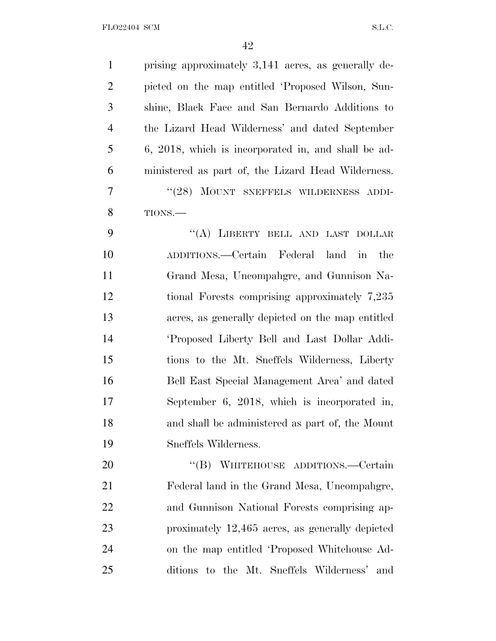| $\mathbf{1}$   | prising approximately 3,141 acres, as generally de-              |
|----------------|------------------------------------------------------------------|
| $\overline{2}$ | picted on the map entitled 'Proposed Wilson, Sun-                |
| 3              | shine, Black Face and San Bernardo Additions to                  |
| 4              | the Lizard Head Wilderness' and dated September                  |
| 5              | 6, 2018, which is incorporated in, and shall be ad-              |
| 6              | ministered as part of, the Lizard Head Wilderness.               |
| 7              | "(28) MOUNT SNEFFELS WILDERNESS ADDI-                            |
| 8              | TIONS.-                                                          |
| 9              | "(A) LIBERTY BELL AND LAST DOLLAR                                |
| 10             | ADDITIONS.—Certain Federal land<br>$\overline{\text{in}}$<br>the |
| 11             | Grand Mesa, Uncompahgre, and Gunnison Na-                        |
| 12             | tional Forests comprising approximately 7,235                    |
| 13             | acres, as generally depicted on the map entitled                 |
| 14             | 'Proposed Liberty Bell and Last Dollar Addi-                     |
| 15             | tions to the Mt. Sneffels Wilderness, Liberty                    |
| 16             | Bell East Special Management Area' and dated                     |
| 17             | September $6, 2018$ , which is incorporated in,                  |
| 18             | and shall be administered as part of, the Mount                  |
| 19             | Sneffels Wilderness.                                             |
| 20             | "(B) WHITEHOUSE ADDITIONS.—Certain                               |
| 21             | Federal land in the Grand Mesa, Uncompangre,                     |
| 22             | and Gunnison National Forests comprising ap-                     |
| 23             | proximately 12,465 acres, as generally depicted                  |
| 24             | on the map entitled 'Proposed Whitehouse Ad-                     |
| 25             | ditions to the Mt. Sneffels Wilderness'<br>and                   |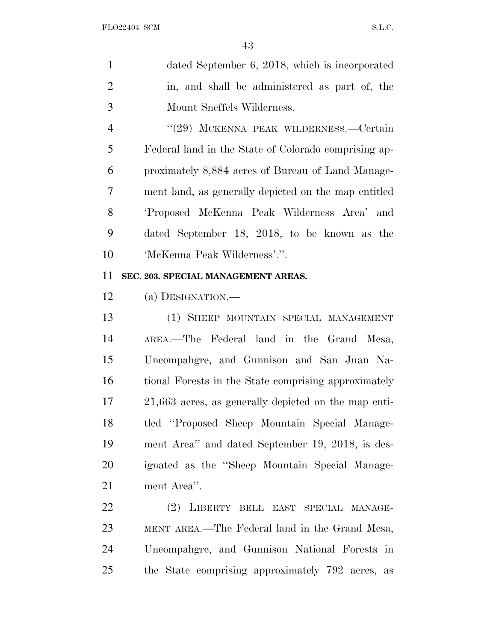| $\mathbf{1}$ | dated September 6, 2018, which is incorporated |
|--------------|------------------------------------------------|
| 2            | in, and shall be administered as part of, the  |
| 3            | Mount Sneffels Wilderness.                     |

 ''(29) MCKENNA PEAK WILDERNESS.—Certain Federal land in the State of Colorado comprising ap- proximately 8,884 acres of Bureau of Land Manage- ment land, as generally depicted on the map entitled 'Proposed McKenna Peak Wilderness Area' and dated September 18, 2018, to be known as the 'McKenna Peak Wilderness'.''.

## **SEC. 203. SPECIAL MANAGEMENT AREAS.**

(a) DESIGNATION.—

 (1) SHEEP MOUNTAIN SPECIAL MANAGEMENT AREA.—The Federal land in the Grand Mesa, Uncompahgre, and Gunnison and San Juan Na- tional Forests in the State comprising approximately 21,663 acres, as generally depicted on the map enti- tled ''Proposed Sheep Mountain Special Manage- ment Area'' and dated September 19, 2018, is des- ignated as the ''Sheep Mountain Special Manage-ment Area''.

 (2) LIBERTY BELL EAST SPECIAL MANAGE- MENT AREA.—The Federal land in the Grand Mesa, Uncompahgre, and Gunnison National Forests in the State comprising approximately 792 acres, as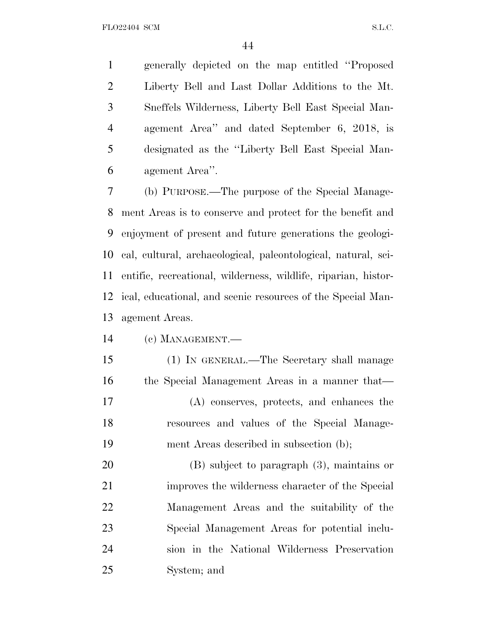generally depicted on the map entitled ''Proposed Liberty Bell and Last Dollar Additions to the Mt. Sneffels Wilderness, Liberty Bell East Special Man- agement Area'' and dated September 6, 2018, is designated as the ''Liberty Bell East Special Man-agement Area''.

 (b) PURPOSE.—The purpose of the Special Manage- ment Areas is to conserve and protect for the benefit and enjoyment of present and future generations the geologi- cal, cultural, archaeological, paleontological, natural, sci- entific, recreational, wilderness, wildlife, riparian, histor- ical, educational, and scenic resources of the Special Man-agement Areas.

(c) MANAGEMENT.—

 (1) IN GENERAL.—The Secretary shall manage the Special Management Areas in a manner that— (A) conserves, protects, and enhances the resources and values of the Special Manage-ment Areas described in subsection (b);

 (B) subject to paragraph (3), maintains or improves the wilderness character of the Special Management Areas and the suitability of the Special Management Areas for potential inclu- sion in the National Wilderness Preservation System; and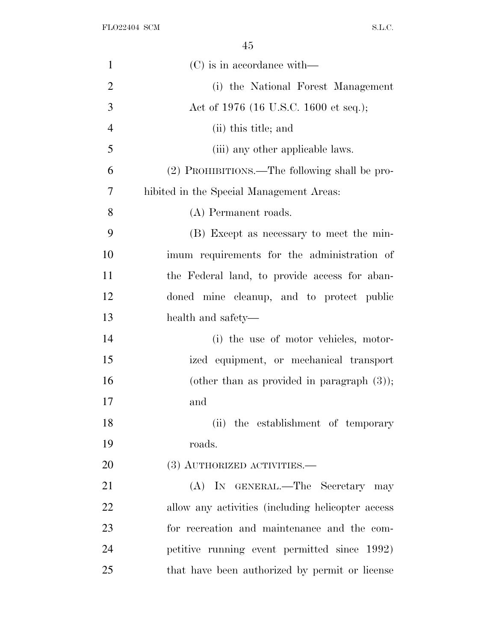| $\mathbf{1}$   | $(C)$ is in accordance with—                      |
|----------------|---------------------------------------------------|
| $\overline{2}$ | (i) the National Forest Management                |
| 3              | Act of 1976 (16 U.S.C. 1600 et seq.);             |
| $\overline{4}$ | (ii) this title; and                              |
| 5              | (iii) any other applicable laws.                  |
| 6              | (2) PROHIBITIONS.—The following shall be pro-     |
| 7              | hibited in the Special Management Areas:          |
| 8              | (A) Permanent roads.                              |
| 9              | (B) Except as necessary to meet the min-          |
| 10             | imum requirements for the administration of       |
| 11             | the Federal land, to provide access for aban-     |
| 12             | doned mine cleanup, and to protect public         |
| 13             | health and safety—                                |
| 14             | (i) the use of motor vehicles, motor-             |
| 15             | ized equipment, or mechanical transport           |
| 16             | (other than as provided in paragraph $(3)$ );     |
| 17             | and                                               |
| 18             | (ii) the establishment of temporary               |
| 19             | roads.                                            |
| 20             | (3) AUTHORIZED ACTIVITIES.—                       |
| 21             | (A) IN GENERAL.—The Secretary may                 |
| 22             | allow any activities (including helicopter access |
| 23             | for recreation and maintenance and the com-       |
| 24             | petitive running event permitted since 1992)      |
| 25             | that have been authorized by permit or license    |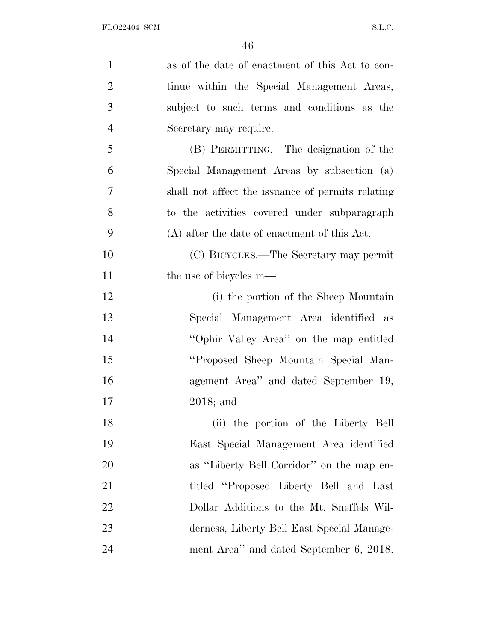| $\mathbf{1}$   | as of the date of enactment of this Act to con-   |
|----------------|---------------------------------------------------|
| $\overline{2}$ | tinue within the Special Management Areas,        |
| 3              | subject to such terms and conditions as the       |
| $\overline{4}$ | Secretary may require.                            |
| 5              | (B) PERMITTING.—The designation of the            |
| 6              | Special Management Areas by subsection (a)        |
| $\overline{7}$ | shall not affect the issuance of permits relating |
| 8              | to the activities covered under subparagraph      |
| 9              | (A) after the date of enactment of this Act.      |
| 10             | (C) BICYCLES.—The Secretary may permit            |
| 11             | the use of bicycles in—                           |
| 12             | (i) the portion of the Sheep Mountain             |
| 13             | Special Management Area identified as             |
| 14             | "Ophir Valley Area" on the map entitled           |
| 15             | "Proposed Sheep Mountain Special Man-             |
| 16             | agement Area" and dated September 19,             |
| 17             | $2018$ ; and                                      |
| 18             | (ii) the portion of the Liberty Bell              |
| 19             | East Special Management Area identified           |
| 20             | as "Liberty Bell Corridor" on the map en-         |
| 21             | titled "Proposed Liberty Bell and Last            |
| 22             | Dollar Additions to the Mt. Sneffels Wil-         |
| 23             | derness, Liberty Bell East Special Manage-        |
| 24             | ment Area" and dated September 6, 2018.           |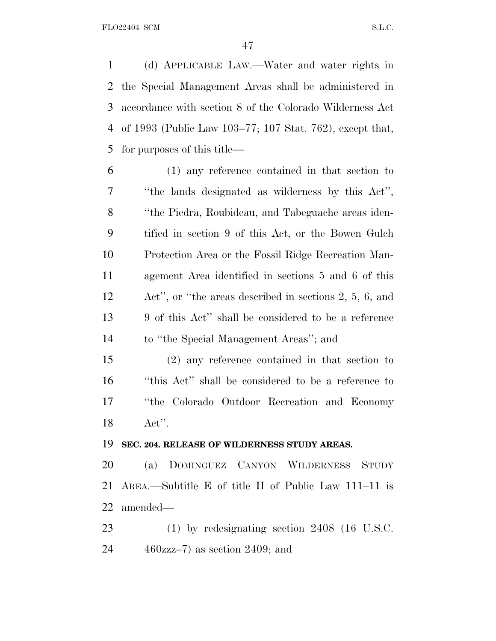(d) APPLICABLE LAW.—Water and water rights in the Special Management Areas shall be administered in accordance with section 8 of the Colorado Wilderness Act of 1993 (Public Law 103–77; 107 Stat. 762), except that, for purposes of this title—

 (1) any reference contained in that section to ''the lands designated as wilderness by this Act'', ''the Piedra, Roubideau, and Tabeguache areas iden- tified in section 9 of this Act, or the Bowen Gulch Protection Area or the Fossil Ridge Recreation Man- agement Area identified in sections 5 and 6 of this Act'', or ''the areas described in sections 2, 5, 6, and 9 of this Act'' shall be considered to be a reference to ''the Special Management Areas''; and

 (2) any reference contained in that section to ''this Act'' shall be considered to be a reference to ''the Colorado Outdoor Recreation and Economy Act''.

#### **SEC. 204. RELEASE OF WILDERNESS STUDY AREAS.**

 (a) DOMINGUEZ CANYON WILDERNESS STUDY AREA.—Subtitle E of title II of Public Law 111–11 is amended—

 (1) by redesignating section 2408 (16 U.S.C. 460zzz–7) as section 2409; and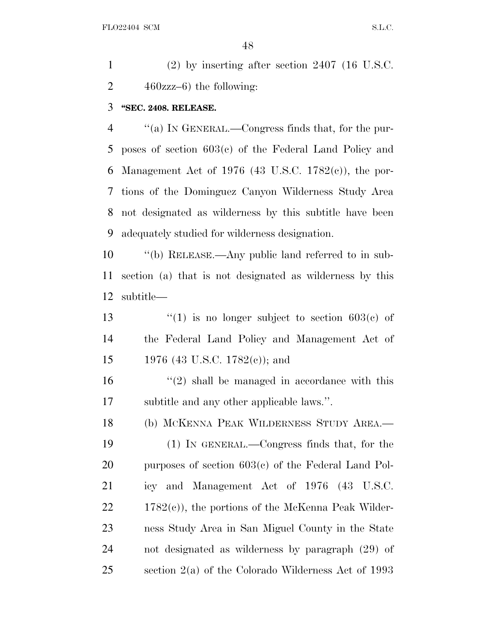(2) by inserting after section 2407 (16 U.S.C. 2 zzz–6) the following:

### **''SEC. 2408. RELEASE.**

 ''(a) I<sup>N</sup> GENERAL.—Congress finds that, for the pur- poses of section 603(c) of the Federal Land Policy and Management Act of 1976 (43 U.S.C. 1782(c)), the por- tions of the Dominguez Canyon Wilderness Study Area not designated as wilderness by this subtitle have been adequately studied for wilderness designation.

 ''(b) RELEASE.—Any public land referred to in sub- section (a) that is not designated as wilderness by this subtitle—

13  $\frac{13}{2}$   $\frac{13}{2}$   $\frac{13}{2}$  is no longer subject to section 603(c) of the Federal Land Policy and Management Act of 1976 (43 U.S.C. 1782(c)); and

 ''(2) shall be managed in accordance with this subtitle and any other applicable laws.''.

 (b) MCKENNA PEAK WILDERNESS STUDY AREA.— (1) IN GENERAL.—Congress finds that, for the purposes of section 603(c) of the Federal Land Pol- icy and Management Act of 1976 (43 U.S.C. 22 1782(c)), the portions of the McKenna Peak Wilder- ness Study Area in San Miguel County in the State not designated as wilderness by paragraph (29) of section 2(a) of the Colorado Wilderness Act of 1993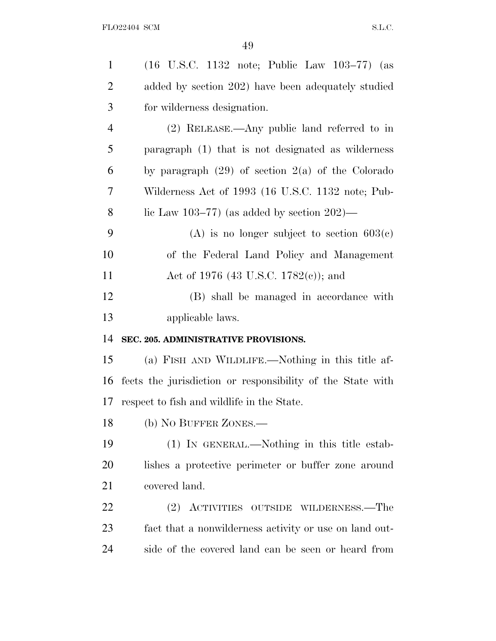| $\mathbf{1}$   | $(16 \text{ U.S.C. } 1132 \text{ note}; \text{ Public Law } 103-77)$ (as |
|----------------|--------------------------------------------------------------------------|
| $\overline{2}$ | added by section 202) have been adequately studied                       |
| 3              | for wilderness designation.                                              |
| $\overline{4}$ | $(2)$ RELEASE.—Any public land referred to in                            |
| 5              | paragraph (1) that is not designated as wilderness                       |
| 6              | by paragraph $(29)$ of section $2(a)$ of the Colorado                    |
| 7              | Wilderness Act of 1993 (16 U.S.C. 1132 note; Pub-                        |
| 8              | lic Law 103–77) (as added by section $202$ )—                            |
| 9              | (A) is no longer subject to section $603(c)$                             |
| 10             | of the Federal Land Policy and Management                                |
| 11             | Act of 1976 (43 U.S.C. 1782(c)); and                                     |
| 12             | (B) shall be managed in accordance with                                  |
| 13             | applicable laws.                                                         |
| 14             | SEC. 205. ADMINISTRATIVE PROVISIONS.                                     |
| 15             | (a) FISH AND WILDLIFE.—Nothing in this title af-                         |
| 16             | fects the jurisdiction or responsibility of the State with               |
| 17             | respect to fish and wildlife in the State.                               |
| 18             | (b) NO BUFFER ZONES.—                                                    |
| 19             | $(1)$ In GENERAL.—Nothing in this title estab-                           |
| 20             | lishes a protective perimeter or buffer zone around                      |
| 21             | covered land.                                                            |
| 22             | (2) ACTIVITIES OUTSIDE WILDERNESS.—The                                   |
| 23             | fact that a nonwilderness activity or use on land out-                   |
| 24             | side of the covered land can be seen or heard from                       |
|                |                                                                          |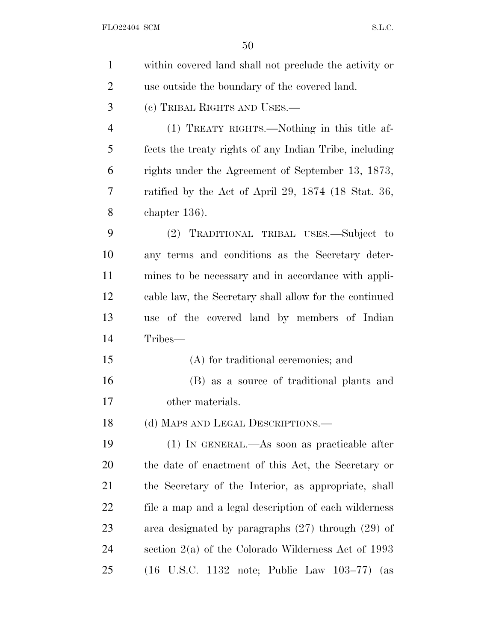| $\mathbf{1}$   | within covered land shall not preclude the activity or                      |
|----------------|-----------------------------------------------------------------------------|
| $\overline{2}$ | use outside the boundary of the covered land.                               |
| 3              | (c) TRIBAL RIGHTS AND USES.—                                                |
| $\overline{4}$ | (1) TREATY RIGHTS.—Nothing in this title af-                                |
| 5              | fects the treaty rights of any Indian Tribe, including                      |
| 6              | rights under the Agreement of September 13, 1873,                           |
| 7              | ratified by the Act of April 29, $1874$ (18 Stat. 36,                       |
| 8              | chapter $136$ ).                                                            |
| 9              | (2) TRADITIONAL TRIBAL USES.—Subject to                                     |
| 10             | any terms and conditions as the Secretary deter-                            |
| 11             | mines to be necessary and in accordance with appli-                         |
| 12             | cable law, the Secretary shall allow for the continued                      |
| 13             | use of the covered land by members of Indian                                |
| 14             | Tribes—                                                                     |
| 15             | (A) for traditional ceremonies; and                                         |
| 16             | (B) as a source of traditional plants and                                   |
| 17             | other materials.                                                            |
| 18             | (d) MAPS AND LEGAL DESCRIPTIONS.—                                           |
| 19             | $(1)$ In GENERAL.—As soon as practicable after                              |
| 20             | the date of enactment of this Act, the Secretary or                         |
| 21             | the Secretary of the Interior, as appropriate, shall                        |
| 22             | file a map and a legal description of each wilderness                       |
| 23             | area designated by paragraphs $(27)$ through $(29)$ of                      |
| 24             | section $2(a)$ of the Colorado Wilderness Act of 1993                       |
| 25             | $(16 \text{ U.S.C. } 1132 \text{ note}; \text{ Public Law } 103-77)$<br>(as |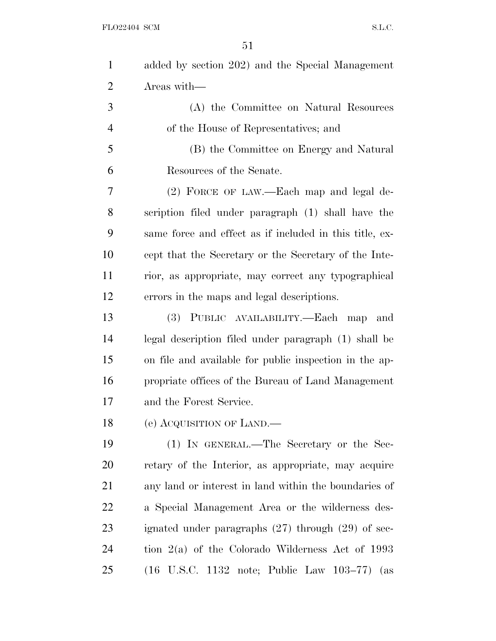| $\mathbf{1}$   | added by section 202) and the Special Management                             |
|----------------|------------------------------------------------------------------------------|
| $\overline{2}$ | Areas with-                                                                  |
| 3              | (A) the Committee on Natural Resources                                       |
| $\overline{4}$ | of the House of Representatives; and                                         |
| 5              | (B) the Committee on Energy and Natural                                      |
| 6              | Resources of the Senate.                                                     |
| 7              | (2) FORCE OF LAW.—Each map and legal de-                                     |
| 8              | scription filed under paragraph (1) shall have the                           |
| 9              | same force and effect as if included in this title, ex-                      |
| 10             | cept that the Secretary or the Secretary of the Inte-                        |
| 11             | rior, as appropriate, may correct any typographical                          |
| 12             | errors in the maps and legal descriptions.                                   |
| 13             | PUBLIC AVAILABILITY.—Each map<br>(3)<br>and                                  |
| 14             | legal description filed under paragraph (1) shall be                         |
| 15             | on file and available for public inspection in the ap-                       |
| 16             | propriate offices of the Bureau of Land Management                           |
| 17             | and the Forest Service.                                                      |
| 18             | (e) ACQUISITION OF LAND.                                                     |
| 19             | (1) IN GENERAL.—The Secretary or the Sec-                                    |
| 20             | retary of the Interior, as appropriate, may acquire                          |
| 21             | any land or interest in land within the boundaries of                        |
| <u>22</u>      | a Special Management Area or the wilderness des-                             |
| 23             | ignated under paragraphs $(27)$ through $(29)$ of sec-                       |
| 24             | tion $2(a)$ of the Colorado Wilderness Act of 1993                           |
| 25             | $(16 \text{ U.S.C. } 1132 \text{ note}; \text{ Public Law } 103-77)$<br>(as) |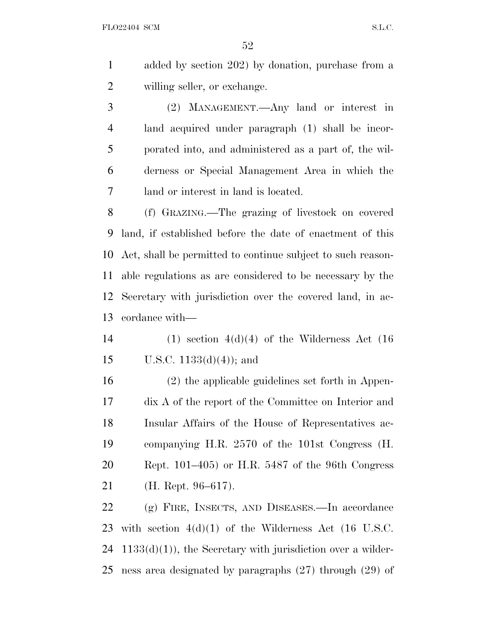FLO22404 SCM S.L.C.

 added by section 202) by donation, purchase from a willing seller, or exchange.

 (2) MANAGEMENT.—Any land or interest in land acquired under paragraph (1) shall be incor- porated into, and administered as a part of, the wil- derness or Special Management Area in which the land or interest in land is located.

 (f) GRAZING.—The grazing of livestock on covered land, if established before the date of enactment of this Act, shall be permitted to continue subject to such reason- able regulations as are considered to be necessary by the Secretary with jurisdiction over the covered land, in ac-cordance with—

14 (1) section  $4(d)(4)$  of the Wilderness Act (16) 15 U.S.C.  $1133(d)(4)$ ; and

 (2) the applicable guidelines set forth in Appen- dix A of the report of the Committee on Interior and Insular Affairs of the House of Representatives ac- companying H.R. 2570 of the 101st Congress (H. Rept. 101–405) or H.R. 5487 of the 96th Congress (H. Rept. 96–617).

 (g) FIRE, INSECTS, AND DISEASES.—In accordance with section 4(d)(1) of the Wilderness Act (16 U.S.C.  $24 \quad 1133(d)(1)$ , the Secretary with jurisdiction over a wilder-ness area designated by paragraphs (27) through (29) of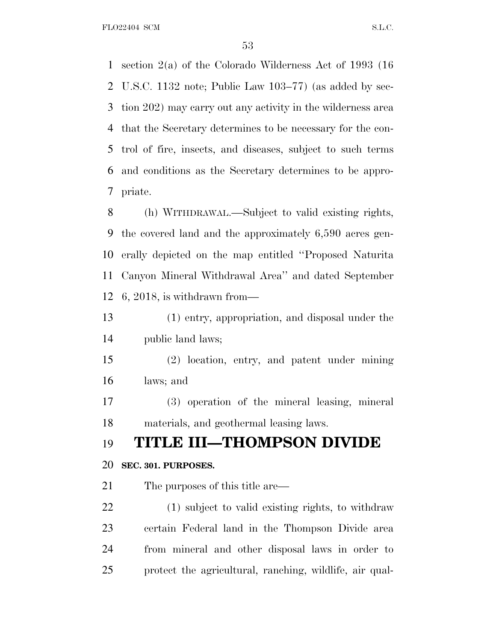FLO22404 SCM S.L.C.

 section 2(a) of the Colorado Wilderness Act of 1993 (16 U.S.C. 1132 note; Public Law 103–77) (as added by sec- tion 202) may carry out any activity in the wilderness area that the Secretary determines to be necessary for the con- trol of fire, insects, and diseases, subject to such terms and conditions as the Secretary determines to be appro-priate.

 (h) WITHDRAWAL.—Subject to valid existing rights, the covered land and the approximately 6,590 acres gen- erally depicted on the map entitled ''Proposed Naturita Canyon Mineral Withdrawal Area'' and dated September 6, 2018, is withdrawn from—

 (1) entry, appropriation, and disposal under the public land laws;

 (2) location, entry, and patent under mining laws; and

 (3) operation of the mineral leasing, mineral materials, and geothermal leasing laws.

# **TITLE III—THOMPSON DIVIDE**

### **SEC. 301. PURPOSES.**

21 The purposes of this title are—

 (1) subject to valid existing rights, to withdraw certain Federal land in the Thompson Divide area from mineral and other disposal laws in order to protect the agricultural, ranching, wildlife, air qual-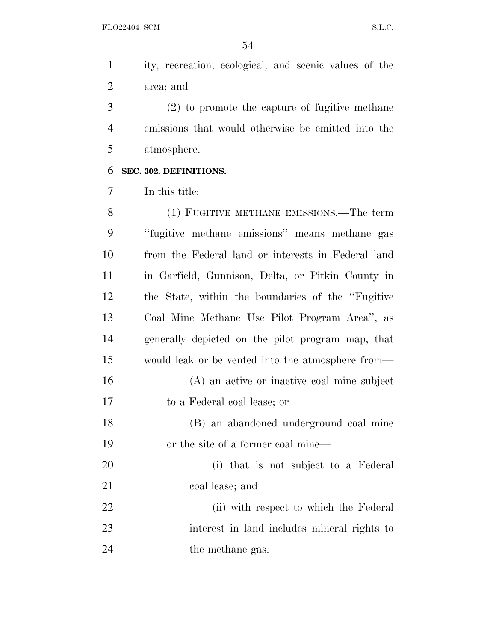ity, recreation, ecological, and scenic values of the area; and

 (2) to promote the capture of fugitive methane emissions that would otherwise be emitted into the atmosphere.

### **SEC. 302. DEFINITIONS.**

In this title:

 (1) FUGITIVE METHANE EMISSIONS.—The term ''fugitive methane emissions'' means methane gas from the Federal land or interests in Federal land in Garfield, Gunnison, Delta, or Pitkin County in the State, within the boundaries of the ''Fugitive Coal Mine Methane Use Pilot Program Area'', as generally depicted on the pilot program map, that would leak or be vented into the atmosphere from— (A) an active or inactive coal mine subject to a Federal coal lease; or (B) an abandoned underground coal mine or the site of a former coal mine— (i) that is not subject to a Federal coal lease; and 22 (ii) with respect to which the Federal interest in land includes mineral rights to 24 the methane gas.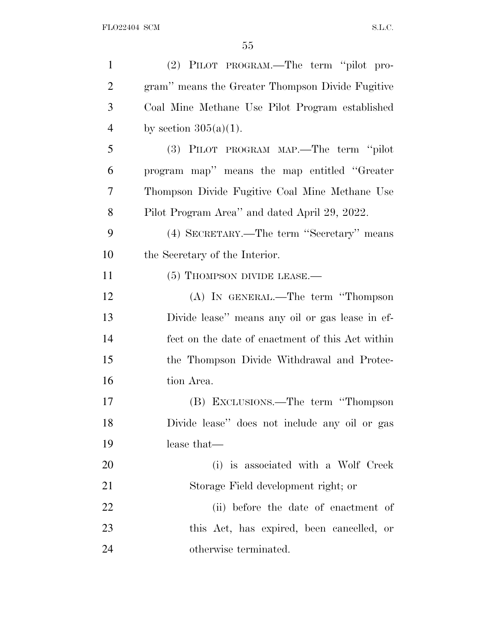| $\mathbf{1}$   | (2) PILOT PROGRAM.—The term "pilot pro-          |
|----------------|--------------------------------------------------|
| $\overline{2}$ | gram" means the Greater Thompson Divide Fugitive |
| 3              | Coal Mine Methane Use Pilot Program established  |
| $\overline{4}$ | by section $305(a)(1)$ .                         |
| 5              | (3) PILOT PROGRAM MAP.—The term "pilot           |
| 6              | program map" means the map entitled "Greater"    |
| 7              | Thompson Divide Fugitive Coal Mine Methane Use   |
| 8              | Pilot Program Area" and dated April 29, 2022.    |
| 9              | (4) SECRETARY.—The term "Secretary" means        |
| 10             | the Secretary of the Interior.                   |
| 11             | (5) THOMPSON DIVIDE LEASE.—                      |
| 12             | (A) IN GENERAL.—The term "Thompson               |
| 13             | Divide lease" means any oil or gas lease in ef-  |
| 14             | fect on the date of enactment of this Act within |
| 15             | the Thompson Divide Withdrawal and Protec-       |
| 16             | tion Area.                                       |
| 17             | (B) EXCLUSIONS.—The term "Thompson               |
| 18             | Divide lease" does not include any oil or gas    |
| 19             | lease that—                                      |
| 20             | (i) is associated with a Wolf Creek              |
| 21             | Storage Field development right; or              |
| 22             | (ii) before the date of enactment of             |
| 23             | this Act, has expired, been cancelled, or        |
| 24             | otherwise terminated.                            |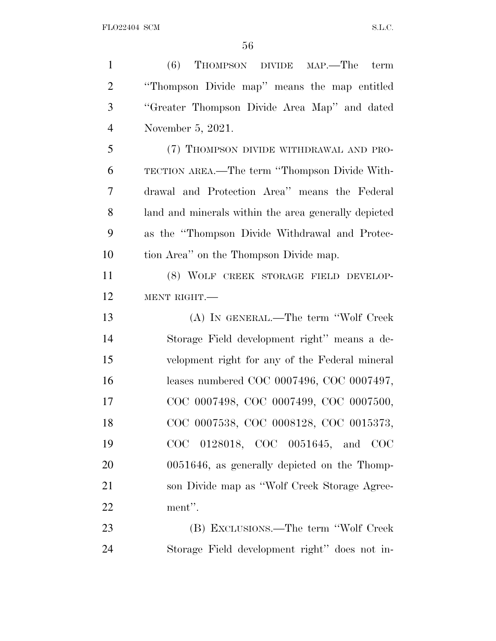| $\mathbf{1}$   | $(6)$ Thompson DIVIDE MAP.—The<br>term               |
|----------------|------------------------------------------------------|
| $\overline{2}$ | "Thompson Divide map" means the map entitled         |
| 3              | "Greater Thompson Divide Area Map" and dated         |
| $\overline{4}$ | November 5, 2021.                                    |
| 5              | (7) THOMPSON DIVIDE WITHDRAWAL AND PRO-              |
| 6              | TECTION AREA.—The term "Thompson Divide With-        |
| $\overline{7}$ | drawal and Protection Area" means the Federal        |
| 8              | land and minerals within the area generally depicted |
| 9              | as the "Thompson Divide Withdrawal and Protec-       |
| 10             | tion Area" on the Thompson Divide map.               |
| 11             | (8) WOLF CREEK STORAGE FIELD DEVELOP-                |
| 12             | MENT RIGHT.                                          |
| 13             | (A) IN GENERAL.—The term "Wolf Creek"                |
| 14             | Storage Field development right" means a de-         |
| 15             | velopment right for any of the Federal mineral       |
| 16             | leases numbered COC 0007496, COC 0007497,            |
| 17             | COC 0007498, COC 0007499, COC 0007500,               |
| 18             | COC 0007538, COC 0008128, COC 0015373,               |
| 19             | COC 0128018, COC 0051645, and COC                    |
| 20             | 0051646, as generally depicted on the Thomp-         |
| 21             | son Divide map as "Wolf Creek Storage Agree-         |
| 22             | ment".                                               |
| 23             | (B) EXCLUSIONS.—The term "Wolf Creek"                |
| 24             | Storage Field development right" does not in-        |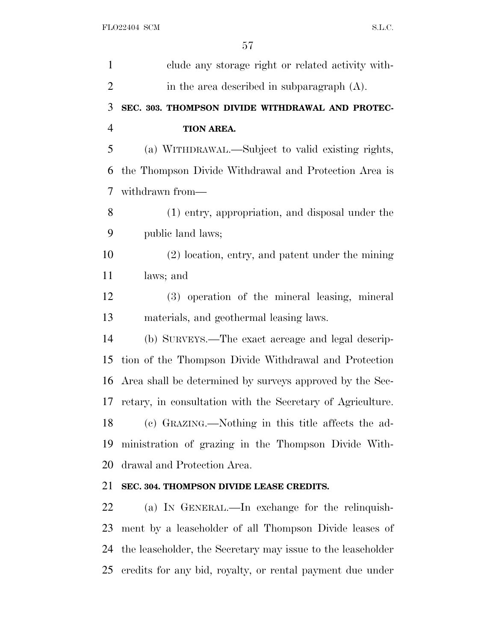| clude any storage right or related activity with-           |
|-------------------------------------------------------------|
| in the area described in subparagraph $(A)$ .               |
| SEC. 303. THOMPSON DIVIDE WITHDRAWAL AND PROTEC-            |
| TION AREA.                                                  |
| (a) WITHDRAWAL.—Subject to valid existing rights,           |
| the Thompson Divide Withdrawal and Protection Area is       |
| withdrawn from-                                             |
| (1) entry, appropriation, and disposal under the            |
| public land laws;                                           |
| (2) location, entry, and patent under the mining            |
| laws; and                                                   |
| (3) operation of the mineral leasing, mineral               |
| materials, and geothermal leasing laws.                     |
| (b) SURVEYS.—The exact acreage and legal descrip-           |
| tion of the Thompson Divide Withdrawal and Protection       |
| Area shall be determined by surveys approved by the Sec-    |
| retary, in consultation with the Secretary of Agriculture.  |
| (c) GRAZING.—Nothing in this title affects the ad-          |
| ministration of grazing in the Thompson Divide With-        |
| drawal and Protection Area.                                 |
| SEC. 304. THOMPSON DIVIDE LEASE CREDITS.                    |
| (a) IN GENERAL.—In exchange for the relinquish-             |
| ment by a leaseholder of all Thompson Divide leases of      |
| the leaseholder, the Secretary may issue to the leaseholder |
|                                                             |

credits for any bid, royalty, or rental payment due under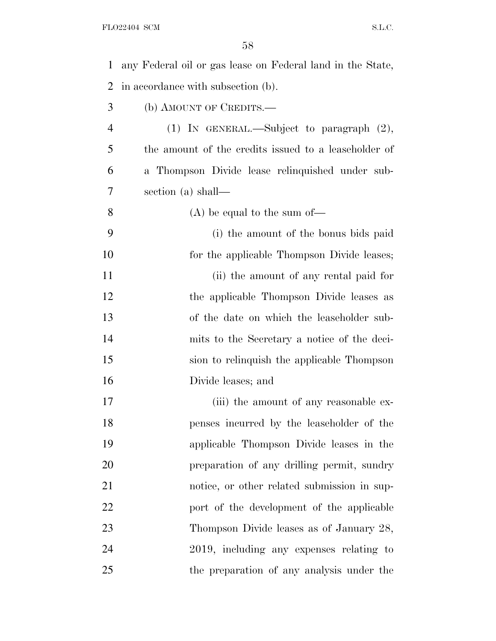| 1              | any Federal oil or gas lease on Federal land in the State, |
|----------------|------------------------------------------------------------|
| 2              | in accordance with subsection (b).                         |
| 3              | (b) AMOUNT OF CREDITS.—                                    |
| $\overline{4}$ | (1) IN GENERAL.—Subject to paragraph $(2)$ ,               |
| 5              | the amount of the credits issued to a leaseholder of       |
| 6              | a Thompson Divide lease relinquished under sub-            |
| 7              | section (a) shall—                                         |
| 8              | $(A)$ be equal to the sum of —                             |
| 9              | (i) the amount of the bonus bids paid                      |
| 10             | for the applicable Thompson Divide leases;                 |
| 11             | (ii) the amount of any rental paid for                     |
| 12             | the applicable Thompson Divide leases as                   |
| 13             | of the date on which the leaseholder sub-                  |
| 14             | mits to the Secretary a notice of the deci-                |
| 15             | sion to relinquish the applicable Thompson                 |
| 16             | Divide leases; and                                         |
| 17             | (iii) the amount of any reasonable ex-                     |
| 18             | penses incurred by the leaseholder of the                  |
| 19             | applicable Thompson Divide leases in the                   |
| 20             | preparation of any drilling permit, sundry                 |
| 21             | notice, or other related submission in sup-                |
| 22             | port of the development of the applicable                  |
| 23             | Thompson Divide leases as of January 28,                   |
| 24             | 2019, including any expenses relating to                   |
| 25             | the preparation of any analysis under the                  |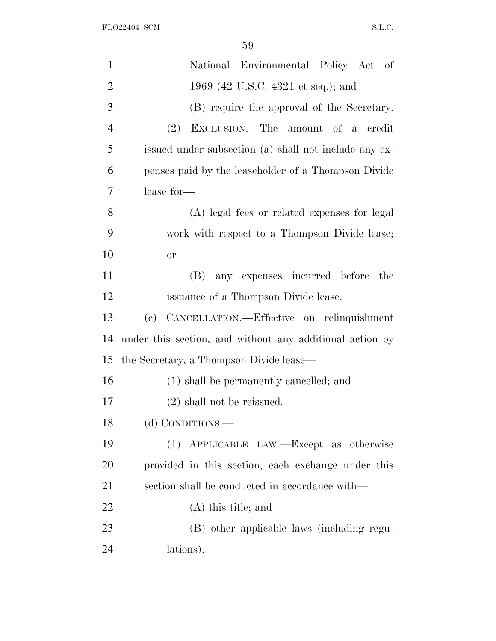| $\mathbf{1}$   | National Environmental Policy Act of                     |
|----------------|----------------------------------------------------------|
| $\overline{2}$ | 1969 (42 U.S.C. 4321 et seq.); and                       |
| 3              | (B) require the approval of the Secretary.               |
| $\overline{4}$ | EXCLUSION.—The amount of a credit<br>(2)                 |
| 5              | issued under subsection (a) shall not include any ex-    |
| 6              | penses paid by the leaseholder of a Thompson Divide      |
| 7              | lease for-                                               |
| 8              | (A) legal fees or related expenses for legal             |
| 9              | work with respect to a Thompson Divide lease;            |
| 10             | <b>or</b>                                                |
| 11             | any expenses incurred before<br>(B)<br>the               |
| 12             | issuance of a Thompson Divide lease.                     |
| 13             | CANCELLATION.—Effective on relinquishment<br>(e)         |
| 14             | under this section, and without any additional action by |
| 15             | the Secretary, a Thompson Divide lease—                  |
| 16             | (1) shall be permanently cancelled; and                  |
| 17             | $(2)$ shall not be reissued.                             |
| 18             | (d) CONDITIONS.—                                         |
| 19             | (1) APPLICABLE LAW.—Except as otherwise                  |
| 20             | provided in this section, each exchange under this       |
| 21             | section shall be conducted in accordance with—           |
| 22             | $(A)$ this title; and                                    |
| 23             | (B) other applicable laws (including regu-               |
| 24             | lations).                                                |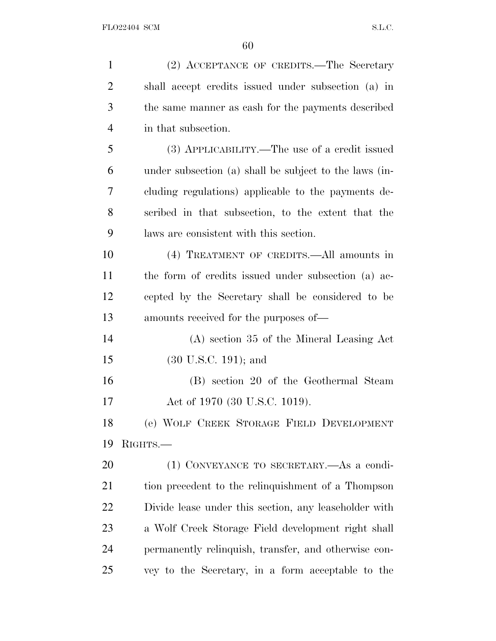| $\mathbf{1}$   | (2) ACCEPTANCE OF CREDITS.—The Secretary               |
|----------------|--------------------------------------------------------|
| $\overline{2}$ | shall accept credits issued under subsection (a) in    |
| 3              | the same manner as eash for the payments described     |
| $\overline{4}$ | in that subsection.                                    |
| 5              | (3) APPLICABILITY.—The use of a credit issued          |
| 6              | under subsection (a) shall be subject to the laws (in- |
| 7              | cluding regulations) applicable to the payments de-    |
| 8              | scribed in that subsection, to the extent that the     |
| 9              | laws are consistent with this section.                 |
| 10             | (4) TREATMENT OF CREDITS.—All amounts in               |
| 11             | the form of credits issued under subsection (a) ac-    |
| 12             | cepted by the Secretary shall be considered to be      |
| 13             | amounts received for the purposes of—                  |
| 14             | $(A)$ section 35 of the Mineral Leasing Act            |
| 15             | $(30 \text{ U.S.C. } 191)$ ; and                       |
| 16             | (B) section 20 of the Geothermal Steam                 |
| 17             | Act of 1970 (30 U.S.C. 1019).                          |
| 18             | (e) WOLF CREEK STORAGE FIELD DEVELOPMENT               |
| 19             | RIGHTS.-                                               |
| 20             | (1) CONVEYANCE TO SECRETARY.—As a condi-               |
| 21             | tion precedent to the relinquishment of a Thompson     |
| 22             | Divide lease under this section, any leaseholder with  |
| 23             | a Wolf Creek Storage Field development right shall     |
| 24             | permanently relinquish, transfer, and otherwise con-   |
| 25             | vey to the Secretary, in a form acceptable to the      |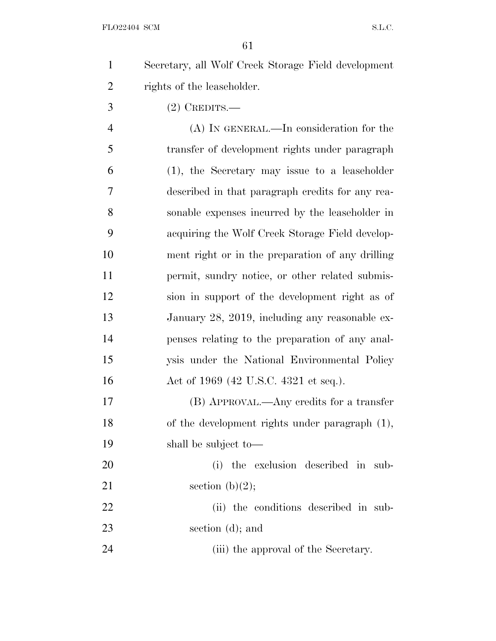Secretary, all Wolf Creek Storage Field development rights of the leaseholder.

(2) CREDITS.—

 (A) IN GENERAL.—In consideration for the transfer of development rights under paragraph (1), the Secretary may issue to a leaseholder described in that paragraph credits for any rea- sonable expenses incurred by the leaseholder in acquiring the Wolf Creek Storage Field develop- ment right or in the preparation of any drilling 11 permit, sundry notice, or other related submis- sion in support of the development right as of January 28, 2019, including any reasonable ex- penses relating to the preparation of any anal- ysis under the National Environmental Policy 16 Act of 1969 (42 U.S.C. 4321 et seq.).

 (B) APPROVAL.—Any credits for a transfer of the development rights under paragraph (1), shall be subject to—

 (i) the exclusion described in sub-21 section  $(b)(2)$ ; (ii) the conditions described in sub-

section (d); and

24 (iii) the approval of the Secretary.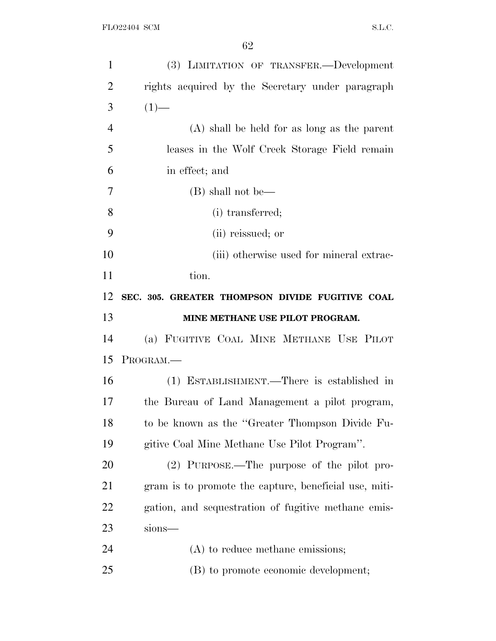| $\mathbf{1}$   | (3) LIMITATION OF TRANSFER.-Development               |
|----------------|-------------------------------------------------------|
| $\overline{2}$ | rights acquired by the Secretary under paragraph      |
| 3              | $(1)$ —                                               |
| $\overline{4}$ | $(A)$ shall be held for as long as the parent         |
| 5              | leases in the Wolf Creek Storage Field remain         |
| 6              | in effect; and                                        |
| 7              | (B) shall not be—                                     |
| 8              | (i) transferred;                                      |
| 9              | (ii) reissued; or                                     |
| 10             | (iii) otherwise used for mineral extrac-              |
| 11             | tion.                                                 |
| 12             | SEC. 305. GREATER THOMPSON DIVIDE FUGITIVE COAL       |
| 13             | MINE METHANE USE PILOT PROGRAM.                       |
| 14             | (a) FUGITIVE COAL MINE METHANE USE PILOT              |
| 15             | PROGRAM.                                              |
|                |                                                       |
| 16             | (1) ESTABLISHMENT.—There is established in            |
| 17             | the Bureau of Land Management a pilot program,        |
| 18             | to be known as the "Greater Thompson Divide Fu-       |
| 19             | gitive Coal Mine Methane Use Pilot Program".          |
| 20             | (2) PURPOSE.—The purpose of the pilot pro-            |
| 21             | gram is to promote the capture, beneficial use, miti- |
| 22             | gation, and sequestration of fugitive methane emis-   |
| 23             | sions-                                                |
| 24             | (A) to reduce methane emissions;                      |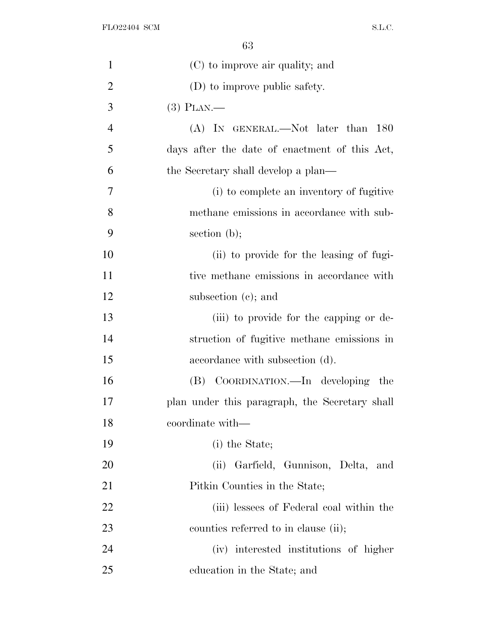| $\mathbf{1}$   | (C) to improve air quality; and                |
|----------------|------------------------------------------------|
| $\overline{2}$ | (D) to improve public safety.                  |
| 3              | $(3)$ PLAN.—                                   |
| $\overline{4}$ | (A) IN GENERAL.—Not later than 180             |
| 5              | days after the date of enactment of this Act,  |
| 6              | the Secretary shall develop a plan—            |
| 7              | (i) to complete an inventory of fugitive       |
| 8              | methane emissions in accordance with sub-      |
| 9              | section $(b)$ ;                                |
| 10             | (ii) to provide for the leasing of fugi-       |
| 11             | tive methane emissions in accordance with      |
| 12             | subsection $(e)$ ; and                         |
| 13             | (iii) to provide for the capping or de-        |
| 14             | struction of fugitive methane emissions in     |
| 15             | accordance with subsection (d).                |
| 16             | (B) COORDINATION.—In developing the            |
| 17             | plan under this paragraph, the Secretary shall |
| 18             | coordinate with-                               |
| 19             | (i) the State;                                 |
| <b>20</b>      | (ii) Garfield, Gunnison, Delta, and            |
| 21             | Pitkin Counties in the State;                  |
| 22             | (iii) lessees of Federal coal within the       |
| 23             | counties referred to in clause (ii);           |
| 24             | (iv) interested institutions of higher         |
| 25             | education in the State; and                    |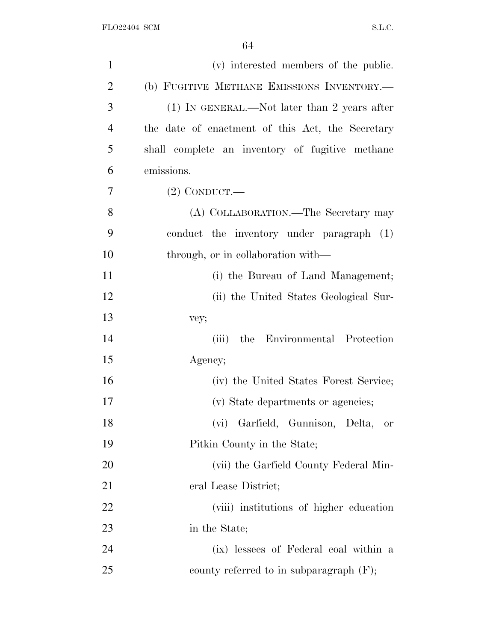| $\mathbf{1}$   | (v) interested members of the public.            |
|----------------|--------------------------------------------------|
| $\overline{2}$ | (b) FUGITIVE METHANE EMISSIONS INVENTORY.-       |
| 3              | $(1)$ IN GENERAL.—Not later than 2 years after   |
| 4              | the date of enactment of this Act, the Secretary |
| 5              | shall complete an inventory of fugitive methane  |
| 6              | emissions.                                       |
| 7              | $(2)$ CONDUCT.—                                  |
| 8              | (A) COLLABORATION.—The Secretary may             |
| 9              | conduct the inventory under paragraph (1)        |
| 10             | through, or in collaboration with—               |
| 11             | (i) the Bureau of Land Management;               |
| 12             | (ii) the United States Geological Sur-           |
| 13             | vey;                                             |
| 14             | the Environmental Protection<br>(iii)            |
| 15             | Agency;                                          |
| 16             | (iv) the United States Forest Service;           |
| 17             | (v) State departments or agencies;               |
| 18             | (vi) Garfield, Gunnison, Delta,<br>or            |
| 19             | Pitkin County in the State;                      |
| 20             | (vii) the Garfield County Federal Min-           |
| 21             | eral Lease District;                             |
| 22             | (viii) institutions of higher education          |
| 23             | in the State;                                    |
| 24             | (ix) lessees of Federal coal within a            |
| 25             | county referred to in subparagraph $(F)$ ;       |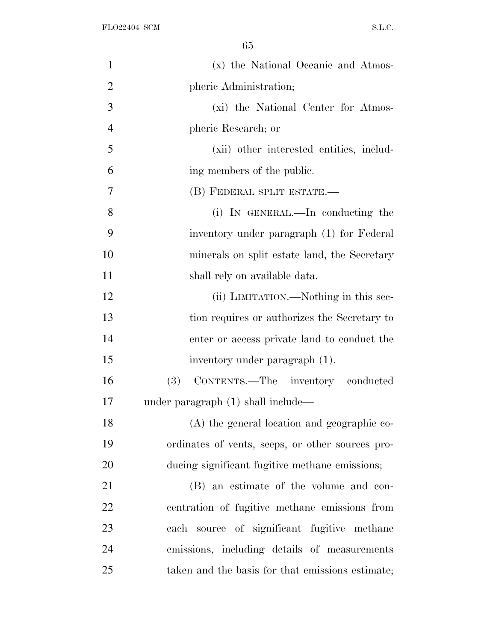| $\mathbf{1}$   | (x) the National Oceanic and Atmos-              |
|----------------|--------------------------------------------------|
| $\overline{2}$ | pheric Administration;                           |
| 3              | (xi) the National Center for Atmos-              |
| $\overline{4}$ | pheric Research; or                              |
| 5              | (xii) other interested entities, includ-         |
| 6              | ing members of the public.                       |
| 7              | (B) FEDERAL SPLIT ESTATE.—                       |
| 8              | (i) IN GENERAL.—In conducting the                |
| 9              | inventory under paragraph (1) for Federal        |
| 10             | minerals on split estate land, the Secretary     |
| 11             | shall rely on available data.                    |
| 12             | (ii) LIMITATION.—Nothing in this sec-            |
| 13             | tion requires or authorizes the Secretary to     |
| 14             | enter or access private land to conduct the      |
| 15             | inventory under paragraph (1).                   |
| 16             | (3) CONTENTS.—The inventory conducted            |
| 17             | under paragraph $(1)$ shall include—             |
| 18             | (A) the general location and geographic co-      |
| 19             | ordinates of vents, seeps, or other sources pro- |
| 20             | ducing significant fugitive methane emissions;   |
| 21             | (B) an estimate of the volume and con-           |
| 22             | centration of fugitive methane emissions from    |
| 23             | each source of significant fugitive methane      |
| 24             | emissions, including details of measurements     |
| 25             | taken and the basis for that emissions estimate; |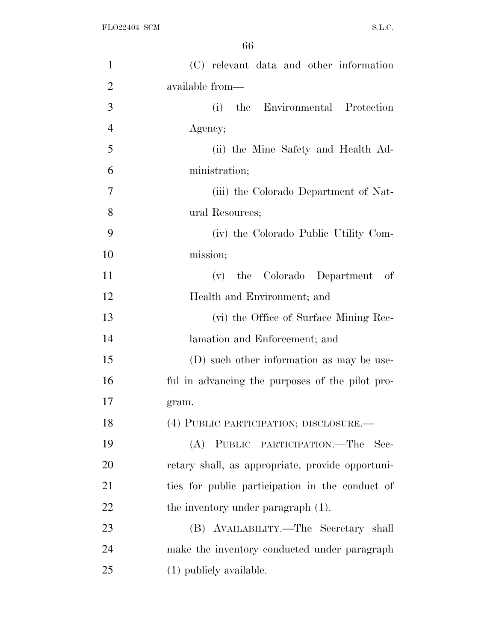| $\mathbf{1}$   | (C) relevant data and other information          |
|----------------|--------------------------------------------------|
| $\overline{2}$ | available from—                                  |
| 3              | (i)<br>the Environmental Protection              |
| $\overline{4}$ | Agency;                                          |
| 5              | (ii) the Mine Safety and Health Ad-              |
| 6              | ministration;                                    |
| $\overline{7}$ | (iii) the Colorado Department of Nat-            |
| 8              | ural Resources;                                  |
| 9              | (iv) the Colorado Public Utility Com-            |
| 10             | mission;                                         |
| 11             | the Colorado Department of<br>(v)                |
| 12             | Health and Environment; and                      |
| 13             | (vi) the Office of Surface Mining Rec-           |
| 14             | lamation and Enforcement; and                    |
| 15             | (D) such other information as may be use-        |
| 16             | ful in advancing the purposes of the pilot pro-  |
| 17             | gram.                                            |
| 18             | (4) PUBLIC PARTICIPATION; DISCLOSURE.            |
| 19             | (A) PUBLIC PARTICIPATION.—The<br>- Sec-          |
| 20             | retary shall, as appropriate, provide opportuni- |
| 21             | ties for public participation in the conduct of  |
| <u>22</u>      | the inventory under paragraph (1).               |
| 23             | (B) AVAILABILITY.—The Secretary shall            |
| 24             | make the inventory conducted under paragraph     |
| 25             | (1) publicly available.                          |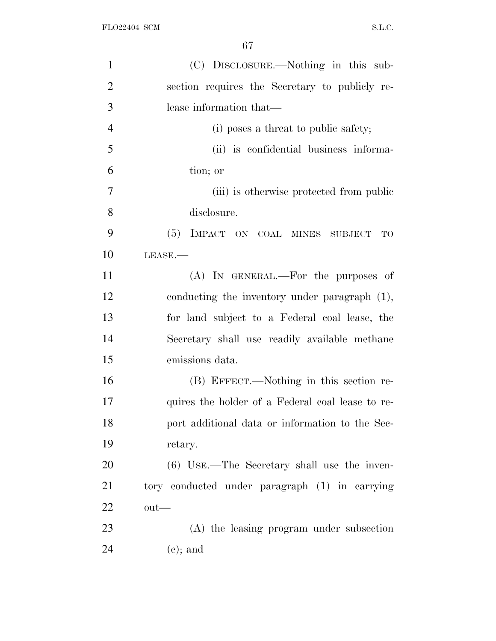| $\mathbf{1}$   | (C) DISCLOSURE.—Nothing in this sub-             |
|----------------|--------------------------------------------------|
| $\overline{2}$ | section requires the Secretary to publicly re-   |
| 3              | lease information that—                          |
| $\overline{4}$ | (i) poses a threat to public safety;             |
| 5              | (ii) is confidential business informa-           |
| 6              | tion; or                                         |
| 7              | (iii) is otherwise protected from public         |
| 8              | disclosure.                                      |
| 9              | (5) IMPACT ON COAL MINES SUBJECT TO              |
| 10             | $LEASE$ .                                        |
| 11             | (A) IN GENERAL.—For the purposes of              |
| 12             | conducting the inventory under paragraph (1),    |
| 13             | for land subject to a Federal coal lease, the    |
| 14             | Secretary shall use readily available methane    |
| 15             | emissions data.                                  |
| 16             | (B) EFFECT.—Nothing in this section re-          |
| 17             | quires the holder of a Federal coal lease to re- |
| 18             | port additional data or information to the Sec-  |
| 19             | retary.                                          |
| 20             | $(6)$ USE.—The Secretary shall use the inven-    |
| 21             | tory conducted under paragraph (1) in carrying   |
| 22             | $\text{out}$ —                                   |
| 23             | (A) the leasing program under subsection         |
| 24             | $(e)$ ; and                                      |
|                |                                                  |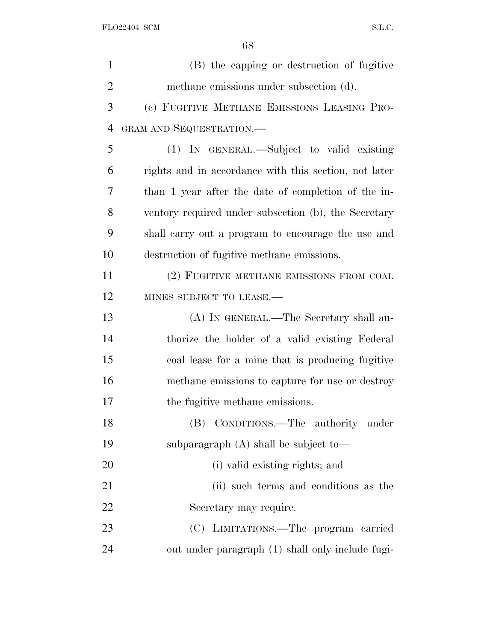| $\mathbf{1}$   | (B) the capping or destruction of fugitive            |
|----------------|-------------------------------------------------------|
| $\overline{2}$ | methane emissions under subsection (d).               |
| 3              | (c) FUGITIVE METHANE EMISSIONS LEASING PRO-           |
| 4              | GRAM AND SEQUESTRATION.-                              |
| 5              | (1) IN GENERAL.—Subject to valid existing             |
| 6              | rights and in accordance with this section, not later |
| 7              | than 1 year after the date of completion of the in-   |
| 8              | ventory required under subsection (b), the Secretary  |
| 9              | shall carry out a program to encourage the use and    |
| 10             | destruction of fugitive methane emissions.            |
| 11             | (2) FUGITIVE METHANE EMISSIONS FROM COAL              |
| 12             | MINES SUBJECT TO LEASE.-                              |
| 13             | (A) IN GENERAL.—The Secretary shall au-               |
| 14             | thorize the holder of a valid existing Federal        |
| 15             | coal lease for a mine that is producing fugitive      |
| 16             | methane emissions to capture for use or destroy       |
| 17             | the fugitive methane emissions.                       |
| 18             | (B) CONDITIONS.—The authority under                   |
| 19             | subparagraph $(A)$ shall be subject to-               |
| 20             | (i) valid existing rights; and                        |
| 21             | (ii) such terms and conditions as the                 |
| 22             | Secretary may require.                                |
| 23             | (C) LIMITATIONS.—The program carried                  |
| 24             | out under paragraph (1) shall only include fugi-      |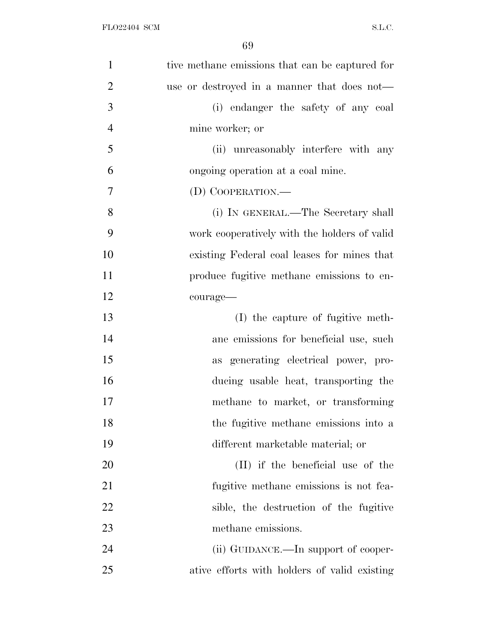| $\mathbf{1}$   | tive methane emissions that can be captured for |
|----------------|-------------------------------------------------|
| $\overline{2}$ | use or destroyed in a manner that does not—     |
| 3              | (i) endanger the safety of any coal             |
| $\overline{4}$ | mine worker; or                                 |
| 5              | (ii) unreasonably interfere with any            |
| 6              | ongoing operation at a coal mine.               |
| 7              | (D) COOPERATION.—                               |
| 8              | (i) IN GENERAL.—The Secretary shall             |
| 9              | work cooperatively with the holders of valid    |
| 10             | existing Federal coal leases for mines that     |
| 11             | produce fugitive methane emissions to en-       |
| 12             | courage-                                        |
| 13             | (I) the capture of fugitive meth-               |
| 14             | ane emissions for beneficial use, such          |
| 15             | as generating electrical power, pro-            |
| 16             | ducing usable heat, transporting the            |
| 17             | methane to market, or transforming              |
| 18             | the fugitive methane emissions into a           |
| 19             | different marketable material; or               |
| 20             | (II) if the beneficial use of the               |
| 21             | fugitive methane emissions is not fea-          |
| 22             | sible, the destruction of the fugitive          |
| 23             | methane emissions.                              |
| 24             | (ii) GUIDANCE.—In support of cooper-            |
| 25             | ative efforts with holders of valid existing    |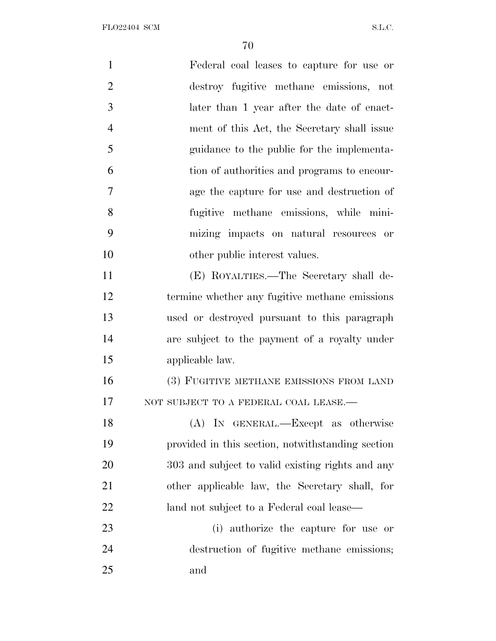| $\mathbf{1}$   | Federal coal leases to capture for use or         |
|----------------|---------------------------------------------------|
| $\overline{2}$ | destroy fugitive methane emissions, not           |
| 3              | later than 1 year after the date of enact-        |
| $\overline{4}$ | ment of this Act, the Secretary shall issue       |
| 5              | guidance to the public for the implementa-        |
| 6              | tion of authorities and programs to encour-       |
| 7              | age the capture for use and destruction of        |
| 8              | fugitive methane emissions, while mini-           |
| 9              | mizing impacts on natural resources or            |
| 10             | other public interest values.                     |
| 11             | (E) ROYALTIES.—The Secretary shall de-            |
| 12             | termine whether any fugitive methane emissions    |
| 13             | used or destroyed pursuant to this paragraph      |
| 14             | are subject to the payment of a royalty under     |
| 15             | applicable law.                                   |
| 16             | (3) FUGITIVE METHANE EMISSIONS FROM LAND          |
| 17             | NOT SUBJECT TO A FEDERAL COAL LEASE.-             |
| 18             | (A) IN GENERAL.—Except as otherwise               |
| 19             | provided in this section, notwithstanding section |
| 20             | 303 and subject to valid existing rights and any  |
| 21             | other applicable law, the Secretary shall, for    |
| 22             | land not subject to a Federal coal lease—         |
| 23             | (i) authorize the capture for use or              |
| 24             | destruction of fugitive methane emissions;        |
| 25             | and                                               |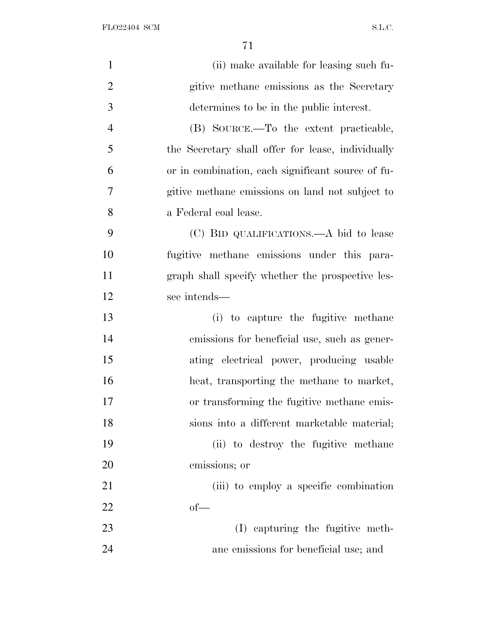FLO22404 SCM  $SL.C.$ 

| $\mathbf{1}$   | (ii) make available for leasing such fu-          |
|----------------|---------------------------------------------------|
| $\overline{2}$ | gitive methane emissions as the Secretary         |
| 3              | determines to be in the public interest.          |
| $\overline{4}$ | (B) SOURCE.—To the extent practicable,            |
| 5              | the Secretary shall offer for lease, individually |
| 6              | or in combination, each significant source of fu- |
| $\tau$         | gitive methane emissions on land not subject to   |
| 8              | a Federal coal lease.                             |
| 9              | (C) BID QUALIFICATIONS.—A bid to lease            |
| 10             | fugitive methane emissions under this para-       |
| 11             | graph shall specify whether the prospective les-  |
| 12             | see intends—                                      |
| 13             | (i) to capture the fugitive methane               |
| 14             | emissions for beneficial use, such as gener-      |
| 15             | ating electrical power, producing usable          |
| 16             | heat, transporting the methane to market,         |
| 17             | or transforming the fugitive methane emis-        |
| 18             | sions into a different marketable material;       |
| 19             | (ii) to destroy the fugitive methane              |
| 20             | emissions; or                                     |
| 21             | (iii) to employ a specific combination            |
| 22             | $of$ —                                            |
| 23             | (I) capturing the fugitive meth-                  |
| 24             | ane emissions for beneficial use; and             |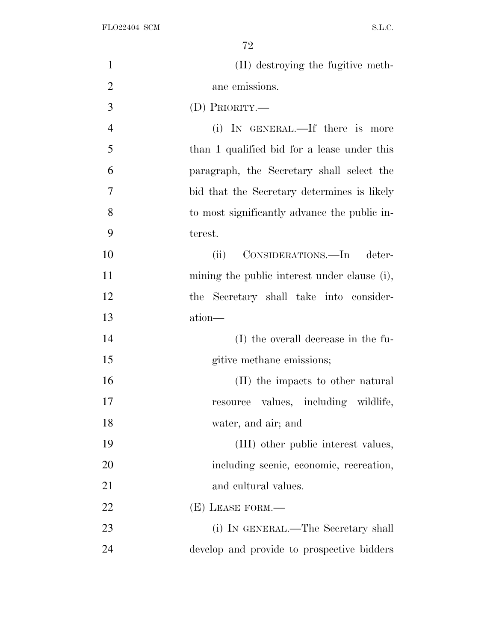| $\mathbf{1}$   | (II) destroying the fugitive meth-           |
|----------------|----------------------------------------------|
| $\overline{2}$ | ane emissions.                               |
| 3              | (D) PRIORITY.—                               |
| $\overline{4}$ | (i) IN GENERAL.—If there is more             |
| 5              | than 1 qualified bid for a lease under this  |
| 6              | paragraph, the Secretary shall select the    |
| 7              | bid that the Secretary determines is likely  |
| 8              | to most significantly advance the public in- |
| 9              | terest.                                      |
| 10             | CONSIDERATIONS.—In deter-<br>(ii)            |
| 11             | mining the public interest under clause (i), |
| 12             | the Secretary shall take into consider-      |
| 13             | ation-                                       |
| 14             | (I) the overall decrease in the fu-          |
| 15             | gitive methane emissions;                    |
| 16             | (II) the impacts to other natural            |
| 17             | resource values, including wildlife,         |
| 18             | water, and air; and                          |
| 19             | (III) other public interest values,          |
| 20             | including scenic, economic, recreation,      |
| 21             | and cultural values.                         |
| 22             | $(E)$ LEASE FORM.—                           |
| 23             | (i) IN GENERAL.—The Secretary shall          |
| 24             | develop and provide to prospective bidders   |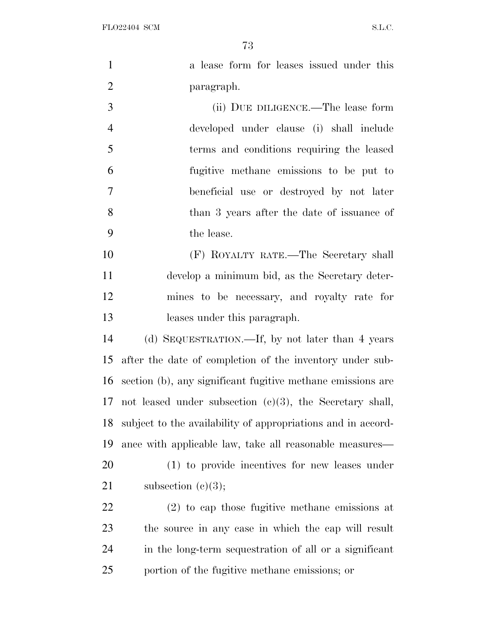FLO22404 SCM S.L.C.

1 a lease form for leases issued under this paragraph. (ii) DUE DILIGENCE.—The lease form developed under clause (i) shall include terms and conditions requiring the leased fugitive methane emissions to be put to beneficial use or destroyed by not later than 3 years after the date of issuance of

the lease.

 (F) ROYALTY RATE.—The Secretary shall develop a minimum bid, as the Secretary deter- mines to be necessary, and royalty rate for leases under this paragraph.

 (d) SEQUESTRATION.—If, by not later than 4 years after the date of completion of the inventory under sub- section (b), any significant fugitive methane emissions are not leased under subsection (c)(3), the Secretary shall, subject to the availability of appropriations and in accord-ance with applicable law, take all reasonable measures—

 (1) to provide incentives for new leases under 21 subsection  $(e)(3)$ ;

 (2) to cap those fugitive methane emissions at the source in any case in which the cap will result in the long-term sequestration of all or a significant portion of the fugitive methane emissions; or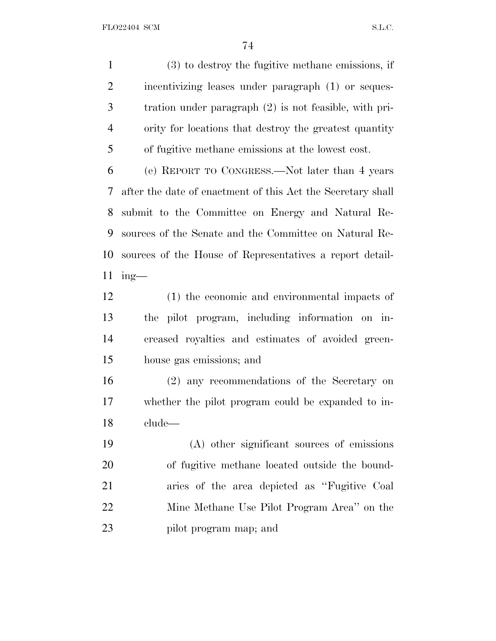(3) to destroy the fugitive methane emissions, if incentivizing leases under paragraph (1) or seques- tration under paragraph (2) is not feasible, with pri- ority for locations that destroy the greatest quantity of fugitive methane emissions at the lowest cost.

 (e) REPORT TO CONGRESS.—Not later than 4 years after the date of enactment of this Act the Secretary shall submit to the Committee on Energy and Natural Re- sources of the Senate and the Committee on Natural Re- sources of the House of Representatives a report detail-ing—

 (1) the economic and environmental impacts of the pilot program, including information on in- creased royalties and estimates of avoided green-house gas emissions; and

 (2) any recommendations of the Secretary on whether the pilot program could be expanded to in-clude—

 (A) other significant sources of emissions of fugitive methane located outside the bound- aries of the area depicted as ''Fugitive Coal Mine Methane Use Pilot Program Area'' on the pilot program map; and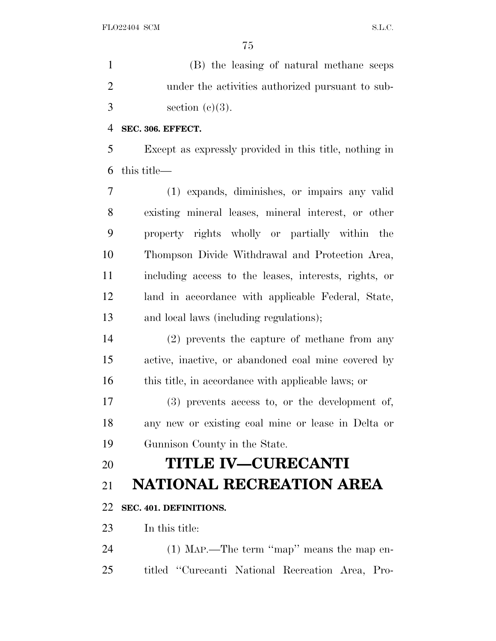(B) the leasing of natural methane seeps under the activities authorized pursuant to sub- $3 \qquad \text{section} \ (e)(3).$ 

#### **SEC. 306. EFFECT.**

 Except as expressly provided in this title, nothing in this title—

 (1) expands, diminishes, or impairs any valid existing mineral leases, mineral interest, or other property rights wholly or partially within the Thompson Divide Withdrawal and Protection Area, including access to the leases, interests, rights, or land in accordance with applicable Federal, State, and local laws (including regulations);

 (2) prevents the capture of methane from any active, inactive, or abandoned coal mine covered by this title, in accordance with applicable laws; or

 (3) prevents access to, or the development of, any new or existing coal mine or lease in Delta or Gunnison County in the State.

# **TITLE IV—CURECANTI**

# **NATIONAL RECREATION AREA**

### **SEC. 401. DEFINITIONS.**

In this title:

 (1) MAP.—The term ''map'' means the map en-titled ''Curecanti National Recreation Area, Pro-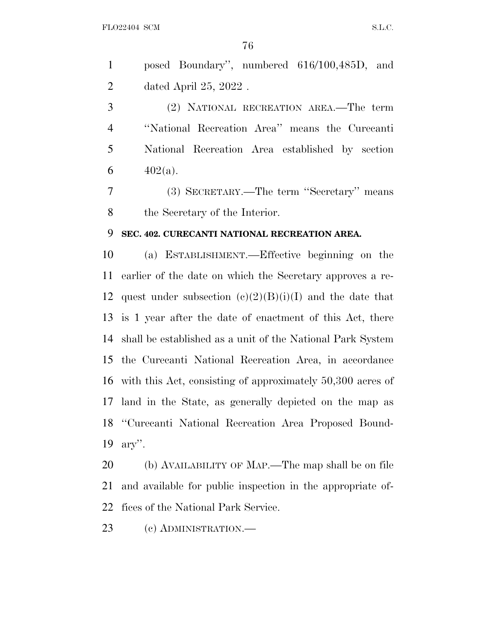posed Boundary'', numbered 616/100,485D, and dated April 25, 2022 .

 (2) NATIONAL RECREATION AREA.—The term ''National Recreation Area'' means the Curecanti National Recreation Area established by section 6  $402(a)$ .

 (3) SECRETARY.—The term ''Secretary'' means the Secretary of the Interior.

#### **SEC. 402. CURECANTI NATIONAL RECREATION AREA.**

 (a) ESTABLISHMENT.—Effective beginning on the earlier of the date on which the Secretary approves a re-12 quest under subsection  $(e)(2)(B)(i)(I)$  and the date that is 1 year after the date of enactment of this Act, there shall be established as a unit of the National Park System the Curecanti National Recreation Area, in accordance with this Act, consisting of approximately 50,300 acres of land in the State, as generally depicted on the map as ''Curecanti National Recreation Area Proposed Bound-ary''.

 (b) AVAILABILITY OF MAP.—The map shall be on file and available for public inspection in the appropriate of-fices of the National Park Service.

(c) ADMINISTRATION.—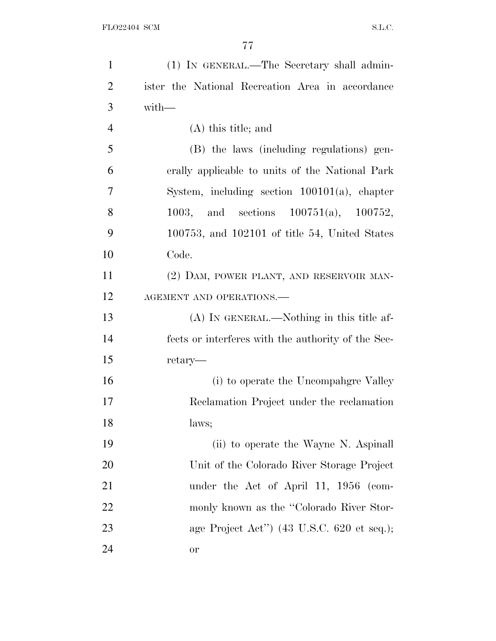| $\mathbf{1}$   | (1) IN GENERAL.—The Secretary shall admin-                    |
|----------------|---------------------------------------------------------------|
| $\overline{2}$ | ister the National Recreation Area in accordance              |
| 3              | $with-$                                                       |
| $\overline{4}$ | $(A)$ this title; and                                         |
| 5              | (B) the laws (including regulations) gen-                     |
| 6              | erally applicable to units of the National Park               |
| 7              | System, including section 100101(a), chapter                  |
| 8              | 1003, and sections $100751(a)$ , $100752$ ,                   |
| 9              | $100753$ , and $102101$ of title 54, United States            |
| 10             | Code.                                                         |
| 11             | (2) DAM, POWER PLANT, AND RESERVOIR MAN-                      |
| 12             | AGEMENT AND OPERATIONS.-                                      |
| 13             | $(A)$ In GENERAL.—Nothing in this title af-                   |
| 14             | fects or interferes with the authority of the Sec-            |
| 15             | retary—                                                       |
| 16             | (i) to operate the Uncompangre Valley                         |
| 17             | Reclamation Project under the reclamation                     |
| 18             | laws;                                                         |
| 19             | (ii) to operate the Wayne N. Aspinall                         |
| 20             | Unit of the Colorado River Storage Project                    |
| 21             | under the Act of April 11, 1956 (com-                         |
| 22             | monly known as the "Colorado River Stor-                      |
| 23             | age Project Act") $(43 \text{ U.S.C. } 620 \text{ et seq.});$ |
| 24             | or                                                            |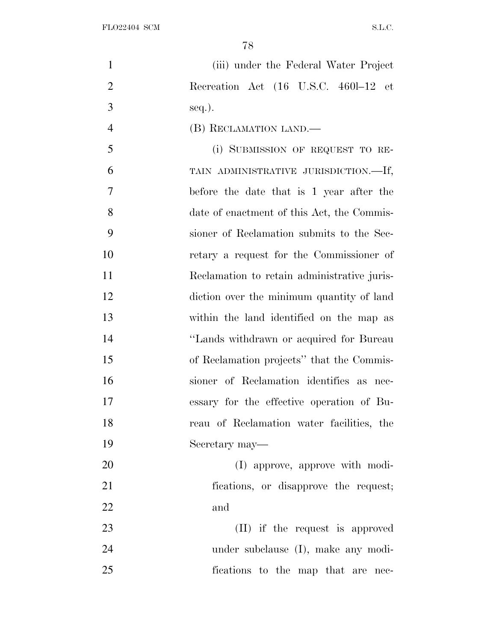| $\mathbf{1}$   | (iii) under the Federal Water Project       |
|----------------|---------------------------------------------|
| $\overline{2}$ | Recreation Act (16 U.S.C. 4601-12 et        |
| 3              | $seq.$ ).                                   |
| $\overline{4}$ | (B) RECLAMATION LAND.                       |
| 5              | (i) SUBMISSION OF REQUEST TO RE-            |
| 6              | TAIN ADMINISTRATIVE JURISDICTION.-If,       |
| 7              | before the date that is 1 year after the    |
| 8              | date of enactment of this Act, the Commis-  |
| 9              | sioner of Reclamation submits to the Sec-   |
| 10             | retary a request for the Commissioner of    |
| 11             | Reclamation to retain administrative juris- |
| 12             | diction over the minimum quantity of land   |
| 13             | within the land identified on the map as    |
| 14             | "Lands withdrawn or acquired for Bureau     |
| 15             | of Reclamation projects" that the Commis-   |
| 16             | sioner of Reclamation identifies as nec-    |
| 17             | essary for the effective operation of Bu-   |
| 18             | reau of Reclamation water facilities, the   |
| 19             | Secretary may—                              |
| 20             | (I) approve, approve with modi-             |
| 21             | fications, or disapprove the request;       |
| 22             | and                                         |
| 23             | (II) if the request is approved             |
| 24             | under subclause (I), make any modi-         |
| 25             | fications to the map that are nec-          |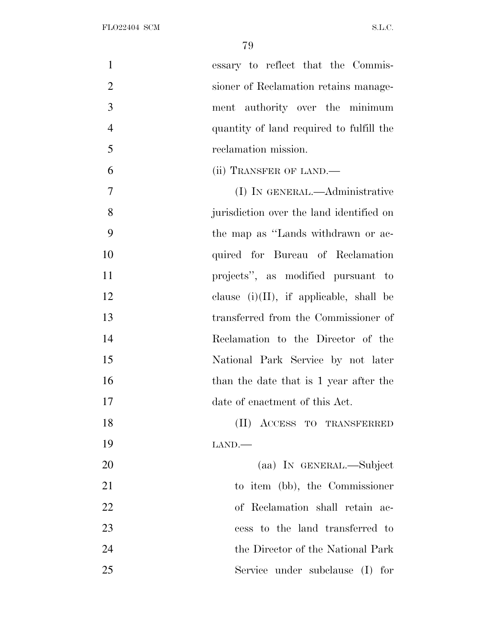| $\mathbf{1}$   | essary to reflect that the Commis-         |
|----------------|--------------------------------------------|
| $\mathfrak{2}$ | sioner of Reclamation retains manage-      |
| 3              | ment authority over the minimum            |
| $\overline{4}$ | quantity of land required to fulfill the   |
| 5              | reclamation mission.                       |
| 6              | (ii) TRANSFER OF LAND.—                    |
| $\overline{7}$ | (I) IN GENERAL.—Administrative             |
| 8              | jurisdiction over the land identified on   |
| 9              | the map as "Lands withdrawn or ac-         |
| 10             | quired for Bureau of Reclamation           |
| 11             | projects", as modified pursuant to         |
| 12             | clause $(i)(II)$ , if applicable, shall be |
| 13             | transferred from the Commissioner of       |
| 14             | Reclamation to the Director of the         |
| 15             | National Park Service by not later         |
| 16             | than the date that is 1 year after the     |
| 17             | date of enactment of this Act.             |
| 18             | (II) ACCESS TO TRANSFERRED                 |
| 19             | LAND.                                      |
| 20             | (aa) IN GENERAL.—Subject                   |
| 21             | to item (bb), the Commissioner             |
| 22             | of Reclamation shall retain ac-            |
| 23             | cess to the land transferred to            |
| 24             | the Director of the National Park          |
| 25             | Service under subclause (I)<br>for         |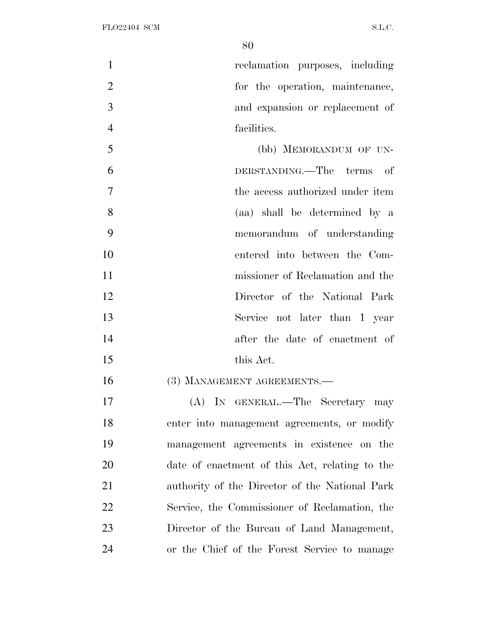reclamation purposes, including for the operation, maintenance, and expansion or replacement of facilities.

 (bb) MEMORANDUM OF UN- DERSTANDING.—The terms of the access authorized under item (aa) shall be determined by a memorandum of understanding entered into between the Com- missioner of Reclamation and the Director of the National Park Service not later than 1 year after the date of enactment of this Act.

16 (3) MANAGEMENT AGREEMENTS.

 (A) IN GENERAL.—The Secretary may enter into management agreements, or modify management agreements in existence on the date of enactment of this Act, relating to the authority of the Director of the National Park Service, the Commissioner of Reclamation, the Director of the Bureau of Land Management, or the Chief of the Forest Service to manage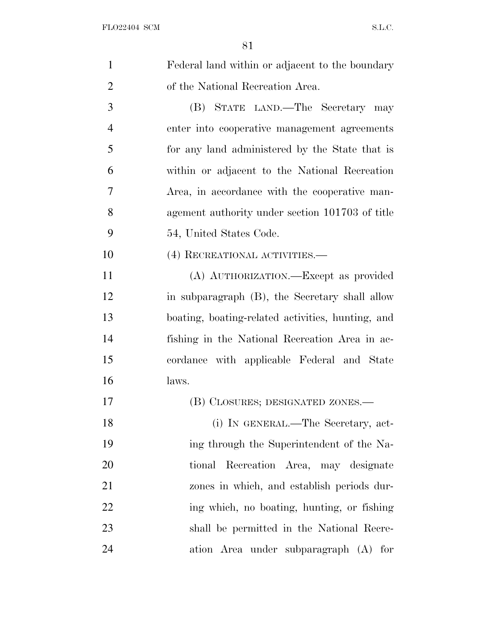| $\mathbf{1}$   | Federal land within or adjacent to the boundary   |
|----------------|---------------------------------------------------|
| $\overline{2}$ | of the National Recreation Area.                  |
| 3              | (B) STATE LAND.—The Secretary may                 |
| $\overline{4}$ | enter into cooperative management agreements      |
| 5              | for any land administered by the State that is    |
| 6              | within or adjacent to the National Recreation     |
| 7              | Area, in accordance with the cooperative man-     |
| 8              | agement authority under section 101703 of title   |
| 9              | 54, United States Code.                           |
| 10             | (4) RECREATIONAL ACTIVITIES.—                     |
| 11             | (A) AUTHORIZATION. Except as provided             |
| 12             | in subparagraph (B), the Secretary shall allow    |
| 13             | boating, boating-related activities, hunting, and |
| 14             | fishing in the National Recreation Area in ac-    |
| 15             | cordance with applicable Federal and State        |
| 16             | laws.                                             |
| 17             | (B) CLOSURES; DESIGNATED ZONES.—                  |
| 18             | (i) IN GENERAL.—The Secretary, act-               |
| 19             | ing through the Superintendent of the Na-         |
| 20             | tional Recreation Area, may designate             |
| 21             | zones in which, and establish periods dur-        |
| 22             | ing which, no boating, hunting, or fishing        |
| 23             | shall be permitted in the National Recre-         |
| 24             | ation Area under subparagraph (A) for             |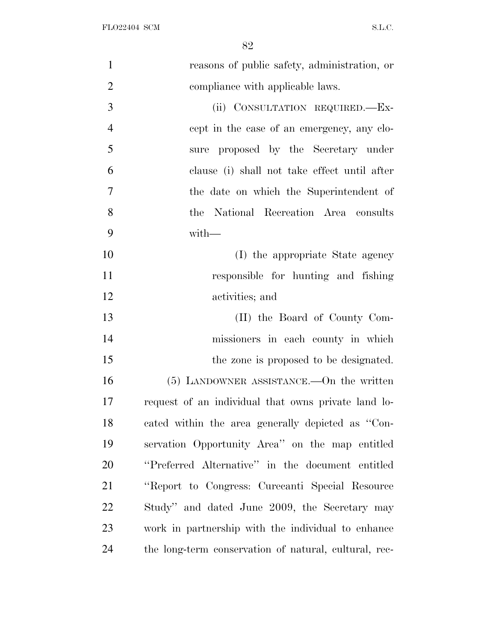| $\mathbf{1}$   | reasons of public safety, administration, or          |
|----------------|-------------------------------------------------------|
| $\overline{2}$ | compliance with applicable laws.                      |
| 3              | (ii) CONSULTATION REQUIRED.-Ex-                       |
| $\overline{4}$ | cept in the case of an emergency, any clo-            |
| 5              | sure proposed by the Secretary under                  |
| 6              | clause (i) shall not take effect until after          |
| $\overline{7}$ | the date on which the Superintendent of               |
| 8              | the National Recreation Area consults                 |
| 9              | $with-$                                               |
| 10             | (I) the appropriate State agency                      |
| 11             | responsible for hunting and fishing                   |
| 12             | activities; and                                       |
| 13             | (II) the Board of County Com-                         |
| 14             | missioners in each county in which                    |
| 15             | the zone is proposed to be designated.                |
| 16             | $(5)$ LANDOWNER ASSISTANCE.—On the written            |
| 17             | request of an individual that owns private land lo-   |
| 18             | cated within the area generally depicted as "Con-     |
| 19             | servation Opportunity Area" on the map entitled       |
| 20             | "Preferred Alternative" in the document entitled      |
| 21             | "Report to Congress: Curecanti Special Resource       |
| 22             | Study" and dated June 2009, the Secretary may         |
| 23             | work in partnership with the individual to enhance    |
| 24             | the long-term conservation of natural, cultural, rec- |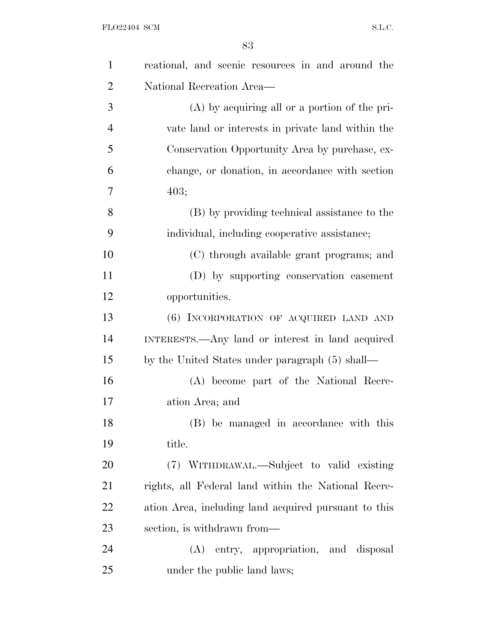| $\mathbf{1}$   | reational, and scenic resources in and around the    |
|----------------|------------------------------------------------------|
| $\overline{2}$ | National Recreation Area—                            |
| 3              | $(A)$ by acquiring all or a portion of the pri-      |
| $\overline{4}$ | vate land or interests in private land within the    |
| 5              | Conservation Opportunity Area by purchase, ex-       |
| 6              | change, or donation, in accordance with section      |
| 7              | 403;                                                 |
| 8              | (B) by providing technical assistance to the         |
| 9              | individual, including cooperative assistance;        |
| 10             | (C) through available grant programs; and            |
| 11             | (D) by supporting conservation easement              |
| 12             | opportunities.                                       |
| 13             | (6) INCORPORATION OF ACQUIRED LAND AND               |
| 14             | INTERESTS.—Any land or interest in land acquired     |
| 15             | by the United States under paragraph (5) shall—      |
| 16             | (A) become part of the National Recre-               |
| 17             | ation Area; and                                      |
| 18             | (B) be managed in accordance with this               |
| 19             | title.                                               |
| 20             | (7) WITHDRAWAL.—Subject to valid existing            |
| 21             | rights, all Federal land within the National Recre-  |
| 22             | ation Area, including land acquired pursuant to this |
| 23             | section, is withdrawn from—                          |
| 24             | entry, appropriation, and disposal<br>(A)            |
| 25             | under the public land laws;                          |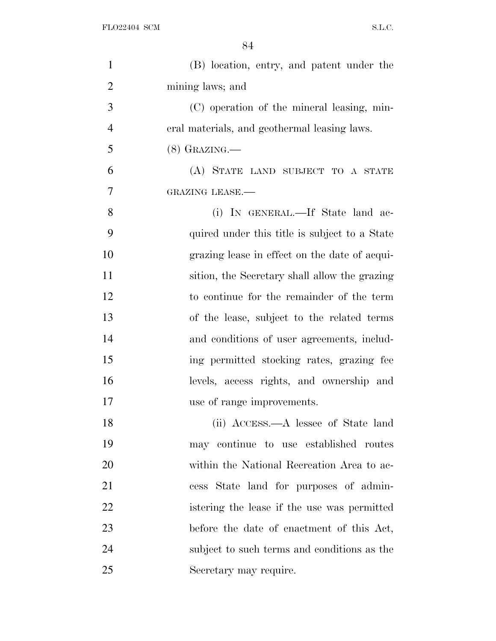| $\mathbf{1}$   | (B) location, entry, and patent under the     |
|----------------|-----------------------------------------------|
| $\overline{2}$ | mining laws; and                              |
| 3              | (C) operation of the mineral leasing, min-    |
| $\overline{4}$ | eral materials, and geothermal leasing laws.  |
| 5              | $(8)$ GRAZING.—                               |
| 6              | (A) STATE LAND SUBJECT TO A STATE             |
| 7              | <b>GRAZING LEASE.-</b>                        |
| 8              | (i) IN GENERAL.—If State land ac-             |
| 9              | quired under this title is subject to a State |
| 10             | grazing lease in effect on the date of acqui- |
| 11             | sition, the Secretary shall allow the grazing |
| 12             | to continue for the remainder of the term     |
| 13             | of the lease, subject to the related terms    |
| 14             | and conditions of user agreements, includ-    |
| 15             | ing permitted stocking rates, grazing fee     |
| 16             | levels, access rights, and ownership and      |
| 17             | use of range improvements.                    |
| 18             | (ii) ACCESS.—A lessee of State land           |
| 19             | may continue to use established routes        |
| 20             | within the National Recreation Area to ac-    |
| 21             | cess State land for purposes of admin-        |
| 22             | istering the lease if the use was permitted   |
| 23             | before the date of enactment of this Act,     |
| 24             | subject to such terms and conditions as the   |
| 25             | Secretary may require.                        |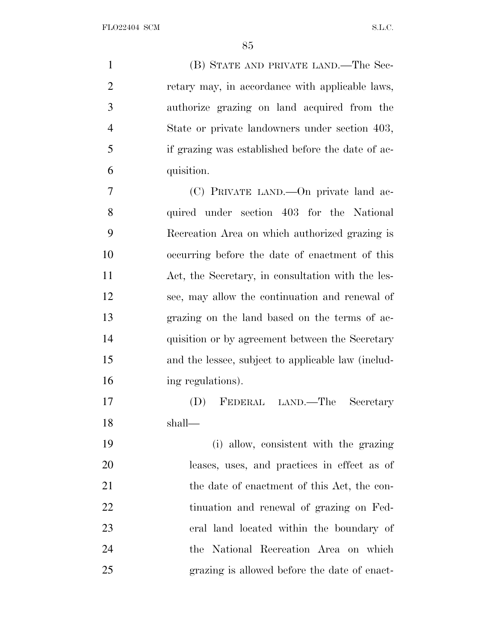(B) STATE AND PRIVATE LAND.—The Sec- retary may, in accordance with applicable laws, authorize grazing on land acquired from the State or private landowners under section 403, if grazing was established before the date of ac- quisition. (C) PRIVATE LAND.—On private land ac-

 quired under section 403 for the National Recreation Area on which authorized grazing is occurring before the date of enactment of this Act, the Secretary, in consultation with the les- see, may allow the continuation and renewal of grazing on the land based on the terms of ac-14 quisition or by agreement between the Secretary and the lessee, subject to applicable law (includ-ing regulations).

 (D) FEDERAL LAND.—The Secretary shall—

 (i) allow, consistent with the grazing leases, uses, and practices in effect as of 21 the date of enactment of this Act, the con- tinuation and renewal of grazing on Fed- eral land located within the boundary of the National Recreation Area on which grazing is allowed before the date of enact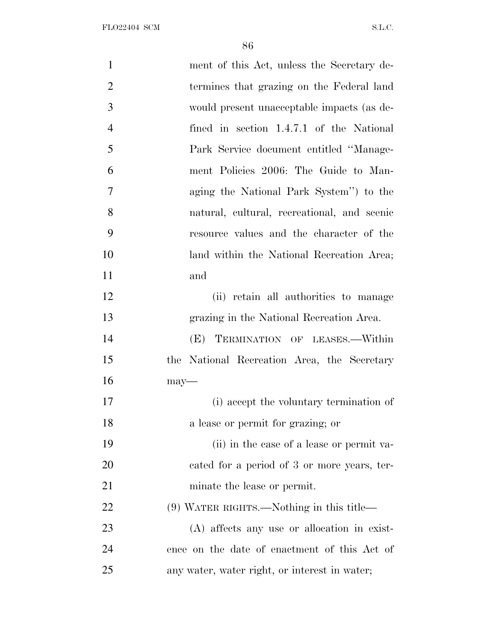FLO22404 SCM  $SL.C.$ 

| $\mathbf{1}$   | ment of this Act, unless the Secretary de-    |
|----------------|-----------------------------------------------|
| $\overline{2}$ | termines that grazing on the Federal land     |
| 3              | would present unacceptable impacts (as de-    |
| $\overline{4}$ | fined in section 1.4.7.1 of the National      |
| 5              | Park Service document entitled "Manage-       |
| 6              | ment Policies 2006: The Guide to Man-         |
| $\overline{7}$ | aging the National Park System" to the        |
| 8              | natural, cultural, recreational, and scenic   |
| 9              | resource values and the character of the      |
| 10             | land within the National Recreation Area;     |
| 11             | and                                           |
| 12             | (ii) retain all authorities to manage         |
| 13             | grazing in the National Recreation Area.      |
| 14             | TERMINATION OF LEASES.—Within<br>(E)          |
| 15             | the National Recreation Area, the Secretary   |
| 16             | $may$ —                                       |
| 17             | (i) accept the voluntary termination of       |
| 18             | a lease or permit for grazing; or             |
| 19             | (ii) in the case of a lease or permit va-     |
| 20             | cated for a period of 3 or more years, ter-   |
| 21             | minate the lease or permit.                   |
| 22             | (9) WATER RIGHTS.—Nothing in this title—      |
| 23             | (A) affects any use or allocation in exist-   |
| 24             | ence on the date of enactment of this Act of  |
| 25             | any water, water right, or interest in water; |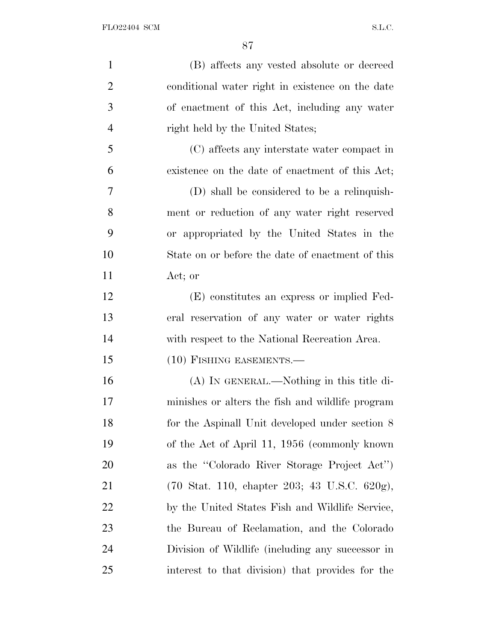| $\mathbf{1}$   | (B) affects any vested absolute or decreed                                        |
|----------------|-----------------------------------------------------------------------------------|
| $\overline{2}$ | conditional water right in existence on the date                                  |
| 3              | of enactment of this Act, including any water                                     |
| $\overline{4}$ | right held by the United States;                                                  |
| 5              | (C) affects any interstate water compact in                                       |
| 6              | existence on the date of enactment of this Act;                                   |
| 7              | (D) shall be considered to be a relinquish-                                       |
| 8              | ment or reduction of any water right reserved                                     |
| 9              | or appropriated by the United States in the                                       |
| 10             | State on or before the date of enactment of this                                  |
| 11             | Act; or                                                                           |
| 12             | (E) constitutes an express or implied Fed-                                        |
| 13             | eral reservation of any water or water rights                                     |
| 14             | with respect to the National Recreation Area.                                     |
| 15             | $(10)$ FISHING EASEMENTS.—                                                        |
| 16             | (A) IN GENERAL.—Nothing in this title di-                                         |
| 17             | minishes or alters the fish and wildlife program                                  |
| 18             | for the Aspinall Unit developed under section 8                                   |
| 19             | of the Act of April 11, 1956 (commonly known)                                     |
| 20             | as the "Colorado River Storage Project Act")                                      |
| 21             | $(70 \text{ Stat. } 110, \text{ chapter } 203; 43 \text{ U.S.C. } 620 \text{g}),$ |
| 22             | by the United States Fish and Wildlife Service,                                   |
| 23             | the Bureau of Reclamation, and the Colorado                                       |
| 24             | Division of Wildlife (including any successor in                                  |
| 25             | interest to that division) that provides for the                                  |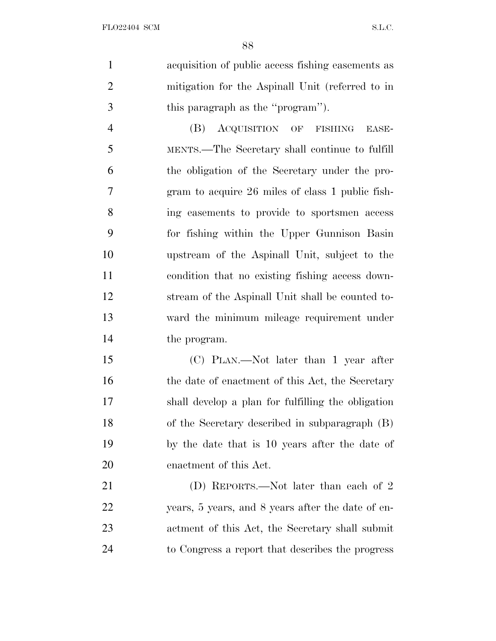acquisition of public access fishing easements as mitigation for the Aspinall Unit (referred to in this paragraph as the ''program'').

 (B) ACQUISITION OF FISHING EASE- MENTS.—The Secretary shall continue to fulfill the obligation of the Secretary under the pro- gram to acquire 26 miles of class 1 public fish- ing easements to provide to sportsmen access for fishing within the Upper Gunnison Basin upstream of the Aspinall Unit, subject to the condition that no existing fishing access down- stream of the Aspinall Unit shall be counted to- ward the minimum mileage requirement under the program.

 (C) PLAN.—Not later than 1 year after 16 the date of enactment of this Act, the Secretary shall develop a plan for fulfilling the obligation of the Secretary described in subparagraph (B) by the date that is 10 years after the date of enactment of this Act.

 (D) REPORTS.—Not later than each of 2 years, 5 years, and 8 years after the date of en- actment of this Act, the Secretary shall submit to Congress a report that describes the progress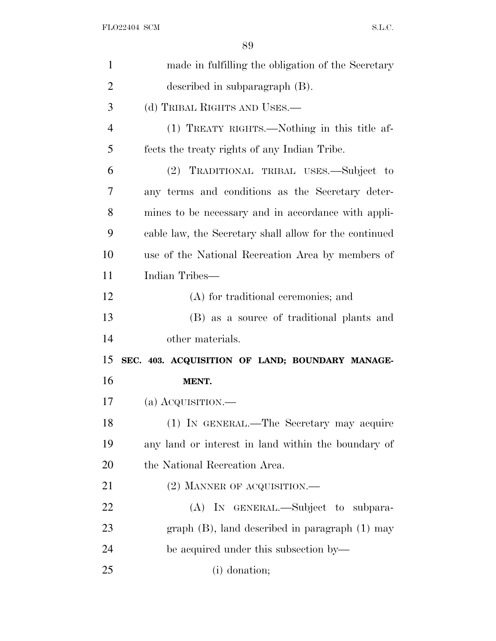| $\mathbf{1}$   | made in fulfilling the obligation of the Secretary     |
|----------------|--------------------------------------------------------|
| $\overline{2}$ | described in subparagraph (B).                         |
| 3              | (d) TRIBAL RIGHTS AND USES.—                           |
| $\overline{4}$ | (1) TREATY RIGHTS.—Nothing in this title af-           |
| 5              | fects the treaty rights of any Indian Tribe.           |
| 6              | (2) TRADITIONAL TRIBAL USES.—Subject to                |
| 7              | any terms and conditions as the Secretary deter-       |
| 8              | mines to be necessary and in accordance with appli-    |
| 9              | cable law, the Secretary shall allow for the continued |
| 10             | use of the National Recreation Area by members of      |
| 11             | Indian Tribes—                                         |
| 12             | (A) for traditional ceremonies; and                    |
|                |                                                        |
| 13             | (B) as a source of traditional plants and              |
| 14             | other materials.                                       |
| 15             | SEC. 403. ACQUISITION OF LAND; BOUNDARY MANAGE-        |
| 16             | MENT.                                                  |
| 17             | (a) $Acquistron$ .—                                    |
| 18             | (1) IN GENERAL.—The Secretary may acquire              |
| 19             | any land or interest in land within the boundary of    |
| 20             | the National Recreation Area.                          |
| 21             | $(2)$ MANNER OF ACQUISITION.—                          |
| 22             | (A) IN GENERAL.—Subject to subpara-                    |
| 23             | graph $(B)$ , land described in paragraph $(1)$ may    |
| 24             | be acquired under this subsection by—                  |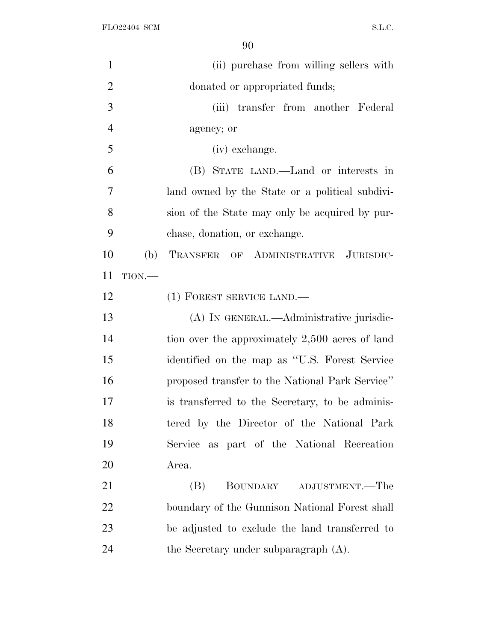| $\mathbf{1}$   |      | (ii) purchase from willing sellers with         |
|----------------|------|-------------------------------------------------|
| $\overline{2}$ |      | donated or appropriated funds;                  |
| 3              |      | (iii) transfer from another Federal             |
| $\overline{4}$ |      | agency; or                                      |
| 5              |      | (iv) exchange.                                  |
| 6              |      | (B) STATE LAND.—Land or interests in            |
| $\overline{7}$ |      | land owned by the State or a political subdivi- |
| 8              |      | sion of the State may only be acquired by pur-  |
| 9              |      | chase, donation, or exchange.                   |
| 10             | (b)  | TRANSFER OF ADMINISTRATIVE JURISDIC-            |
| 11             | TION |                                                 |
| 12             |      | (1) FOREST SERVICE LAND.—                       |
| 13             |      | (A) IN GENERAL.—Administrative jurisdic-        |
| 14             |      | tion over the approximately 2,500 acres of land |
| 15             |      | identified on the map as "U.S. Forest Service   |
| 16             |      | proposed transfer to the National Park Service" |
| 17             |      | is transferred to the Secretary, to be adminis- |
| 18             |      | tered by the Director of the National Park      |
| 19             |      | Service as part of the National Recreation      |
| 20             |      | Area.                                           |
| 21             |      | BOUNDARY ADJUSTMENT.—The<br>(B)                 |
| 22             |      | boundary of the Gunnison National Forest shall  |
| 23             |      | be adjusted to exclude the land transferred to  |
| 24             |      | the Secretary under subparagraph $(A)$ .        |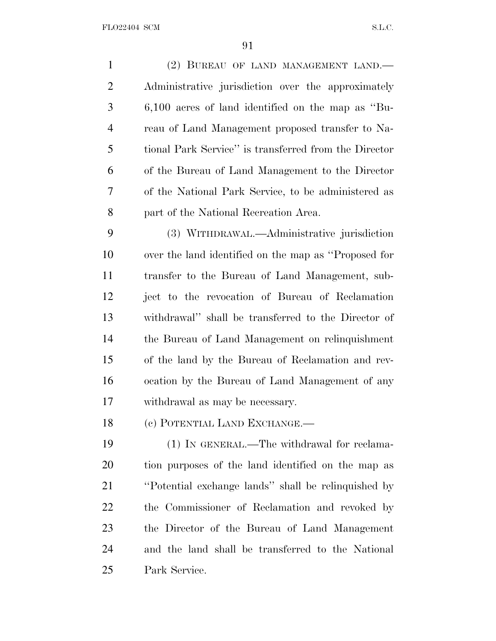| $\mathbf{1}$   | (2) BUREAU OF LAND MANAGEMENT LAND.                   |
|----------------|-------------------------------------------------------|
| $\overline{2}$ | Administrative jurisdiction over the approximately    |
| 3              | $6,100$ acres of land identified on the map as "Bu-   |
| $\overline{4}$ | reau of Land Management proposed transfer to Na-      |
| 5              | tional Park Service" is transferred from the Director |
| 6              | of the Bureau of Land Management to the Director      |
| 7              | of the National Park Service, to be administered as   |
| 8              | part of the National Recreation Area.                 |
| 9              | (3) WITHDRAWAL.—Administrative jurisdiction           |
| 10             | over the land identified on the map as "Proposed for  |
| 11             | transfer to the Bureau of Land Management, sub-       |
| 12             | ject to the revocation of Bureau of Reclamation       |
| 13             | withdrawal" shall be transferred to the Director of   |
| 14             | the Bureau of Land Management on relinquishment       |
| 15             | of the land by the Bureau of Reclamation and rev-     |
| 16             | ocation by the Bureau of Land Management of any       |
| 17             | withdrawal as may be necessary.                       |
| 18             | (c) POTENTIAL LAND EXCHANGE.—                         |
| 19             | (1) IN GENERAL.—The withdrawal for reclama-           |
| 20             | tion purposes of the land identified on the map as    |
| 21             | "Potential exchange lands" shall be relinquished by   |
| 22             | the Commissioner of Reclamation and revoked by        |
| 23             | the Director of the Bureau of Land Management         |
| 24             | and the land shall be transferred to the National     |
| 25             | Park Service.                                         |
|                |                                                       |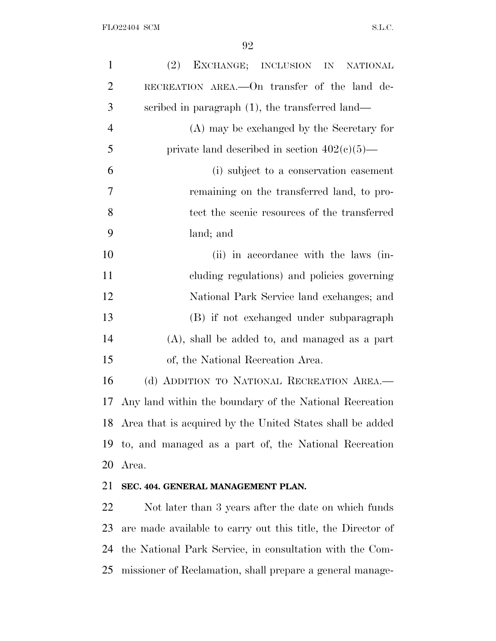| $\mathbf{1}$   | EXCHANGE; INCLUSION IN NATIONAL<br>(2)                       |
|----------------|--------------------------------------------------------------|
| $\overline{2}$ | RECREATION AREA.—On transfer of the land de-                 |
| 3              | scribed in paragraph $(1)$ , the transferred land—           |
| $\overline{4}$ | (A) may be exchanged by the Secretary for                    |
| 5              | private land described in section $402(c)(5)$ —              |
| 6              | (i) subject to a conservation easement                       |
| 7              | remaining on the transferred land, to pro-                   |
| 8              | tect the scenic resources of the transferred                 |
| 9              | land; and                                                    |
| 10             | (ii) in accordance with the laws (in-                        |
| 11             | cluding regulations) and policies governing                  |
| 12             | National Park Service land exchanges; and                    |
| 13             | (B) if not exchanged under subparagraph                      |
| 14             | (A), shall be added to, and managed as a part                |
| 15             | of, the National Recreation Area.                            |
| 16             | (d) ADDITION TO NATIONAL RECREATION AREA.-                   |
| 17             | Any land within the boundary of the National Recreation      |
|                | 18 Area that is acquired by the United States shall be added |
| 19             | to, and managed as a part of, the National Recreation        |
| 20             | Area.                                                        |
| 21             | SEC. 404. GENERAL MANAGEMENT PLAN.                           |
| 22             | Not later than 3 years after the date on which funds         |
| 23             | are made available to carry out this title, the Director of  |
| 24             | the National Park Service, in consultation with the Com-     |

missioner of Reclamation, shall prepare a general manage-